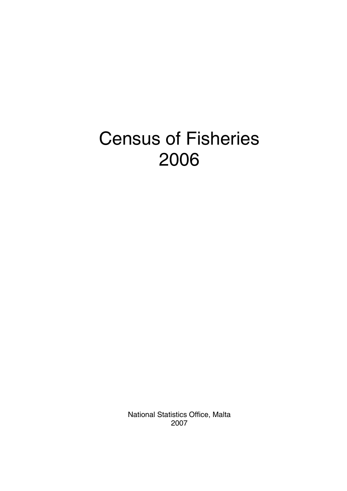# Census of Fisheries 2006

National Statistics Office, Malta 2007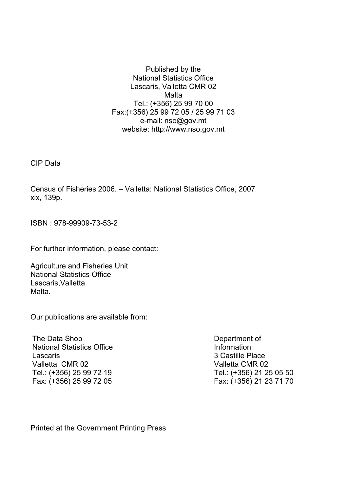Published by the National Statistics Office Lascaris, Valletta CMR 02 **Malta** Tel.: (+356) 25 99 70 00 Fax:(+356) 25 99 72 05 / 25 99 71 03 e-mail: nso@gov.mt website: http://www.nso.gov.mt

CIP Data

Census of Fisheries 2006. – Valletta: National Statistics Office, 2007 xix, 139p.

ISBN : 978-99909-73-53-2

For further information, please contact:

Agriculture and Fisheries Unit National Statistics Office Lascaris,Valletta Malta.

Our publications are available from:

 The Data Shop National Statistics Office Lascaris Valletta CMR 02 Tel.: (+356) 25 99 72 19 Fax: (+356) 25 99 72 05

Department of Information 3 Castille Place Valletta CMR 02 Tel.: (+356) 21 25 05 50 Fax: (+356) 21 23 71 70

Printed at the Government Printing Press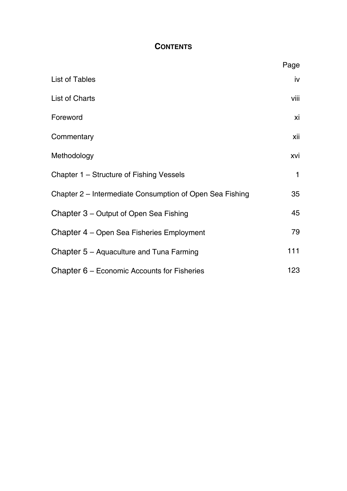## **CONTENTS**

|                                                          | Page |
|----------------------------------------------------------|------|
| List of Tables                                           | iv   |
| List of Charts                                           | viii |
| Foreword                                                 | xi   |
| Commentary                                               | xii  |
| Methodology                                              | xvi  |
| Chapter 1 – Structure of Fishing Vessels                 | 1    |
| Chapter 2 – Intermediate Consumption of Open Sea Fishing | 35   |
| Chapter 3 – Output of Open Sea Fishing                   | 45   |
| Chapter 4 – Open Sea Fisheries Employment                | 79   |
| Chapter 5 - Aquaculture and Tuna Farming                 | 111  |
| Chapter 6 – Economic Accounts for Fisheries              | 123  |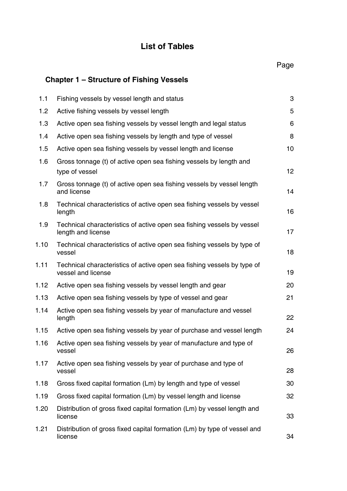# **List of Tables**

|      |                                                                                               | Page |
|------|-----------------------------------------------------------------------------------------------|------|
|      | Chapter 1 - Structure of Fishing Vessels                                                      |      |
| 1.1  | Fishing vessels by vessel length and status                                                   | 3    |
| 1.2  | Active fishing vessels by vessel length                                                       | 5    |
| 1.3  | Active open sea fishing vessels by vessel length and legal status                             | 6    |
| 1.4  | Active open sea fishing vessels by length and type of vessel                                  | 8    |
| 1.5  | Active open sea fishing vessels by vessel length and license                                  | 10   |
| 1.6  | Gross tonnage (t) of active open sea fishing vessels by length and<br>type of vessel          | 12   |
| 1.7  | Gross tonnage (t) of active open sea fishing vessels by vessel length<br>and license          | 14   |
| 1.8  | Technical characteristics of active open sea fishing vessels by vessel<br>length              | 16   |
| 1.9  | Technical characteristics of active open sea fishing vessels by vessel<br>length and license  | 17   |
| 1.10 | Technical characteristics of active open sea fishing vessels by type of<br>vessel             | 18   |
| 1.11 | Technical characteristics of active open sea fishing vessels by type of<br>vessel and license | 19   |
| 1.12 | Active open sea fishing vessels by vessel length and gear                                     | 20   |
| 1.13 | Active open sea fishing vessels by type of vessel and gear                                    | 21   |
| 1.14 | Active open sea fishing vessels by year of manufacture and vessel<br>length                   | 22   |
| 1.15 | Active open sea fishing vessels by year of purchase and vessel length                         | 24   |
| 1.16 | Active open sea fishing vessels by year of manufacture and type of<br>vessel                  | 26   |
| 1.17 | Active open sea fishing vessels by year of purchase and type of<br>vessel                     | 28   |
| 1.18 | Gross fixed capital formation (Lm) by length and type of vessel                               | 30   |
| 1.19 | Gross fixed capital formation (Lm) by vessel length and license                               | 32   |
| 1.20 | Distribution of gross fixed capital formation (Lm) by vessel length and<br>license            | 33   |
| 1.21 | Distribution of gross fixed capital formation (Lm) by type of vessel and<br>license           | 34   |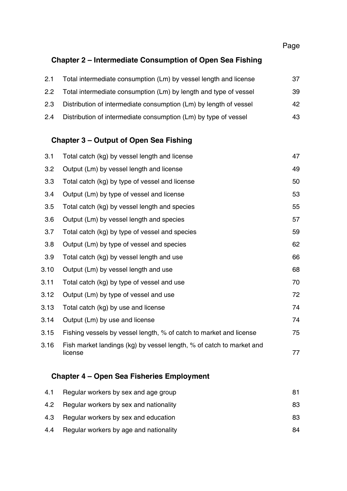## **Chapter 2 – Intermediate Consumption of Open Sea Fishing**

| 2.1 | Total intermediate consumption (Lm) by vessel length and license  | 37  |
|-----|-------------------------------------------------------------------|-----|
| 2.2 | Total intermediate consumption (Lm) by length and type of vessel  | 39  |
| 2.3 | Distribution of intermediate consumption (Lm) by length of vessel | 42  |
| 2.4 | Distribution of intermediate consumption (Lm) by type of vessel   | 43. |

## **Chapter 3 – Output of Open Sea Fishing**

| 3.1  | Total catch (kg) by vessel length and license                                   | 47 |
|------|---------------------------------------------------------------------------------|----|
| 3.2  | Output (Lm) by vessel length and license                                        | 49 |
| 3.3  | Total catch (kg) by type of vessel and license                                  | 50 |
| 3.4  | Output (Lm) by type of vessel and license                                       | 53 |
| 3.5  | Total catch (kg) by vessel length and species                                   | 55 |
| 3.6  | Output (Lm) by vessel length and species                                        | 57 |
| 3.7  | Total catch (kg) by type of vessel and species                                  | 59 |
| 3.8  | Output (Lm) by type of vessel and species                                       | 62 |
| 3.9  | Total catch (kg) by vessel length and use                                       | 66 |
| 3.10 | Output (Lm) by vessel length and use                                            | 68 |
| 3.11 | Total catch (kg) by type of vessel and use                                      | 70 |
| 3.12 | Output (Lm) by type of vessel and use                                           | 72 |
| 3.13 | Total catch (kg) by use and license                                             | 74 |
| 3.14 | Output (Lm) by use and license                                                  | 74 |
| 3.15 | Fishing vessels by vessel length, % of catch to market and license              | 75 |
| 3.16 | Fish market landings (kg) by vessel length, % of catch to market and<br>license | 77 |
|      |                                                                                 |    |

## **Chapter 4 – Open Sea Fisheries Employment**

| 4.1 | Regular workers by sex and age group       | 81 |
|-----|--------------------------------------------|----|
|     | 4.2 Regular workers by sex and nationality | 83 |
| 4.3 | Regular workers by sex and education       | 83 |
| 4.4 | Regular workers by age and nationality     | 84 |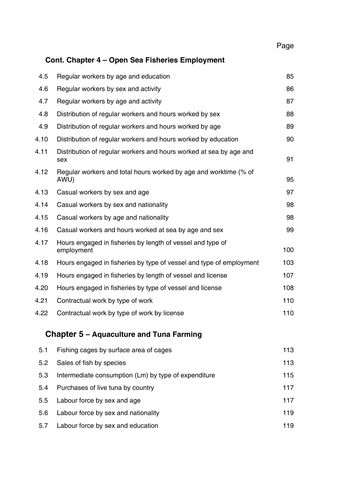# **Cont. Chapter 4 – Open Sea Fisheries Employment**

| 4.5  | Regular workers by age and education                                      | 85  |
|------|---------------------------------------------------------------------------|-----|
| 4.6  | Regular workers by sex and activity                                       | 86  |
| 4.7  | Regular workers by age and activity                                       | 87  |
| 4.8  | Distribution of regular workers and hours worked by sex                   | 88  |
| 4.9  | Distribution of regular workers and hours worked by age                   | 89  |
| 4.10 | Distribution of regular workers and hours worked by education             | 90  |
| 4.11 | Distribution of regular workers and hours worked at sea by age and<br>sex | 91  |
| 4.12 | Regular workers and total hours worked by age and worktime (% of<br>AWU)  | 95  |
| 4.13 | Casual workers by sex and age                                             | 97  |
| 4.14 | Casual workers by sex and nationality                                     | 98  |
| 4.15 | Casual workers by age and nationality                                     | 98  |
| 4.16 | Casual workers and hours worked at sea by age and sex                     | 99  |
| 4.17 | Hours engaged in fisheries by length of vessel and type of<br>employment  | 100 |
| 4.18 | Hours engaged in fisheries by type of vessel and type of employment       | 103 |
| 4.19 | Hours engaged in fisheries by length of vessel and license                | 107 |
| 4.20 | Hours engaged in fisheries by type of vessel and license                  | 108 |
| 4.21 | Contractual work by type of work                                          | 110 |
| 4.22 | Contractual work by type of work by license                               | 110 |
|      | Chapter 5 - Aquaculture and Tuna Farming                                  |     |
| 5.1  | Fishing cages by surface area of cages                                    | 113 |
| 5.2  | Sales of fish by species                                                  | 113 |

| 5.3 | Intermediate consumption (Lm) by type of expenditure | 115 |
|-----|------------------------------------------------------|-----|
| 5.4 | Purchases of live tuna by country                    | 117 |
|     | 5.5 Labour force by sex and age                      | 117 |
| 5.6 | Labour force by sex and nationality                  | 119 |
| 5.7 | Labour force by sex and education                    | 119 |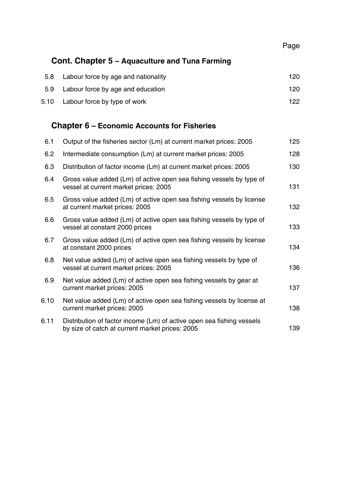Page

## **Cont. Chapter 5 – Aquaculture and Tuna Farming**

| 5.8 | Labour force by age and nationality | 120  |
|-----|-------------------------------------|------|
| 5.9 | Labour force by age and education   | 120  |
|     | 5.10 Labour force by type of work   | 122. |

# **Chapter 6 – Economic Accounts for Fisheries**

| 6.1  | Output of the fisheries sector (Lm) at current market prices: 2005                                                       | 125 |
|------|--------------------------------------------------------------------------------------------------------------------------|-----|
| 6.2  | Intermediate consumption (Lm) at current market prices: 2005                                                             | 128 |
| 6.3  | Distribution of factor income (Lm) at current market prices: 2005                                                        | 130 |
| 6.4  | Gross value added (Lm) of active open sea fishing vessels by type of<br>vessel at current market prices: 2005            | 131 |
| 6.5  | Gross value added (Lm) of active open sea fishing vessels by license<br>at current market prices: 2005                   | 132 |
| 6.6  | Gross value added (Lm) of active open sea fishing vessels by type of<br>vessel at constant 2000 prices                   | 133 |
| 6.7  | Gross value added (Lm) of active open sea fishing vessels by license<br>at constant 2000 prices                          | 134 |
| 6.8  | Net value added (Lm) of active open sea fishing vessels by type of<br>vessel at current market prices: 2005              | 136 |
| 6.9  | Net value added (Lm) of active open sea fishing vessels by gear at<br>current market prices: 2005                        | 137 |
| 6.10 | Net value added (Lm) of active open sea fishing vessels by license at<br>current market prices: 2005                     | 138 |
| 6.11 | Distribution of factor income (Lm) of active open sea fishing vessels<br>by size of catch at current market prices: 2005 | 139 |
|      |                                                                                                                          |     |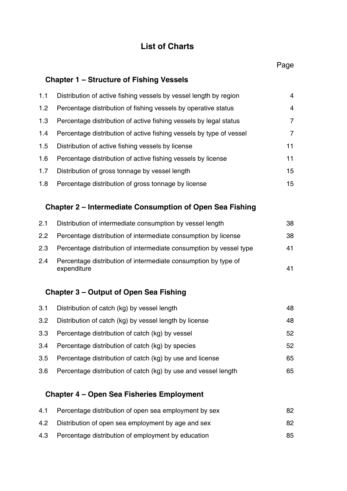# **List of Charts**

## **Chapter 1 – Structure of Fishing Vessels**

| 1.1              | Distribution of active fishing vessels by vessel length by region   | 4  |
|------------------|---------------------------------------------------------------------|----|
| 1.2 <sub>1</sub> | Percentage distribution of fishing vessels by operative status      | 4  |
| 1.3              | Percentage distribution of active fishing vessels by legal status   | 7  |
| 1.4              | Percentage distribution of active fishing vessels by type of vessel | 7  |
| 1.5              | Distribution of active fishing vessels by license                   | 11 |
| 1.6              | Percentage distribution of active fishing vessels by license        | 11 |
| 1.7              | Distribution of gross tonnage by vessel length                      | 15 |
| 1.8              | Percentage distribution of gross tonnage by license                 | 15 |

# **Chapter 2 – Intermediate Consumption of Open Sea Fishing**

| 2.1           | Distribution of intermediate consumption by vessel length                     | 38 |
|---------------|-------------------------------------------------------------------------------|----|
| $2.2^{\circ}$ | Percentage distribution of intermediate consumption by license                | 38 |
| 2.3           | Percentage distribution of intermediate consumption by vessel type            | 41 |
| 2.4           | Percentage distribution of intermediate consumption by type of<br>expenditure |    |

## **Chapter 3 – Output of Open Sea Fishing**

| 3.1 | Distribution of catch (kg) by vessel length                    | 48 |
|-----|----------------------------------------------------------------|----|
| 3.2 | Distribution of catch (kg) by vessel length by license         | 48 |
| 3.3 | Percentage distribution of catch (kg) by vessel                | 52 |
| 3.4 | Percentage distribution of catch (kg) by species               | 52 |
| 3.5 | Percentage distribution of catch (kg) by use and license       | 65 |
| 3.6 | Percentage distribution of catch (kg) by use and vessel length | 65 |

### **Chapter 4 – Open Sea Fisheries Employment**

| 4.1 | Percentage distribution of open sea employment by sex | 82 |
|-----|-------------------------------------------------------|----|
| 4.2 | Distribution of open sea employment by age and sex    | 82 |
| 4.3 | Percentage distribution of employment by education    | 85 |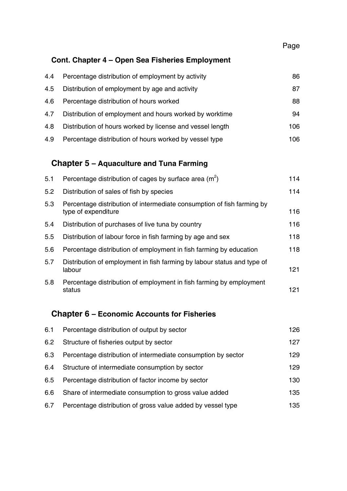## **Cont. Chapter 4 – Open Sea Fisheries Employment**

| 4.4 | Percentage distribution of employment by activity         | 86   |
|-----|-----------------------------------------------------------|------|
| 4.5 | Distribution of employment by age and activity            | 87   |
| 4.6 | Percentage distribution of hours worked                   | 88   |
| 4.7 | Distribution of employment and hours worked by worktime   | 94   |
| 4.8 | Distribution of hours worked by license and vessel length | 106  |
| 4.9 | Percentage distribution of hours worked by vessel type    | 106. |

## **Chapter 5 – Aquaculture and Tuna Farming**

| 5.1 | Percentage distribution of cages by surface area $(m2)$                                       | 114 |
|-----|-----------------------------------------------------------------------------------------------|-----|
| 5.2 | Distribution of sales of fish by species                                                      | 114 |
| 5.3 | Percentage distribution of intermediate consumption of fish farming by<br>type of expenditure | 116 |
| 5.4 | Distribution of purchases of live tuna by country                                             | 116 |
| 5.5 | Distribution of labour force in fish farming by age and sex                                   | 118 |
| 5.6 | Percentage distribution of employment in fish farming by education                            | 118 |
| 5.7 | Distribution of employment in fish farming by labour status and type of<br>labour             | 121 |
| 5.8 | Percentage distribution of employment in fish farming by employment<br>status                 | 121 |

## **Chapter 6 – Economic Accounts for Fisheries**

| 6.1 | Percentage distribution of output by sector                   | 126 |
|-----|---------------------------------------------------------------|-----|
| 6.2 | Structure of fisheries output by sector                       | 127 |
| 6.3 | Percentage distribution of intermediate consumption by sector | 129 |
| 6.4 | Structure of intermediate consumption by sector               | 129 |
| 6.5 | Percentage distribution of factor income by sector            | 130 |
| 6.6 | Share of intermediate consumption to gross value added        | 135 |
| 6.7 | Percentage distribution of gross value added by vessel type   | 135 |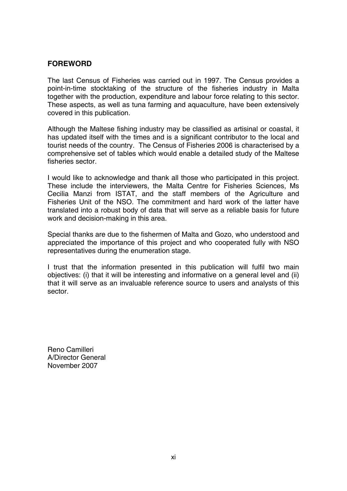#### **FOREWORD**

The last Census of Fisheries was carried out in 1997. The Census provides a point-in-time stocktaking of the structure of the fisheries industry in Malta together with the production, expenditure and labour force relating to this sector. These aspects, as well as tuna farming and aquaculture, have been extensively covered in this publication.

Although the Maltese fishing industry may be classified as artisinal or coastal, it has updated itself with the times and is a significant contributor to the local and tourist needs of the country. The Census of Fisheries 2006 is characterised by a comprehensive set of tables which would enable a detailed study of the Maltese fisheries sector.

I would like to acknowledge and thank all those who participated in this project. These include the interviewers, the Malta Centre for Fisheries Sciences, Ms Cecilia Manzi from ISTAT, and the staff members of the Agriculture and Fisheries Unit of the NSO. The commitment and hard work of the latter have translated into a robust body of data that will serve as a reliable basis for future work and decision-making in this area.

Special thanks are due to the fishermen of Malta and Gozo, who understood and appreciated the importance of this project and who cooperated fully with NSO representatives during the enumeration stage.

I trust that the information presented in this publication will fulfil two main objectives: (i) that it will be interesting and informative on a general level and (ii) that it will serve as an invaluable reference source to users and analysts of this sector.

Reno Camilleri A/Director General November 2007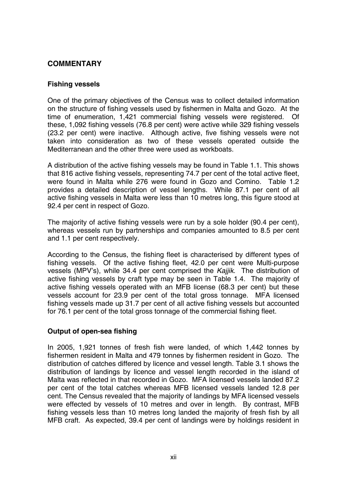### **COMMENTARY**

#### **Fishing vessels**

One of the primary objectives of the Census was to collect detailed information on the structure of fishing vessels used by fishermen in Malta and Gozo. At the time of enumeration, 1,421 commercial fishing vessels were registered. Of these, 1,092 fishing vessels (76.8 per cent) were active while 329 fishing vessels (23.2 per cent) were inactive. Although active, five fishing vessels were not taken into consideration as two of these vessels operated outside the Mediterranean and the other three were used as workboats.

A distribution of the active fishing vessels may be found in Table 1.1. This shows that 816 active fishing vessels, representing 74.7 per cent of the total active fleet, were found in Malta while 276 were found in Gozo and Comino. Table 1.2 provides a detailed description of vessel lengths. While 87.1 per cent of all active fishing vessels in Malta were less than 10 metres long, this figure stood at 92.4 per cent in respect of Gozo.

The majority of active fishing vessels were run by a sole holder (90.4 per cent), whereas vessels run by partnerships and companies amounted to 8.5 per cent and 1.1 per cent respectively.

According to the Census, the fishing fleet is characterised by different types of fishing vessels. Of the active fishing fleet, 42.0 per cent were Multi-purpose vessels (MPV's), while 34.4 per cent comprised the *Kajjik*. The distribution of active fishing vessels by craft type may be seen in Table 1.4. The majority of active fishing vessels operated with an MFB license (68.3 per cent) but these vessels account for 23.9 per cent of the total gross tonnage. MFA licensed fishing vessels made up 31.7 per cent of all active fishing vessels but accounted for 76.1 per cent of the total gross tonnage of the commercial fishing fleet.

#### **Output of open-sea fishing**

In 2005, 1,921 tonnes of fresh fish were landed, of which 1,442 tonnes by fishermen resident in Malta and 479 tonnes by fishermen resident in Gozo. The distribution of catches differed by licence and vessel length. Table 3.1 shows the distribution of landings by licence and vessel length recorded in the island of Malta was reflected in that recorded in Gozo. MFA licensed vessels landed 87.2 per cent of the total catches whereas MFB licensed vessels landed 12.8 per cent. The Census revealed that the majority of landings by MFA licensed vessels were effected by vessels of 10 metres and over in length. By contrast, MFB fishing vessels less than 10 metres long landed the majority of fresh fish by all MFB craft. As expected, 39.4 per cent of landings were by holdings resident in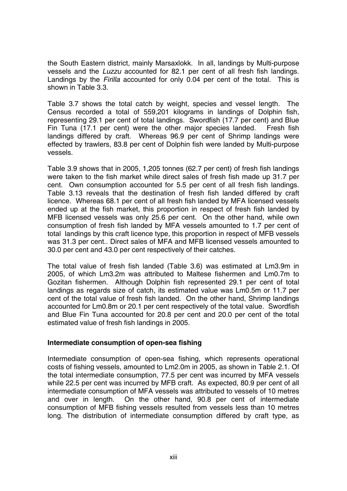the South Eastern district, mainly Marsaxlokk. In all, landings by Multi-purpose vessels and the *Luzzu* accounted for 82.1 per cent of all fresh fish landings. Landings by the *Firilla* accounted for only 0.04 per cent of the total. This is shown in Table 3.3.

Table 3.7 shows the total catch by weight, species and vessel length. The Census recorded a total of 559,201 kilograms in landings of Dolphin fish, representing 29.1 per cent of total landings. Swordfish (17.7 per cent) and Blue Fin Tuna (17.1 per cent) were the other major species landed. Fresh fish landings differed by craft. Whereas 96.9 per cent of Shrimp landings were effected by trawlers, 83.8 per cent of Dolphin fish were landed by Multi-purpose vessels.

Table 3.9 shows that in 2005, 1,205 tonnes (62.7 per cent) of fresh fish landings were taken to the fish market while direct sales of fresh fish made up 31.7 per cent. Own consumption accounted for 5.5 per cent of all fresh fish landings. Table 3.13 reveals that the destination of fresh fish landed differed by craft licence. Whereas 68.1 per cent of all fresh fish landed by MFA licensed vessels ended up at the fish market, this proportion in respect of fresh fish landed by MFB licensed vessels was only 25.6 per cent. On the other hand, while own consumption of fresh fish landed by MFA vessels amounted to 1.7 per cent of total landings by this craft licence type, this proportion in respect of MFB vessels was 31.3 per cent.. Direct sales of MFA and MFB licensed vessels amounted to 30.0 per cent and 43.0 per cent respectively of their catches.

The total value of fresh fish landed (Table 3.6) was estimated at Lm3.9m in 2005, of which Lm3.2m was attributed to Maltese fishermen and Lm0.7m to Gozitan fishermen. Although Dolphin fish represented 29.1 per cent of total landings as regards size of catch, its estimated value was Lm0.5m or 11.7 per cent of the total value of fresh fish landed. On the other hand, Shrimp landings accounted for Lm0.8m or 20.1 per cent respectively of the total value. Swordfish and Blue Fin Tuna accounted for 20.8 per cent and 20.0 per cent of the total estimated value of fresh fish landings in 2005.

#### **Intermediate consumption of open-sea fishing**

Intermediate consumption of open-sea fishing, which represents operational costs of fishing vessels, amounted to Lm2.0m in 2005, as shown in Table 2.1. Of the total intermediate consumption, 77.5 per cent was incurred by MFA vessels while 22.5 per cent was incurred by MFB craft. As expected, 80.9 per cent of all intermediate consumption of MFA vessels was attributed to vessels of 10 metres and over in length. On the other hand, 90.8 per cent of intermediate consumption of MFB fishing vessels resulted from vessels less than 10 metres long. The distribution of intermediate consumption differed by craft type, as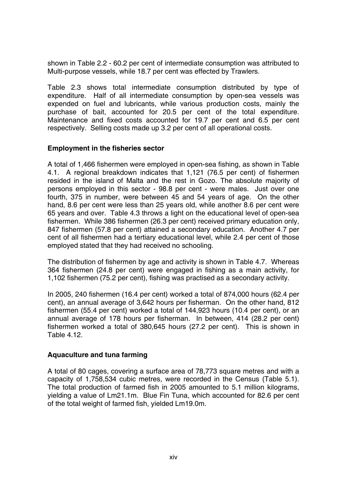shown in Table 2.2 - 60.2 per cent of intermediate consumption was attributed to Multi-purpose vessels, while 18.7 per cent was effected by Trawlers.

Table 2.3 shows total intermediate consumption distributed by type of expenditure. Half of all intermediate consumption by open-sea vessels was expended on fuel and lubricants, while various production costs, mainly the purchase of bait, accounted for 20.5 per cent of the total expenditure. Maintenance and fixed costs accounted for 19.7 per cent and 6.5 per cent respectively. Selling costs made up 3.2 per cent of all operational costs.

#### **Employment in the fisheries sector**

A total of 1,466 fishermen were employed in open-sea fishing, as shown in Table 4.1. A regional breakdown indicates that 1,121 (76.5 per cent) of fishermen resided in the island of Malta and the rest in Gozo. The absolute majority of persons employed in this sector - 98.8 per cent - were males. Just over one fourth, 375 in number, were between 45 and 54 years of age. On the other hand, 8.6 per cent were less than 25 years old, while another 8.6 per cent were 65 years and over. Table 4.3 throws a light on the educational level of open-sea fishermen. While 386 fishermen (26.3 per cent) received primary education only, 847 fishermen (57.8 per cent) attained a secondary education. Another 4.7 per cent of all fishermen had a tertiary educational level, while 2.4 per cent of those employed stated that they had received no schooling.

The distribution of fishermen by age and activity is shown in Table 4.7. Whereas 364 fishermen (24.8 per cent) were engaged in fishing as a main activity, for 1,102 fishermen (75.2 per cent), fishing was practised as a secondary activity.

In 2005, 240 fishermen (16.4 per cent) worked a total of 874,000 hours (62.4 per cent), an annual average of 3,642 hours per fisherman. On the other hand, 812 fishermen (55.4 per cent) worked a total of 144,923 hours (10.4 per cent), or an annual average of 178 hours per fisherman. In between, 414 (28.2 per cent) fishermen worked a total of 380,645 hours (27.2 per cent). This is shown in Table 4.12.

#### **Aquaculture and tuna farming**

A total of 80 cages, covering a surface area of 78,773 square metres and with a capacity of 1,758,534 cubic metres, were recorded in the Census (Table 5.1). The total production of farmed fish in 2005 amounted to 5.1 million kilograms, yielding a value of Lm21.1m. Blue Fin Tuna, which accounted for 82.6 per cent of the total weight of farmed fish, yielded Lm19.0m.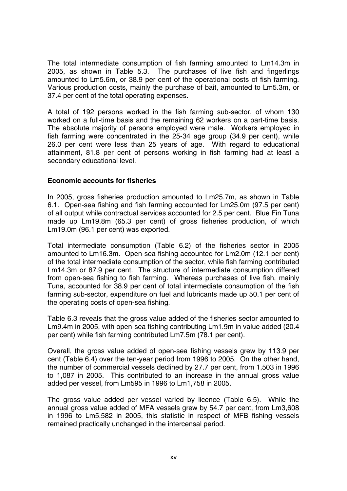The total intermediate consumption of fish farming amounted to Lm14.3m in 2005, as shown in Table 5.3. The purchases of live fish and fingerlings amounted to Lm5.6m, or 38.9 per cent of the operational costs of fish farming. Various production costs, mainly the purchase of bait, amounted to Lm5.3m, or 37.4 per cent of the total operating expenses.

A total of 192 persons worked in the fish farming sub-sector, of whom 130 worked on a full-time basis and the remaining 62 workers on a part-time basis. The absolute majority of persons employed were male. Workers employed in fish farming were concentrated in the 25-34 age group (34.9 per cent), while 26.0 per cent were less than 25 years of age. With regard to educational attainment, 81.8 per cent of persons working in fish farming had at least a secondary educational level.

#### **Economic accounts for fisheries**

In 2005, gross fisheries production amounted to Lm25.7m, as shown in Table 6.1. Open-sea fishing and fish farming accounted for Lm25.0m (97.5 per cent) of all output while contractual services accounted for 2.5 per cent. Blue Fin Tuna made up Lm19.8m (65.3 per cent) of gross fisheries production, of which Lm19.0m (96.1 per cent) was exported.

Total intermediate consumption (Table 6.2) of the fisheries sector in 2005 amounted to Lm16.3m. Open-sea fishing accounted for Lm2.0m (12.1 per cent) of the total intermediate consumption of the sector, while fish farming contributed Lm14.3m or 87.9 per cent. The structure of intermediate consumption differed from open-sea fishing to fish farming. Whereas purchases of live fish, mainly Tuna, accounted for 38.9 per cent of total intermediate consumption of the fish farming sub-sector, expenditure on fuel and lubricants made up 50.1 per cent of the operating costs of open-sea fishing.

Table 6.3 reveals that the gross value added of the fisheries sector amounted to Lm9.4m in 2005, with open-sea fishing contributing Lm1.9m in value added (20.4 per cent) while fish farming contributed Lm7.5m (78.1 per cent).

Overall, the gross value added of open-sea fishing vessels grew by 113.9 per cent (Table 6.4) over the ten-year period from 1996 to 2005. On the other hand, the number of commercial vessels declined by 27.7 per cent, from 1,503 in 1996 to 1,087 in 2005. This contributed to an increase in the annual gross value added per vessel, from Lm595 in 1996 to Lm1,758 in 2005.

The gross value added per vessel varied by licence (Table 6.5). While the annual gross value added of MFA vessels grew by 54.7 per cent, from Lm3,608 in 1996 to Lm5,582 in 2005, this statistic in respect of MFB fishing vessels remained practically unchanged in the intercensal period.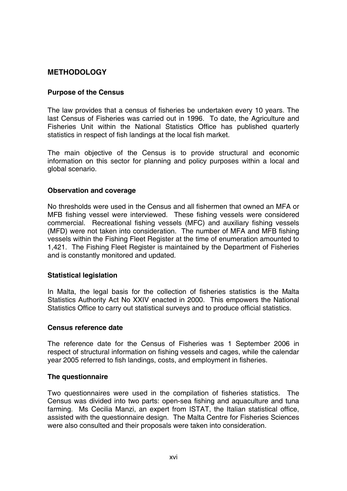#### **METHODOLOGY**

#### **Purpose of the Census**

The law provides that a census of fisheries be undertaken every 10 years. The last Census of Fisheries was carried out in 1996. To date, the Agriculture and Fisheries Unit within the National Statistics Office has published quarterly statistics in respect of fish landings at the local fish market.

The main objective of the Census is to provide structural and economic information on this sector for planning and policy purposes within a local and global scenario.

#### **Observation and coverage**

No thresholds were used in the Census and all fishermen that owned an MFA or MFB fishing vessel were interviewed. These fishing vessels were considered commercial. Recreational fishing vessels (MFC) and auxiliary fishing vessels (MFD) were not taken into consideration. The number of MFA and MFB fishing vessels within the Fishing Fleet Register at the time of enumeration amounted to 1,421. The Fishing Fleet Register is maintained by the Department of Fisheries and is constantly monitored and updated.

#### **Statistical legislation**

In Malta, the legal basis for the collection of fisheries statistics is the Malta Statistics Authority Act No XXIV enacted in 2000. This empowers the National Statistics Office to carry out statistical surveys and to produce official statistics.

#### **Census reference date**

The reference date for the Census of Fisheries was 1 September 2006 in respect of structural information on fishing vessels and cages, while the calendar year 2005 referred to fish landings, costs, and employment in fisheries.

#### **The questionnaire**

Two questionnaires were used in the compilation of fisheries statistics. The Census was divided into two parts: open-sea fishing and aquaculture and tuna farming. Ms Cecilia Manzi, an expert from ISTAT, the Italian statistical office, assisted with the questionnaire design. The Malta Centre for Fisheries Sciences were also consulted and their proposals were taken into consideration.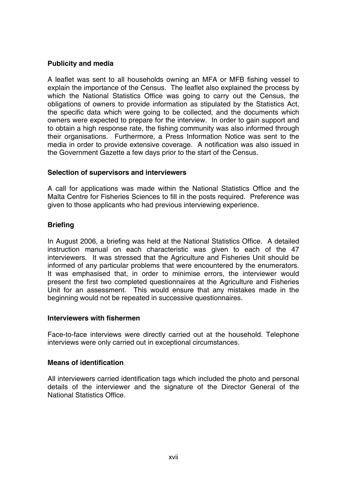#### **Publicity and media**

A leaflet was sent to all households owning an MFA or MFB fishing vessel to explain the importance of the Census. The leaflet also explained the process by which the National Statistics Office was going to carry out the Census, the obligations of owners to provide information as stipulated by the Statistics Act, the specific data which were going to be collected, and the documents which owners were expected to prepare for the interview. In order to gain support and to obtain a high response rate, the fishing community was also informed through their organisations. Furthermore, a Press Information Notice was sent to the media in order to provide extensive coverage. A notification was also issued in the Government Gazette a few days prior to the start of the Census.

#### **Selection of supervisors and interviewers**

A call for applications was made within the National Statistics Office and the Malta Centre for Fisheries Sciences to fill in the posts required. Preference was given to those applicants who had previous interviewing experience.

#### **Briefing**

In August 2006, a briefing was held at the National Statistics Office. A detailed instruction manual on each characteristic was given to each of the 47 interviewers. It was stressed that the Agriculture and Fisheries Unit should be informed of any particular problems that were encountered by the enumerators. It was emphasised that, in order to minimise errors, the interviewer would present the first two completed questionnaires at the Agriculture and Fisheries Unit for an assessment. This would ensure that any mistakes made in the beginning would not be repeated in successive questionnaires.

#### **Interviewers with fishermen**

Face-to-face interviews were directly carried out at the household. Telephone interviews were only carried out in exceptional circumstances.

#### **Means of identification**

All interviewers carried identification tags which included the photo and personal details of the interviewer and the signature of the Director General of the National Statistics Office.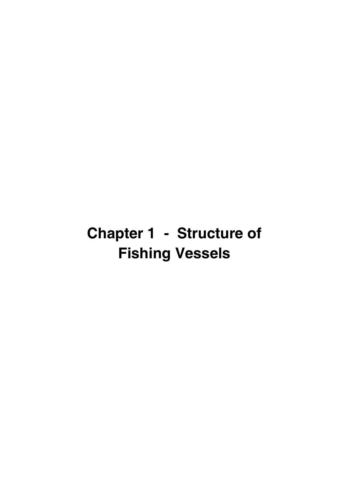# **Chapter 1 - Structure of Fishing Vessels**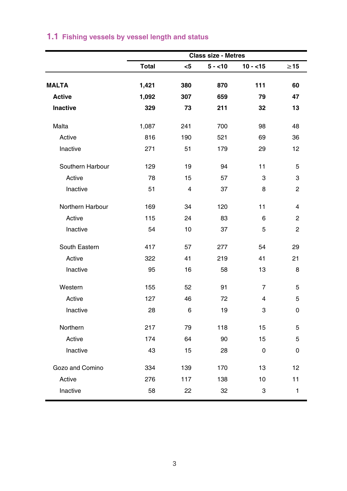|                  |              |     | <b>Class size - Metres</b> |           |                |
|------------------|--------------|-----|----------------------------|-----------|----------------|
|                  | <b>Total</b> | <5  | $5 - 10$                   | $10 - 15$ | $\geq$ 15      |
| <b>MALTA</b>     | 1,421        | 380 | 870                        | 111       | 60             |
| Active           | 1,092        | 307 | 659                        | 79        | 47             |
| <b>Inactive</b>  | 329          | 73  | 211                        | 32        | 13             |
| Malta            | 1,087        | 241 | 700                        | 98        | 48             |
| Active           | 816          | 190 | 521                        | 69        | 36             |
| Inactive         | 271          | 51  | 179                        | 29        | 12             |
| Southern Harbour | 129          | 19  | 94                         | 11        | 5              |
| Active           | 78           | 15  | 57                         | 3         | 3              |
| Inactive         | 51           | 4   | 37                         | 8         | 2              |
| Northern Harbour | 169          | 34  | 120                        | 11        | 4              |
| Active           | 115          | 24  | 83                         | 6         | 2              |
| Inactive         | 54           | 10  | 37                         | 5         | $\overline{2}$ |
| South Eastern    | 417          | 57  | 277                        | 54        | 29             |
| Active           | 322          | 41  | 219                        | 41        | 21             |
| Inactive         | 95           | 16  | 58                         | 13        | 8              |
| Western          | 155          | 52  | 91                         | 7         | 5              |
| Active           | 127          | 46  | 72                         | 4         | 5              |
| Inactive         | 28           | 6   | 19                         | 3         | 0              |
| Northern         | 217          | 79  | 118                        | 15        | 5              |
| Active           | 174          | 64  | 90                         | 15        | 5              |
| Inactive         | 43           | 15  | 28                         | 0         | 0              |
| Gozo and Comino  | 334          | 139 | 170                        | 13        | 12             |
| Active           | 276          | 117 | 138                        | 10        | 11             |
| Inactive         | 58           | 22  | 32                         | 3         | $\mathbf{1}$   |

# **1.1 Fishing vessels by vessel length and status**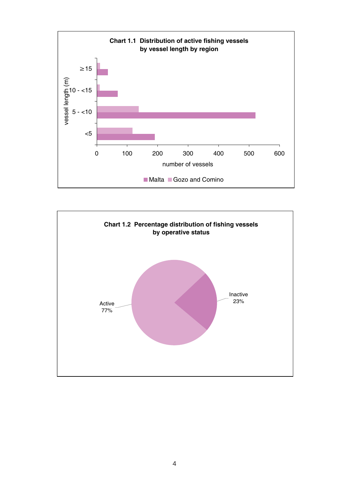

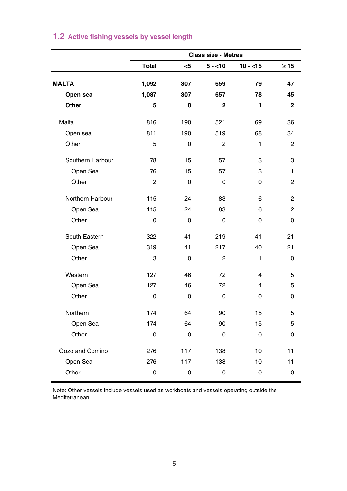|                  | <b>Class size - Metres</b> |     |                |              |                |
|------------------|----------------------------|-----|----------------|--------------|----------------|
|                  | Total                      | $5$ | $5 - 10$       | $10 - 15$    | $\geq 15$      |
| <b>MALTA</b>     | 1,092                      | 307 | 659            | 79           | 47             |
|                  | 1,087                      | 307 | 657            | 78           | 45             |
| Open sea         |                            |     |                |              |                |
| Other            | 5                          | 0   | $\mathbf{2}$   | 1            | $\mathbf{2}$   |
| Malta            | 816                        | 190 | 521            | 69           | 36             |
| Open sea         | 811                        | 190 | 519            | 68           | 34             |
| Other            | 5                          | 0   | $\overline{2}$ | $\mathbf{1}$ | $\overline{2}$ |
| Southern Harbour | 78                         | 15  | 57             | 3            | 3              |
| Open Sea         | 76                         | 15  | 57             | 3            | 1              |
| Other            | $\overline{2}$             | 0   | 0              | 0            | $\overline{c}$ |
| Northern Harbour | 115                        | 24  | 83             | 6            | $\overline{2}$ |
| Open Sea         | 115                        | 24  | 83             | 6            | $\overline{2}$ |
| Other            | 0                          | 0   | 0              | 0            | 0              |
| South Eastern    | 322                        | 41  | 219            | 41           | 21             |
| Open Sea         | 319                        | 41  | 217            | 40           | 21             |
| Other            | 3                          | 0   | $\overline{2}$ | 1            | $\mathbf 0$    |
| Western          | 127                        | 46  | 72             | 4            | 5              |
| Open Sea         | 127                        | 46  | 72             | 4            | 5              |
| Other            | 0                          | 0   | 0              | 0            | 0              |
| Northern         | 174                        | 64  | 90             | 15           | 5              |
| Open Sea         | 174                        | 64  | 90             | 15           | 5              |
| Other            | $\mathbf 0$                | 0   | 0              | 0            | 0              |
| Gozo and Comino  | 276                        | 117 | 138            | 10           | 11             |
| Open Sea         | 276                        | 117 | 138            | 10           | 11             |
| Other            | $\mathbf 0$                | 0   | $\mathbf 0$    | $\mathbf 0$  | 0              |

# **1.2 Active fishing vessels by vessel length**

Note: Other vessels include vessels used as workboats and vessels operating outside the Mediterranean.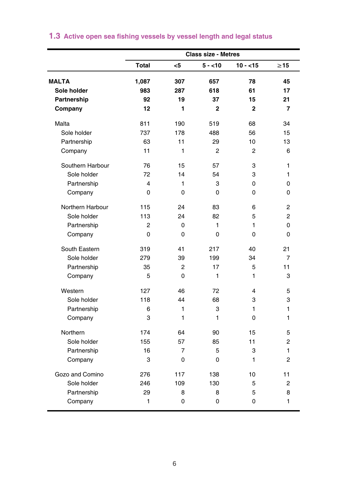|                  | <b>Class size - Metres</b> |                |                |                |                |
|------------------|----------------------------|----------------|----------------|----------------|----------------|
|                  | <b>Total</b>               | $<$ 5          | $5 - 10$       | $10 - 15$      | $\geq 15$      |
| <b>MALTA</b>     | 1,087                      | 307            | 657            | 78             | 45             |
| Sole holder      | 983                        | 287            | 618            | 61             | 17             |
| Partnership      | 92                         | 19             | 37             | 15             | 21             |
| Company          | 12                         | 1              | $\overline{2}$ | $\overline{2}$ | 7              |
| Malta            | 811                        | 190            | 519            | 68             | 34             |
| Sole holder      | 737                        | 178            | 488            | 56             | 15             |
| Partnership      | 63                         | 11             | 29             | 10             | 13             |
| Company          | 11                         | 1              | $\overline{2}$ | 2              | 6              |
| Southern Harbour | 76                         | 15             | 57             | 3              | 1              |
| Sole holder      | 72                         | 14             | 54             | 3              | 1              |
| Partnership      | 4                          | 1              | 3              | 0              | 0              |
| Company          | 0                          | $\Omega$       | 0              | 0              | 0              |
| Northern Harbour | 115                        | 24             | 83             | 6              | $\overline{2}$ |
| Sole holder      | 113                        | 24             | 82             | 5              | $\overline{2}$ |
| Partnership      | $\overline{c}$             | 0              | 1              | $\mathbf{1}$   | 0              |
| Company          | 0                          | 0              | 0              | 0              | 0              |
| South Eastern    | 319                        | 41             | 217            | 40             | 21             |
| Sole holder      | 279                        | 39             | 199            | 34             | $\overline{7}$ |
| Partnership      | 35                         | $\overline{2}$ | 17             | 5              | 11             |
| Company          | 5                          | 0              | 1              | 1              | 3              |
| Western          | 127                        | 46             | 72             | 4              | 5              |
| Sole holder      | 118                        | 44             | 68             | 3              | 3              |
| Partnership      | 6                          | 1              | 3              | 1              | 1              |
| Company          | 3                          | 1              | 1              | 0              | 1              |
| Northern         | 174                        | 64             | 90             | 15             | 5              |
| Sole holder      | 155                        | 57             | 85             | 11             | $\overline{c}$ |
| Partnership      | 16                         | $\overline{7}$ | 5              | 3              | 1              |
| Company          | 3                          | 0              | 0              | 1              | 2              |
| Gozo and Comino  | 276                        | 117            | 138            | 10             | 11             |
| Sole holder      | 246                        | 109            | 130            | 5              | $\overline{2}$ |
| Partnership      | 29                         | 8              | 8              | 5              | 8              |
| Company          | 1                          | 0              | $\mathbf 0$    | 0              | 1              |

# **1.3 Active open sea fishing vessels by vessel length and legal status**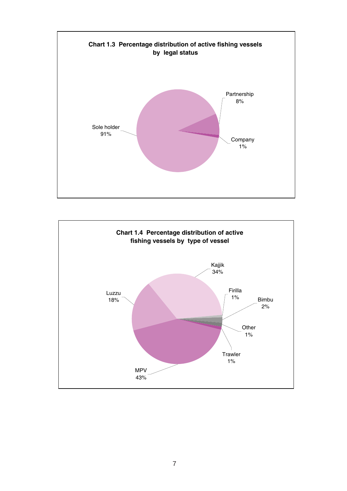

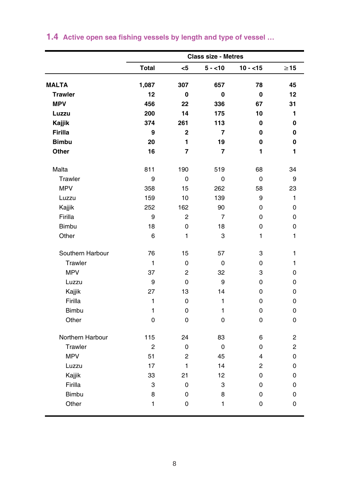|                  | <b>Class size - Metres</b> |                |                |                |             |
|------------------|----------------------------|----------------|----------------|----------------|-------------|
|                  | <b>Total</b>               | <5             | $5 - 10$       | $10 - 15$      | $\geq$ 15   |
| <b>MALTA</b>     | 1,087                      | 307            | 657            | 78             | 45          |
| <b>Trawler</b>   | 12                         | 0              | 0              | $\bf{0}$       | 12          |
| <b>MPV</b>       | 456                        | 22             | 336            | 67             | 31          |
| Luzzu            | 200                        | 14             | 175            | 10             | 1           |
| Kajjik           | 374                        | 261            | 113            | 0              | 0           |
| Firilla          | 9                          | $\overline{2}$ | 7              | 0              | 0           |
| <b>Bimbu</b>     | 20                         | 1              | 19             | 0              | 0           |
| Other            | 16                         | $\overline{7}$ | $\overline{7}$ | 1              | 1           |
| Malta            | 811                        | 190            | 519            | 68             | 34          |
| Trawler          | 9                          | 0              | 0              | $\mathbf 0$    | 9           |
| <b>MPV</b>       | 358                        | 15             | 262            | 58             | 23          |
| Luzzu            | 159                        | 10             | 139            | 9              | 1           |
| Kajjik           | 252                        | 162            | 90             | 0              | 0           |
| Firilla          | 9                          | $\overline{c}$ | $\overline{7}$ | 0              | 0           |
| <b>Bimbu</b>     | 18                         | 0              | 18             | 0              | $\mathbf 0$ |
| Other            | 6                          | 1              | 3              | 1              | 1           |
| Southern Harbour | 76                         | 15             | 57             | 3              | 1           |
| Trawler          | $\mathbf{1}$               | 0              | 0              | 0              | 1           |
| <b>MPV</b>       | 37                         | $\overline{2}$ | 32             | 3              | 0           |
| Luzzu            | 9                          | 0              | 9              | 0              | 0           |
| Kajjik           | 27                         | 13             | 14             | 0              | 0           |
| Firilla          | 1                          | 0              | $\mathbf{1}$   | 0              | 0           |
| <b>Bimbu</b>     | 1                          | 0              | 1              | 0              | 0           |
| Other            | 0                          | 0              | 0              | 0              | 0           |
| Northern Harbour | 115                        | 24             | 83             | 6              | 2           |
| Trawler          | $\overline{2}$             | 0              | $\mathbf 0$    | 0              | 2           |
| <b>MPV</b>       | 51                         | $\overline{2}$ | 45             | 4              | $\mathbf 0$ |
| Luzzu            | 17                         | $\mathbf{1}$   | 14             | $\overline{2}$ | 0           |
| Kajjik           | 33                         | 21             | 12             | 0              | 0           |
| Firilla          | 3                          | 0              | 3              | 0              | 0           |
| <b>Bimbu</b>     | 8                          | 0              | 8              | 0              | 0           |
| Other            | 1                          | 0              | $\mathbf{1}$   | 0              | 0           |

# **1.4 Active open sea fishing vessels by length and type of vessel …**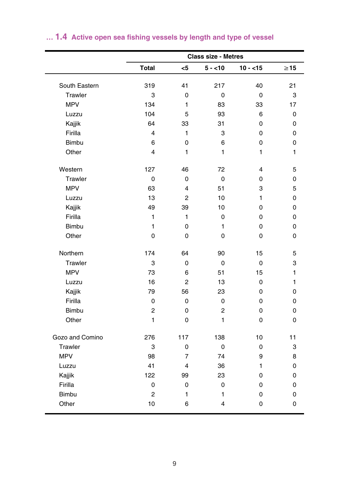|                 | <b>Class size - Metres</b> |                |                |             |           |
|-----------------|----------------------------|----------------|----------------|-------------|-----------|
|                 | Total                      | $<$ 5          | $5 - 10$       | $10 - 15$   | $\geq$ 15 |
| South Eastern   | 319                        | 41             | 217            | 40          | 21        |
| Trawler         | 3                          | 0              | 0              | 0           | 3         |
| <b>MPV</b>      | 134                        | 1              | 83             | 33          | 17        |
| Luzzu           | 104                        | 5              | 93             | 6           | 0         |
| Kajjik          | 64                         | 33             | 31             | 0           | 0         |
| Firilla         | 4                          | 1              | 3              | 0           | 0         |
| <b>Bimbu</b>    | 6                          | 0              | 6              | 0           | 0         |
| Other           | 4                          | 1              | 1              | 1           | 1         |
| Western         | 127                        | 46             | 72             | 4           | 5         |
| Trawler         | $\mathbf 0$                | 0              | 0              | 0           | 0         |
| <b>MPV</b>      | 63                         | 4              | 51             | 3           | 5         |
| Luzzu           | 13                         | 2              | 10             | 1           | 0         |
| Kajjik          | 49                         | 39             | 10             | 0           | 0         |
| Firilla         | 1                          | $\mathbf{1}$   | 0              | 0           | 0         |
| <b>Bimbu</b>    | $\mathbf{1}$               | $\mathbf 0$    | $\mathbf{1}$   | 0           | 0         |
| Other           | 0                          | 0              | 0              | 0           | 0         |
| Northern        | 174                        | 64             | 90             | 15          | 5         |
| Trawler         | 3                          | $\mathbf 0$    | 0              | $\mathbf 0$ | 3         |
| <b>MPV</b>      | 73                         | 6              | 51             | 15          | 1         |
| Luzzu           | 16                         | 2              | 13             | 0           | 1         |
| Kajjik          | 79                         | 56             | 23             | 0           | 0         |
| Firilla         | 0                          | 0              | 0              | 0           | 0         |
| Bimbu           | $\overline{2}$             | 0              | $\overline{2}$ | 0           | 0         |
| Other           | 1                          | 0              | 1              | 0           | 0         |
| Gozo and Comino | 276                        | 117            | 138            | 10          | 11        |
| Trawler         | 3                          | 0              | 0              | 0           | 3         |
| <b>MPV</b>      | 98                         | $\overline{7}$ | 74             | 9           | 8         |
| Luzzu           | 41                         | 4              | 36             | 1           | 0         |
| Kajjik          | 122                        | 99             | 23             | 0           | 0         |
| Firilla         | 0                          | 0              | 0              | 0           | 0         |
| Bimbu           | $\overline{2}$             | 1              | 1              | 0           | 0         |
| Other           | 10                         | 6              | 4              | 0           | 0         |

# **… 1.4 Active open sea fishing vessels by length and type of vessel**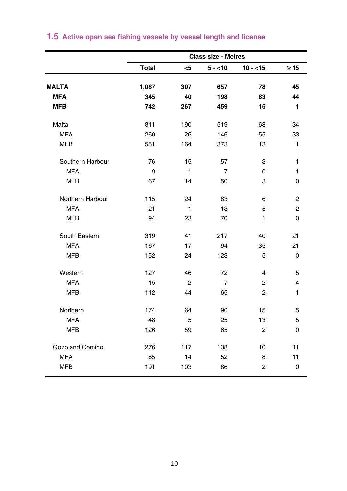|                  | <b>Class size - Metres</b> |              |                |                |                |
|------------------|----------------------------|--------------|----------------|----------------|----------------|
|                  | <b>Total</b>               | $5$          | $5 - 10$       | $10 - 15$      | $\geq$ 15      |
| <b>MALTA</b>     | 1,087                      | 307          | 657            | 78             | 45             |
| <b>MFA</b>       | 345                        | 40           | 198            | 63             | 44             |
| <b>MFB</b>       | 742                        | 267          | 459            | 15             | 1              |
|                  |                            |              |                |                |                |
| Malta            | 811                        | 190          | 519            | 68             | 34             |
| <b>MFA</b>       | 260                        | 26           | 146            | 55             | 33             |
| <b>MFB</b>       | 551                        | 164          | 373            | 13             | 1              |
| Southern Harbour | 76                         | 15           | 57             | 3              | $\mathbf{1}$   |
| <b>MFA</b>       | 9                          | 1            | $\overline{7}$ | 0              | $\mathbf{1}$   |
| <b>MFB</b>       | 67                         | 14           | 50             | 3              | 0              |
| Northern Harbour | 115                        | 24           | 83             | 6              | 2              |
| <b>MFA</b>       | 21                         | $\mathbf{1}$ | 13             | 5              | $\overline{c}$ |
| <b>MFB</b>       | 94                         | 23           | 70             | 1              | 0              |
| South Eastern    | 319                        | 41           | 217            | 40             | 21             |
| <b>MFA</b>       | 167                        | 17           | 94             | 35             | 21             |
| <b>MFB</b>       | 152                        | 24           | 123            | 5              | $\mathbf 0$    |
| Western          | 127                        | 46           | 72             | $\overline{4}$ | 5              |
| <b>MFA</b>       | 15                         | 2            | $\overline{7}$ | $\overline{2}$ | 4              |
| <b>MFB</b>       | 112                        | 44           | 65             | $\overline{2}$ | $\mathbf{1}$   |
| Northern         | 174                        | 64           | 90             | 15             | 5              |
| <b>MFA</b>       | 48                         | 5            | 25             | 13             | 5              |
| <b>MFB</b>       | 126                        | 59           | 65             | $\overline{2}$ | 0              |
| Gozo and Comino  | 276                        | 117          | 138            | 10             | 11             |
| <b>MFA</b>       | 85                         | 14           | 52             | 8              | 11             |
| <b>MFB</b>       | 191                        | 103          | 86             | $\overline{2}$ | 0              |

# **1.5 Active open sea fishing vessels by vessel length and license**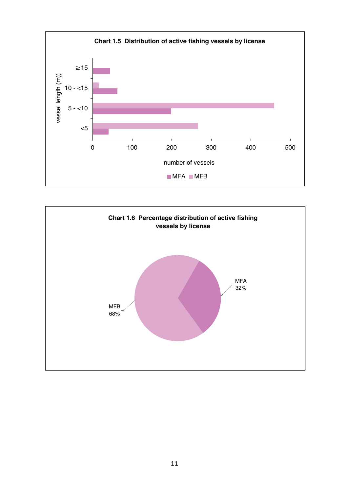

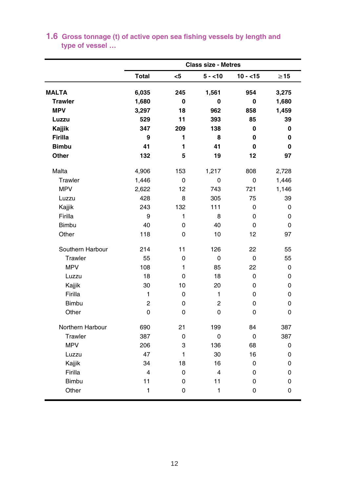|                  |                |             | <b>Class size - Metres</b> |           |           |
|------------------|----------------|-------------|----------------------------|-----------|-----------|
|                  | Total          | <5          | $5 - 10$                   | $10 - 15$ | $\geq$ 15 |
| <b>MALTA</b>     | 6,035          | 245         | 1,561                      | 954       | 3,275     |
| <b>Trawler</b>   | 1,680          | 0           | 0                          | 0         | 1,680     |
| <b>MPV</b>       | 3,297          | 18          | 962                        | 858       | 1,459     |
| Luzzu            | 529            | 11          | 393                        | 85        | 39        |
| Kajjik           | 347            | 209         | 138                        | 0         | 0         |
| Firilla          | 9              | 1           | 8                          | 0         | 0         |
| <b>Bimbu</b>     | 41             | 1           | 41                         | 0         | 0         |
| Other            | 132            | 5           | 19                         | 12        | 97        |
| Malta            | 4,906          | 153         | 1,217                      | 808       | 2,728     |
| Trawler          | 1,446          | 0           | 0                          | 0         | 1,446     |
| <b>MPV</b>       | 2,622          | 12          | 743                        | 721       | 1,146     |
| Luzzu            | 428            | 8           | 305                        | 75        | 39        |
| Kajjik           | 243            | 132         | 111                        | 0         | 0         |
| Firilla          | 9              | 1           | 8                          | 0         | 0         |
| <b>Bimbu</b>     | 40             | 0           | 40                         | 0         | 0         |
| Other            | 118            | 0           | 10                         | 12        | 97        |
| Southern Harbour | 214            | 11          | 126                        | 22        | 55        |
| Trawler          | 55             | $\mathbf 0$ | 0                          | 0         | 55        |
| <b>MPV</b>       | 108            | 1           | 85                         | 22        | 0         |
| Luzzu            | 18             | 0           | 18                         | 0         | 0         |
| Kajjik           | 30             | 10          | 20                         | 0         | 0         |
| Firilla          | 1              | 0           | 1                          | 0         | 0         |
| <b>Bimbu</b>     | $\overline{2}$ | 0           | 2                          | 0         | 0         |
| Other            | 0              | 0           | 0                          | 0         | 0         |
| Northern Harbour | 690            | 21          | 199                        | 84        | 387       |
| Trawler          | 387            | 0           | 0                          | 0         | 387       |
| <b>MPV</b>       | 206            | 3           | 136                        | 68        | 0         |
| Luzzu            | 47             | 1           | 30                         | 16        | 0         |
| Kajjik           | 34             | 18          | 16                         | 0         | 0         |
| Firilla          | 4              | 0           | $\overline{\mathbf{4}}$    | 0         | 0         |
| <b>Bimbu</b>     | 11             | 0           | 11                         | 0         | 0         |
| Other            | 1              | 0           | 1                          | $\Omega$  | 0         |

## **1.6 Gross tonnage (t) of active open sea fishing vessels by length and type of vessel …**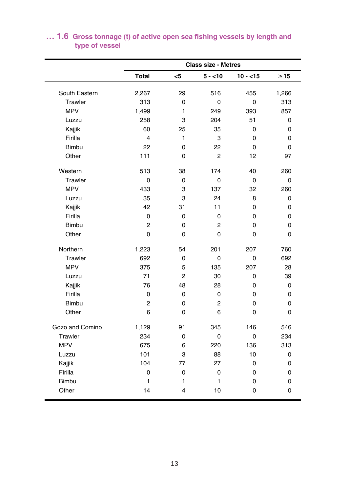|                 | <b>Class size - Metres</b> |                |                |           |           |
|-----------------|----------------------------|----------------|----------------|-----------|-----------|
|                 | Total                      | $5$            | $5 - 10$       | $10 - 15$ | $\geq$ 15 |
| South Eastern   | 2,267                      | 29             | 516            | 455       | 1,266     |
| Trawler         | 313                        | 0              | $\Omega$       | 0         | 313       |
| <b>MPV</b>      | 1,499                      | 1              | 249            | 393       | 857       |
| Luzzu           | 258                        | 3              | 204            | 51        | 0         |
| Kajjik          | 60                         | 25             | 35             | 0         | 0         |
| Firilla         | $\overline{\mathbf{4}}$    | 1              | 3              | 0         | 0         |
| Bimbu           | 22                         | 0              | 22             | 0         | 0         |
| Other           | 111                        | 0              | 2              | 12        | 97        |
| Western         | 513                        | 38             | 174            | 40        | 260       |
| Trawler         | 0                          | 0              | 0              | 0         | 0         |
| <b>MPV</b>      | 433                        | 3              | 137            | 32        | 260       |
| Luzzu           | 35                         | 3              | 24             | 8         | 0         |
| Kajjik          | 42                         | 31             | 11             | $\Omega$  | 0         |
| Firilla         | 0                          | 0              | 0              | $\Omega$  | 0         |
| <b>Bimbu</b>    | 2                          | 0              | 2              | 0         | $\Omega$  |
| Other           | $\Omega$                   | 0              | $\Omega$       | 0         | 0         |
| Northern        | 1,223                      | 54             | 201            | 207       | 760       |
| Trawler         | 692                        | 0              | 0              | 0         | 692       |
| <b>MPV</b>      | 375                        | 5              | 135            | 207       | 28        |
| Luzzu           | 71                         | $\overline{2}$ | 30             | 0         | 39        |
| Kajjik          | 76                         | 48             | 28             | 0         | 0         |
| Firilla         | 0                          | 0              | 0              | 0         | 0         |
| Bimbu           | 2                          | 0              | $\overline{c}$ | 0         | 0         |
| Other           | 6                          | 0              | 6              | 0         | 0         |
| Gozo and Comino | 1,129                      | 91             | 345            | 146       | 546       |
| Trawler         | 234                        | 0              | 0              | 0         | 234       |
| <b>MPV</b>      | 675                        | 6              | 220            | 136       | 313       |
| Luzzu           | 101                        | 3              | 88             | 10        | 0         |
| Kajjik          | 104                        | 77             | 27             | 0         | 0         |
| Firilla         | 0                          | $\mathbf 0$    | 0              | 0         | 0         |
| <b>Bimbu</b>    | 1                          | 1              | 1              | 0         | 0         |
| Other           | 14                         | 4              | 10             | 0         | 0         |

## **… 1.6 Gross tonnage (t) of active open sea fishing vessels by length and type of vessel**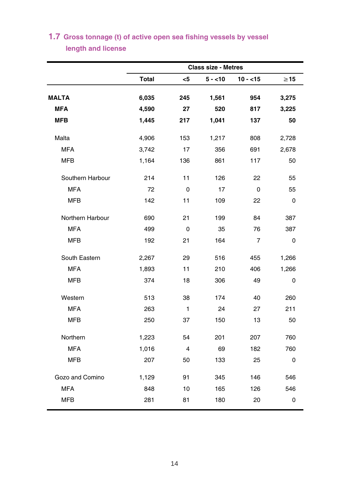|                  | <b>Class size - Metres</b> |                |          |                |           |  |  |
|------------------|----------------------------|----------------|----------|----------------|-----------|--|--|
|                  | <b>Total</b>               | $5$            | $5 - 10$ | $10 - 15$      | $\geq$ 15 |  |  |
| <b>MALTA</b>     | 6,035                      | 245            | 1,561    | 954            | 3,275     |  |  |
| <b>MFA</b>       | 4,590                      | 27             | 520      | 817            | 3,225     |  |  |
| <b>MFB</b>       | 1,445                      | 217            | 1,041    | 137            | 50        |  |  |
| Malta            | 4,906                      | 153            | 1,217    | 808            | 2,728     |  |  |
| <b>MFA</b>       | 3,742                      | 17             | 356      | 691            | 2,678     |  |  |
| <b>MFB</b>       | 1,164                      | 136            | 861      | 117            | 50        |  |  |
| Southern Harbour | 214                        | 11             | 126      | 22             | 55        |  |  |
| <b>MFA</b>       | 72                         | 0              | 17       | 0              | 55        |  |  |
| <b>MFB</b>       | 142                        | 11             | 109      | 22             | 0         |  |  |
| Northern Harbour | 690                        | 21             | 199      | 84             | 387       |  |  |
| <b>MFA</b>       | 499                        | 0              | 35       | 76             | 387       |  |  |
| <b>MFB</b>       | 192                        | 21             | 164      | $\overline{7}$ | 0         |  |  |
| South Eastern    | 2,267                      | 29             | 516      | 455            | 1,266     |  |  |
| <b>MFA</b>       | 1,893                      | 11             | 210      | 406            | 1,266     |  |  |
| <b>MFB</b>       | 374                        | 18             | 306      | 49             | 0         |  |  |
| Western          | 513                        | 38             | 174      | 40             | 260       |  |  |
| <b>MFA</b>       | 263                        | $\mathbf{1}$   | 24       | 27             | 211       |  |  |
| <b>MFB</b>       | 250                        | 37             | 150      | 13             | 50        |  |  |
| Northern         | 1,223                      | 54             | 201      | 207            | 760       |  |  |
| <b>MFA</b>       | 1,016                      | $\overline{4}$ | 69       | 182            | 760       |  |  |
| <b>MFB</b>       | 207                        | 50             | 133      | 25             | 0         |  |  |
| Gozo and Comino  | 1,129                      | 91             | 345      | 146            | 546       |  |  |
| <b>MFA</b>       | 848                        | 10             | 165      | 126            | 546       |  |  |
| MFB              | 281                        | 81             | 180      | 20             | 0         |  |  |

# **length and license 1.7 Gross tonnage (t) of active open sea fishing vessels by vessel**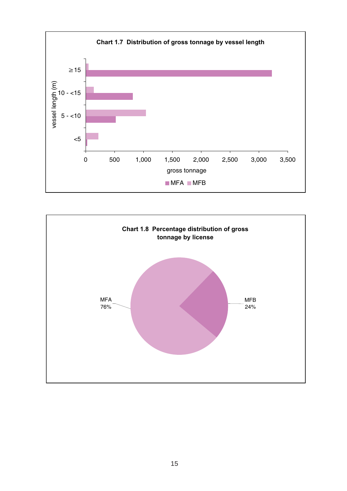

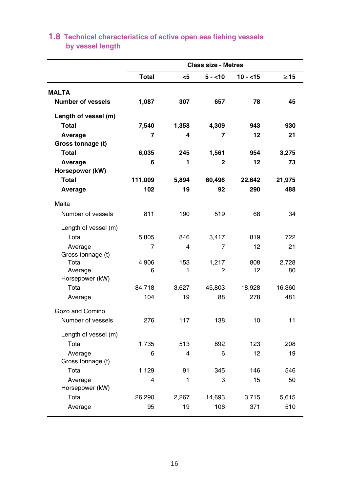|                            | <b>Class size - Metres</b> |              |            |           |             |  |  |
|----------------------------|----------------------------|--------------|------------|-----------|-------------|--|--|
|                            | Total                      | <5           | $5 - 10$   | $10 - 15$ | $\geq$ 15   |  |  |
| <b>MALTA</b>               |                            |              |            |           |             |  |  |
| <b>Number of vessels</b>   | 1,087                      | 307          | 657        | 78        | 45          |  |  |
| Length of vessel (m)       |                            |              |            |           |             |  |  |
| Total                      | 7,540                      | 1,358        | 4,309      | 943       | 930         |  |  |
| Average                    | 7                          | 4            | 7          | 12        | 21          |  |  |
| Gross tonnage (t)          |                            |              |            |           |             |  |  |
| Total                      | 6,035                      | 245          | 1,561      | 954       | 3,275       |  |  |
| Average                    | 6                          | 1            | 2          | 12        | 73          |  |  |
| Horsepower (kW)            |                            |              |            |           |             |  |  |
| <b>Total</b>               | 111,009                    | 5,894        | 60,496     | 22,642    | 21,975      |  |  |
| Average                    | 102                        | 19           | 92         | 290       | 488         |  |  |
| Malta                      |                            |              |            |           |             |  |  |
| Number of vessels          | 811                        | 190          | 519        | 68        | 34          |  |  |
| Length of vessel (m)       |                            |              |            |           |             |  |  |
| Total                      | 5,805                      | 846          | 3,417      | 819       | 722         |  |  |
| Average                    | 7                          | 4            | 7          | 12        | 21          |  |  |
| Gross tonnage (t)          |                            |              |            |           |             |  |  |
| Total                      | 4,906<br>6                 | 153<br>1     | 1,217<br>2 | 808<br>12 | 2,728<br>80 |  |  |
| Average<br>Horsepower (kW) |                            |              |            |           |             |  |  |
| Total                      | 84,718                     | 3,627        | 45,803     | 18,928    | 16,360      |  |  |
| Average                    | 104                        | 19           | 88         | 278       | 481         |  |  |
| Gozo and Comino            |                            |              |            |           |             |  |  |
| Number of vessels          | 276                        | 117          | 138        | 10        | 11          |  |  |
| Length of vessel (m)       |                            |              |            |           |             |  |  |
| Total                      | 1,735                      | 513          | 892        | 123       | 208         |  |  |
| Average                    | 6                          | 4            | 6          | 12        | 19          |  |  |
| Gross tonnage (t)          |                            |              |            |           |             |  |  |
| Total                      | 1,129                      | 91           | 345        | 146       | 546         |  |  |
| Average                    | $\overline{\mathbf{4}}$    | $\mathbf{1}$ | 3          | 15        | 50          |  |  |
| Horsepower (kW)            |                            |              |            |           |             |  |  |
| Total                      | 26,290                     | 2.267        | 14,693     | 3,715     | 5,615       |  |  |
| Average                    | 95                         | 19           | 106        | 371       | 510         |  |  |

## **by vessel length 1.8 Technical characteristics of active open sea fishing vessels**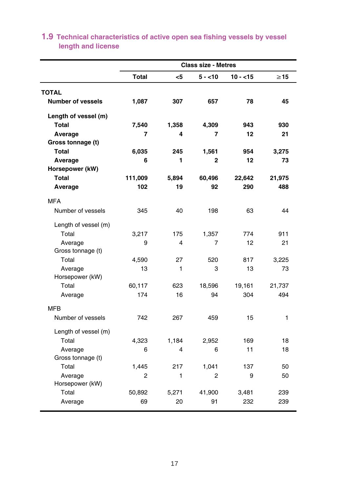|                          |                |       | <b>Class size - Metres</b> |           |           |
|--------------------------|----------------|-------|----------------------------|-----------|-----------|
|                          | <b>Total</b>   | <5    | 5 - <10                    | $10 - 15$ | $\geq 15$ |
| <b>TOTAL</b>             |                |       |                            |           |           |
| <b>Number of vessels</b> | 1,087          | 307   | 657                        | 78        | 45        |
| Length of vessel (m)     |                |       |                            |           |           |
| <b>Total</b>             | 7,540          | 1,358 | 4,309                      | 943       | 930       |
| Average                  | 7              | 4     | 7                          | 12        | 21        |
| Gross tonnage (t)        |                |       |                            |           |           |
| Total                    | 6,035          | 245   | 1,561                      | 954       | 3,275     |
| Average                  | 6              | 1     | 2                          | 12        | 73        |
| Horsepower (kW)          |                |       |                            |           |           |
| Total                    | 111,009        | 5,894 | 60,496                     | 22,642    | 21,975    |
| Average                  | 102            | 19    | 92                         | 290       | 488       |
| <b>MFA</b>               |                |       |                            |           |           |
| Number of vessels        | 345            | 40    | 198                        | 63        | 44        |
| Length of vessel (m)     |                |       |                            |           |           |
| Total                    | 3,217          | 175   | 1,357                      | 774       | 911       |
| Average                  | 9              | 4     | 7                          | 12        | 21        |
| Gross tonnage (t)        |                |       |                            |           |           |
| Total                    | 4,590          | 27    | 520                        | 817       | 3,225     |
| Average                  | 13             | 1     | 3                          | 13        | 73        |
| Horsepower (kW)          |                |       |                            |           |           |
| Total                    | 60,117         | 623   | 18,596                     | 19,161    | 21,737    |
| Average                  | 174            | 16    | 94                         | 304       | 494       |
| <b>MFB</b>               |                |       |                            |           |           |
| Number of vessels        | 742            | 267   | 459                        | 15        | 1         |
| Length of vessel (m)     |                |       |                            |           |           |
| Total                    | 4,323          | 1,184 | 2,952                      | 169       | 18        |
| Average                  | 6              | 4     | 6                          | 11        | 18        |
| Gross tonnage (t)        |                |       |                            |           |           |
| Total                    | 1,445          | 217   | 1,041                      | 137       | 50        |
| Average                  | $\overline{2}$ | 1     | $\overline{2}$             | 9         | 50        |
| Horsepower (kW)          |                |       |                            |           |           |
| Total                    | 50,892         | 5,271 | 41,900                     | 3,481     | 239       |
| Average                  | 69             | 20    | 91                         | 232       | 239       |

# **length and license 1.9 Technical characteristics of active open sea fishing vessels by vessel**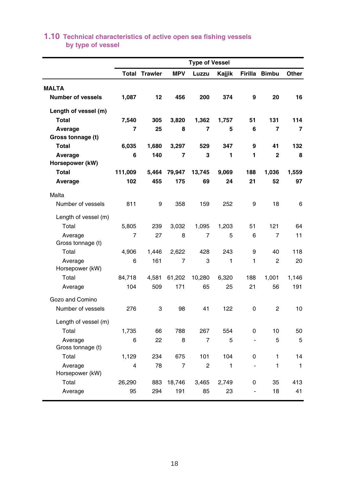|                              |                         |         |                | <b>Type of Vessel</b> |        |                |                |                |
|------------------------------|-------------------------|---------|----------------|-----------------------|--------|----------------|----------------|----------------|
|                              | Total                   | Trawler | <b>MPV</b>     | Luzzu                 | Kajjik | Firilla        | <b>Bimbu</b>   | Other          |
| <b>MALTA</b>                 |                         |         |                |                       |        |                |                |                |
| <b>Number of vessels</b>     | 1,087                   | 12      | 456            | 200                   | 374    | 9              | 20             | 16             |
| Length of vessel (m)         |                         |         |                |                       |        |                |                |                |
| Total                        | 7,540                   | 305     | 3,820          | 1,362                 | 1,757  | 51             | 131            | 114            |
| Average                      | 7                       | 25      | 8              | 7                     | 5      | 6              | 7              | $\overline{7}$ |
| Gross tonnage (t)            |                         |         |                |                       |        |                |                |                |
| Total                        | 6,035                   | 1,680   | 3,297          | 529                   | 347    | 9              | 41             | 132            |
| Average                      | 6                       | 140     | $\overline{7}$ | 3                     | 1      | 1              | $\overline{2}$ | 8              |
| Horsepower (kW)              |                         |         |                |                       |        |                |                |                |
| <b>Total</b>                 | 111,009                 | 5,464   | 79,947         | 13,745                | 9,069  | 188            | 1,036          | 1,559          |
| Average                      | 102                     | 455     | 175            | 69                    | 24     | 21             | 52             | 97             |
| Malta                        |                         |         |                |                       |        |                |                |                |
| Number of vessels            | 811                     | 9       | 358            | 159                   | 252    | 9              | 18             | 6              |
| Length of vessel (m)         |                         |         |                |                       |        |                |                |                |
| Total                        | 5,805                   | 239     | 3,032          | 1,095                 | 1,203  | 51             | 121            | 64             |
| Average<br>Gross tonnage (t) | 7                       | 27      | 8              | 7                     | 5      | 6              | 7              | 11             |
| Total                        | 4,906                   | 1,446   | 2.622          | 428                   | 243    | 9              | 40             | 118            |
| Average<br>Horsepower (kW)   | 6                       | 161     | 7              | 3                     | 1      | 1              | $\overline{2}$ | 20             |
| Total                        | 84,718                  | 4,581   | 61,202         | 10,280                | 6,320  | 188            | 1,001          | 1,146          |
| Average                      | 104                     | 509     | 171            | 65                    | 25     | 21             | 56             | 191            |
| Gozo and Comino              |                         |         |                |                       |        |                |                |                |
| Number of vessels            | 276                     | 3       | 98             | 41                    | 122    | 0              | 2              | 10             |
| Length of vessel (m)         |                         |         |                |                       |        |                |                |                |
| Total                        | 1,735                   | 66      | 788            | 267                   | 554    | $\Omega$       | 10             | 50             |
| Average                      | 6                       | 22      | 8              | 7                     | 5      |                | 5              | 5              |
| Gross tonnage (t)            |                         |         |                |                       |        |                |                |                |
| Total                        | 1,129                   | 234     | 675            | 101                   | 104    | 0              | 1              | 14             |
| Average                      | $\overline{\mathbf{4}}$ | 78      | $\overline{7}$ | $\overline{2}$        | 1      | ÷,             | 1              | $\mathbf{1}$   |
| Horsepower (kW)              |                         |         |                |                       |        |                |                |                |
| Total                        | 26,290                  | 883     | 18,746         | 3,465                 | 2,749  | 0              | 35             | 413            |
| Average                      | 95                      | 294     | 191            | 85                    | 23     | $\blacksquare$ | 18             | 41             |

## **by type of vessel 1.10 Technical characteristics of active open sea fishing vessels**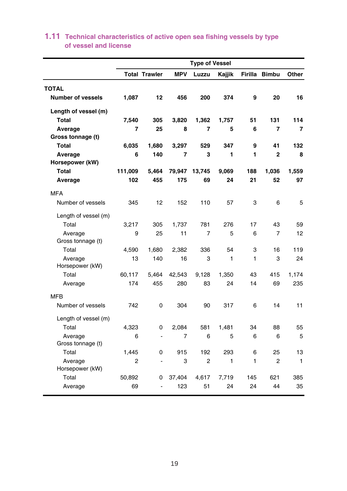|                            |         |                          |            | <b>Type of Vessel</b> |        |         |                |              |
|----------------------------|---------|--------------------------|------------|-----------------------|--------|---------|----------------|--------------|
|                            |         | <b>Total Trawler</b>     | <b>MPV</b> | Luzzu                 | Kajjik | Firilla | <b>Bimbu</b>   | Other        |
| <b>TOTAL</b>               |         |                          |            |                       |        |         |                |              |
| <b>Number of vessels</b>   | 1,087   | 12                       | 456        | 200                   | 374    | 9       | 20             | 16           |
| Length of vessel (m)       |         |                          |            |                       |        |         |                |              |
| <b>Total</b>               | 7,540   | 305                      | 3,820      | 1,362                 | 1,757  | 51      | 131            | 114          |
| Average                    | 7       | 25                       | 8          | 7                     | 5      | 6       | 7              | 7            |
| Gross tonnage (t)          |         |                          |            |                       |        |         |                |              |
| Total                      | 6,035   | 1,680                    | 3,297      | 529                   | 347    | 9       | 41             | 132          |
| Average                    | 6       | 140                      | 7          | 3                     | 1      | 1       | $\overline{2}$ | 8            |
| Horsepower (kW)            |         |                          |            |                       |        |         |                |              |
| <b>Total</b>               | 111,009 | 5,464                    | 79,947     | 13,745                | 9,069  | 188     | 1,036          | 1,559        |
| Average                    | 102     | 455                      | 175        | 69                    | 24     | 21      | 52             | 97           |
| <b>MFA</b>                 |         |                          |            |                       |        |         |                |              |
| Number of vessels          | 345     | 12                       | 152        | 110                   | 57     | 3       | 6              | 5            |
| Length of vessel (m)       |         |                          |            |                       |        |         |                |              |
| Total                      | 3.217   | 305                      | 1,737      | 781                   | 276    | 17      | 43             | 59           |
| Average                    | 9       | 25                       | 11         | $\overline{7}$        | 5      | 6       | $\overline{7}$ | 12           |
| Gross tonnage (t)          |         |                          |            |                       |        |         |                |              |
| Total                      | 4,590   | 1,680                    | 2,382      | 336                   | 54     | 3       | 16             | 119          |
| Average<br>Horsepower (kW) | 13      | 140                      | 16         | 3                     | 1      | 1       | 3              | 24           |
| Total                      | 60,117  | 5,464                    | 42,543     | 9,128                 | 1.350  | 43      | 415            | 1,174        |
| Average                    | 174     | 455                      | 280        | 83                    | 24     | 14      | 69             | 235          |
| <b>MFB</b>                 |         |                          |            |                       |        |         |                |              |
| Number of vessels          | 742     | 0                        | 304        | 90                    | 317    | 6       | 14             | 11           |
| Length of vessel (m)       |         |                          |            |                       |        |         |                |              |
| Total                      | 4,323   | 0                        | 2,084      | 581                   | 1,481  | 34      | 88             | 55           |
| Average                    | 6       | $\overline{\phantom{a}}$ | 7          | 6                     | 5      | 6       | 6              | 5            |
| Gross tonnage (t)          |         |                          |            |                       |        |         |                |              |
| Total                      | 1,445   | 0                        | 915        | 192                   | 293    | 6       | 25             | 13           |
| Average                    | 2       |                          | 3          | $\overline{2}$        | 1      | 1       | 2              | $\mathbf{1}$ |
| Horsepower (kW)            |         |                          |            |                       |        |         |                |              |
| Total                      | 50,892  | 0                        | 37,404     | 4,617                 | 7,719  | 145     | 621            | 385          |
| Average                    | 69      | ÷,                       | 123        | 51                    | 24     | 24      | 44             | 35           |

# **of vessel and license 1.11 Technical characteristics of active open sea fishing vessels by type**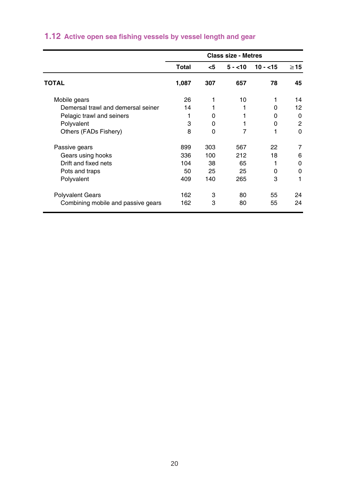|                                    |       |          | <b>Class size - Metres</b> |              |           |
|------------------------------------|-------|----------|----------------------------|--------------|-----------|
|                                    | Total | <5       | $5 - 10$                   | $10 - 15$    | $\geq$ 15 |
| TOTAL                              | 1,087 | 307      | 657                        | 78           | 45        |
| Mobile gears                       | 26    | 1        | 10                         |              | 14        |
| Demersal trawl and demersal seiner | 14    |          |                            | O            | 12        |
| Pelagic trawl and seiners          | 1     | 0        |                            | O            | 0         |
| Polyvalent                         | 3     | $\Omega$ |                            | 0            | 2         |
| Others (FADs Fishery)              | 8     | 0        | 7                          |              | $\Omega$  |
| Passive gears                      | 899   | 303      | 567                        | 22           | 7         |
| Gears using hooks                  | 336   | 100      | 212                        | 18           | 6         |
| Drift and fixed nets               | 104   | 38       | 65                         |              | 0         |
| Pots and traps                     | 50    | 25       | 25                         | <sup>0</sup> | 0         |
| Polyvalent                         | 409   | 140      | 265                        | 3            | 1         |
| <b>Polyvalent Gears</b>            | 162   | 3        | 80                         | 55           | 24        |
| Combining mobile and passive gears | 162   | 3        | 80                         | 55           | 24        |

# **1.12 Active open sea fishing vessels by vessel length and gear**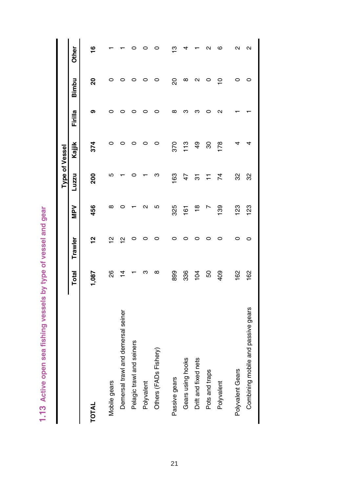1.13 Active open sea fishing vessels by type of vessel and gear **1.13 Active open sea fishing vessels by type of vessel and gear**

|                                    |                |         |               | <b>Type of Vessel</b> |        |         |                |              |
|------------------------------------|----------------|---------|---------------|-----------------------|--------|---------|----------------|--------------|
|                                    | Total          | Trawler | NeM           | Luzzu                 | Kajjik | Firilla | Bimbu          | <b>Other</b> |
| <b>TOTAL</b>                       | 1,087          | 51      | 456           | 200                   | 374    | თ       | 20             | ۽            |
| Mobile gears                       | 88             | 얻       | $\infty$      | Ю                     |        |         |                |              |
| Demersal trawl and demersal seiner | $\overline{4}$ | 얻       |               |                       |        |         |                |              |
| Pelagic trawl and seiners          |                |         |               |                       |        |         |                |              |
| Polyvalent                         | m              |         | ุ             |                       |        |         | ○              |              |
| Others (FADs Fishery)              | ∞              |         | 5             | ო                     | 0      |         | 0              |              |
| Passive gears                      | 899            |         | 325           | 163                   | 370    |         | 20             |              |
| Gears using hooks                  | 336            |         | 161           | 47                    | 113    |         | $\infty$       |              |
| Drift and fixed nets               | 104            |         | $\frac{8}{1}$ | 5                     | 49     |         | N              |              |
| Pots and traps                     | 50             |         |               | Ξ                     | 80     |         | 0              |              |
| Polyvalent                         | 409            |         | 139           | 74                    | 178    |         | $\overline{a}$ | ဖ            |
| Polyvalent Gears                   | 162            | 0       | 123           | 32                    |        |         | 0              | ผ            |
| Combining mobile and passive gears | 162            | 0       | 123           | 32                    |        |         | o              | Ν            |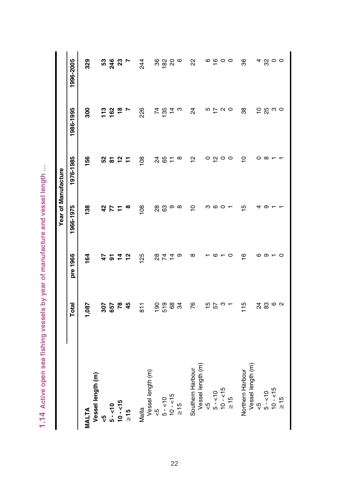| ׅׅׅׅׅ֧֚֚֚֚֚֚֚֚֚֚֚֚֚֚֚֚֚֚֬֡֡֜֡֜֓֡֡֡֓֡֡֓֡֡֓֡֓                                                |
|--------------------------------------------------------------------------------------------|
|                                                                                            |
| I<br>,<br>í                                                                                |
|                                                                                            |
|                                                                                            |
|                                                                                            |
| j                                                                                          |
| ٦<br>i<br>$\vdots$                                                                         |
| I<br>I                                                                                     |
| í                                                                                          |
| j<br>I<br>í<br>Ï<br>۱                                                                      |
| ï                                                                                          |
| Ï                                                                                          |
| ļ                                                                                          |
| i<br>١                                                                                     |
|                                                                                            |
|                                                                                            |
| ֧֧֧֧֧֧֧֧֧֧֧֧֧֧֧֧֧֧֧֧֧֛֛֛֛֛֧֛֚֚֚֚֚֚֚֚֚֚֚֚֚֚֚֚֚֚֚֚֚֚֚֚֚֚֚֚֚֚֚֚֝֩֓֝֓֝֓֝֓֓֜֝֓֜֜֜֜֝֬֜֝֬֜֜֝֬֜֜֜֝ |
| Ï<br>5<br>ī                                                                                |
| I                                                                                          |
|                                                                                            |
| ŋ<br>i                                                                                     |
| í<br>j<br>١                                                                                |
|                                                                                            |
| å                                                                                          |
| ¢                                                                                          |
| į<br>١                                                                                     |
| I<br>J<br>i<br>۱                                                                           |
| ı<br>i<br>ī                                                                                |
|                                                                                            |
| ₹                                                                                          |
| ٧<br>ı                                                                                     |
| í                                                                                          |

|                                       |               |          | Year of Manufacture |                       |                         |                |
|---------------------------------------|---------------|----------|---------------------|-----------------------|-------------------------|----------------|
|                                       | Total         | pre 1966 | 1966-1975           | 1976-1985             | 1986-1995               | 1996-2005      |
| Vessel length (m)<br><b>MALTA</b>     | 1,087         | 164      | $\frac{38}{2}$      | 156                   | 900                     | 329            |
|                                       |               |          | 42                  |                       |                         |                |
| $5 - 10$                              | <b>35 8 4</b> | おいはな     | 57                  | 55 2 11               |                         | <b>និង ខ</b> ្ |
| $10 - 15$                             |               |          |                     |                       |                         |                |
| $\frac{5}{15}$                        |               |          | œ                   |                       |                         |                |
| Malta                                 | $\frac{1}{8}$ | 125      | $\frac{80}{1}$      | 108                   | 226                     | 244            |
| Vessel length (m)                     |               |          |                     |                       |                         |                |
| $\sqrt{2}$                            |               |          |                     |                       |                         |                |
| $5 - 10$                              |               | 82 H     | <b>88</b>           | 28 H                  | <b>4 is 4</b><br>4 is 4 | ೫ <u>೫</u> ೫ ७ |
| $10 - 15$                             |               |          | თ                   |                       |                         |                |
| $\frac{5}{2}$                         | 9.583         | ၜ        | $\infty$            | $\infty$              | ო                       |                |
| Vessel length (m)<br>Southern Harbour | 76            | $\infty$ | $\frac{1}{2}$       | 으                     | $\overline{24}$         | 22             |
|                                       |               |          | ო                   |                       |                         |                |
| $5 - 10$<br>$5 - 10$<br>$10 - 15$     |               | G        | ဖ ဝ                 | $\circ$ $\frac{1}{2}$ |                         |                |
|                                       | 55 a          |          |                     | $\circ$ $\circ$       | $D \nsubseteq \alpha$   | $\circ \circ$  |
| $\frac{51}{2}$                        |               | $\circ$  |                     |                       |                         |                |
| Vessel length (m)<br>Northern Harbour | 115           | ဖ        | $\frac{1}{2}$       | $\overline{C}$        | 38                      | 36             |
| $\frac{1}{2}$                         |               | ဖ        | 4                   | 0                     |                         |                |
| $5 - 10$                              |               | ത-       | တ                   | $\infty$              | င္ ဗု ဗ ဇ               | 4800           |
| $10 - 15$                             |               |          |                     |                       |                         |                |
| $\geq 15$                             |               | $\circ$  |                     |                       |                         |                |
|                                       |               |          |                     |                       |                         |                |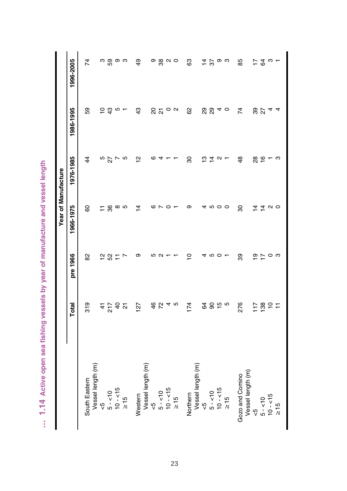| į<br>١<br>ׇ֚֬֡֡       |
|-----------------------|
|                       |
| i<br>l                |
| ١<br>ï<br>١<br>ı<br>١ |
| Ì                     |
| č                     |
| ١                     |
| )<br>)<br>i           |
| ١<br>١<br>١           |
| ŋ<br>i<br>i<br>í<br>i |
| i<br>ì<br>I<br>١      |
| l<br>ï<br>I<br>١<br>Ś |
| ï<br>١<br>ï           |
|                       |
| i                     |

|                                      |                                              |                | Year of Manufacture            |                |                 |                               |
|--------------------------------------|----------------------------------------------|----------------|--------------------------------|----------------|-----------------|-------------------------------|
|                                      | Total                                        | pre 1966       | 1966-1975                      | 1976-1985      | 1986-1995       | 1996-2005                     |
| South Eastern                        | 319                                          | 8              | 80                             | 4              | 59              | 74                            |
| Vessel length (m)                    |                                              |                |                                |                |                 |                               |
| $\frac{10}{2}$                       |                                              |                |                                |                | $\overline{C}$  |                               |
| $5 - 10$                             |                                              | 287            | 86                             | 5<br>27        | $\frac{3}{4}$   | က ဂ္က တ က                     |
| $10 - 15$                            |                                              |                |                                | r              | S               |                               |
| $\frac{5}{15}$                       | $\frac{47}{9}$ $\frac{67}{9}$ $\frac{67}{9}$ | $\overline{ }$ | ∞ ഥ                            | Ю              |                 |                               |
| Western                              | $\overline{27}$                              | თ              | $\frac{4}{4}$                  | 으              | $\frac{3}{4}$   | 49                            |
| Vessel length (m)                    |                                              |                |                                |                |                 |                               |
| $\frac{1}{\sqrt{2}}$                 |                                              | Ю              | ဖ                              | ဖ              |                 |                               |
| $5 - 10$                             |                                              | N              | $\overline{r}$                 | 4              | ន ភ             |                               |
| $10 - 15$                            | 6040                                         |                | $\circ$                        |                | $\circ$ $\circ$ | ၜႜၛၟၑၜ                        |
| $\geq 15$                            |                                              |                |                                |                |                 |                               |
| Northern                             | 174                                          | $\overline{a}$ | თ                              | 30             | 8               | 63                            |
| Vessel length (m)                    |                                              |                |                                |                |                 |                               |
| $\frac{5}{2}$                        |                                              | 4              | 4                              | ≌              | ನಿ ನಿ           |                               |
| $5 - 10$                             |                                              | 10 O           | ro o                           | $\overline{4}$ |                 |                               |
| $10 - 15$                            | g 8 ip 10                                    |                |                                | N              | 4               | $\breve{\Xi}$ ကို စက          |
| $\frac{5}{10}$                       |                                              |                | $\circ$                        |                | $\circ$         |                               |
| Vessel length (m)<br>Gozo and Comino | 276                                          | 8              | 80                             | $\frac{8}{4}$  | 74              | 85                            |
| $\frac{1}{\sqrt{2}}$                 | $\overline{11}$                              |                | $\overline{4}$                 |                |                 |                               |
| $5 - 10$                             |                                              | $\frac{5}{2}$  |                                | $\frac{8}{6}$  | 8<br>27         |                               |
| $10 - 15$                            | 8927                                         | $\circ$        | $\frac{4}{9}$ $\alpha$ $\circ$ |                | 4               | $\overline{r}$ g $\omega$ $-$ |
| $\geq 15$                            |                                              | ო              |                                | ო              | 4               |                               |
|                                      |                                              |                |                                |                |                 |                               |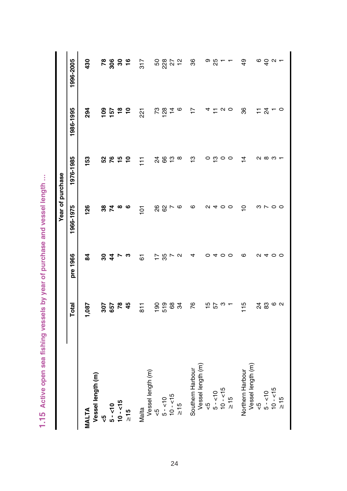| i                                    |
|--------------------------------------|
| í<br>ĺ<br>l<br>٦<br>è<br>ı<br>١<br>ä |
| I<br>١                               |
| ١<br>Ì<br>j<br>ì                     |
| á<br>۱<br>í<br>ĺ                     |
| ١                                    |
| i<br>١                               |
|                                      |
| j<br>l<br>i<br>é<br>J<br>č<br>١      |
| ņ<br>í<br>i<br>í<br>١<br>i           |
| å<br>j<br>١                          |
| í<br>I                               |
| I<br>ĺ<br>j<br>i<br>j<br>١<br>ı<br>ŕ |
| Q<br>ı<br>۱                          |
| í                                    |

|                                       |                |                               | Year of purchase |                |                 |                                 |
|---------------------------------------|----------------|-------------------------------|------------------|----------------|-----------------|---------------------------------|
|                                       | Total          | pre 1966                      | 1966-1975        | 1976-1985      | 1986-1995       | 1996-2005                       |
| Vessel length (m)<br><b>MALTA</b>     | 1,087          | $\overline{a}$                | 126              | 153            | 294             | 430                             |
| ٩ÿ                                    |                |                               |                  |                | $\frac{8}{100}$ |                                 |
| $5 - 10$                              | <b>35 8 4</b>  | ន <del>4</del>                | <b>ន ដ</b>       | 5250           | 157             | <u>ន ខ្លួ ខ</u> ្លួ             |
| $10 - 15$                             |                | $\overline{ }$                | ∞                |                | $\frac{8}{10}$  |                                 |
| $\geq 15$                             |                | ო                             | ဖ                |                |                 |                                 |
| Malta                                 | $\overline{8}$ | 6                             | $\frac{5}{10}$   | Ξ              | 221             | 317                             |
| Vessel length (m)                     |                |                               |                  |                |                 |                                 |
| $\sqrt{2}$                            |                |                               |                  |                |                 |                                 |
| $5 - 10$                              |                | $\frac{1}{2}$ % $\frac{1}{2}$ | 88 <sub>N</sub>  | <b>282</b>     | r 2014          | នន្តនុង                         |
| $10 - 15$                             |                |                               |                  |                |                 |                                 |
| $\frac{5}{2}$                         | 5.583          | $\sim$                        | G                | $\infty$       | o               |                                 |
| Vessel length (m)<br>Southern Harbour | 76             | 4                             | ဖ                | ဗူ             | $\overline{1}$  | 36                              |
| $\frac{10}{\sqrt{2}}$                 |                | 0                             |                  | 0              |                 |                                 |
| $5 - 10$                              | 57<br>25       | 4                             | a 4              | ഇ              | 4 L             | စ ဗ္လ                           |
| $10 - 15$                             |                | $\circ$                       | $\circ$          | $\circ$        | $\sim$ $\sim$   | $ -$                            |
| $\frac{5}{15}$                        |                | $\circ$                       | $\circ$          | $\circ$        |                 |                                 |
| Vessel length (m)<br>Northern Harbour | $\frac{5}{10}$ | ဖ                             | ∘                | $\overline{4}$ | 36              | $\overline{6}$                  |
| 45                                    |                | Z                             |                  |                |                 |                                 |
| $5 - 10$                              |                |                               |                  | လ ထ က          | $\frac{1}{2}$   |                                 |
| $10 - 15$                             | 2000<br>20     | 400                           | のへのの             |                |                 | $\circ$ $\circ$ $\circ$ $\circ$ |
| $\frac{15}{1}$                        |                |                               |                  |                | $\circ$         |                                 |
|                                       |                |                               |                  |                |                 |                                 |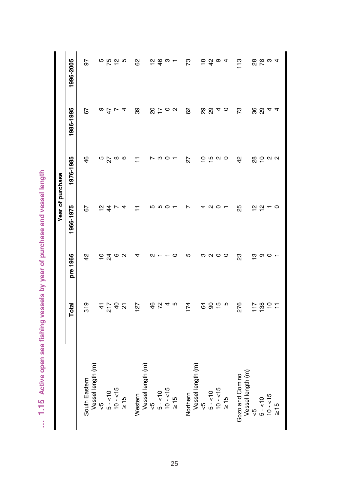... 1.15 Active open sea fishing vessels by year of purchase and vessel length **… 1.15 Active open sea fishing vessels by year of purchase and vessel length**

|                                      |                               |          | Year of purchase  |                             |                      |                                                          |
|--------------------------------------|-------------------------------|----------|-------------------|-----------------------------|----------------------|----------------------------------------------------------|
|                                      | Total                         | pre 1966 | 1966-1975         | 1976-1985                   | 1986-1995            | 1996-2005                                                |
| Vessel length (m)<br>South Eastern   | 319                           | 42       | 5                 | 46                          | 59                   | 50                                                       |
| $\frac{1}{\sqrt{2}}$                 |                               |          | 으                 |                             |                      |                                                          |
| $5 - 10$                             |                               | 24       | $\frac{4}{3}$     | $\frac{5}{2}$               | $\frac{4}{9}$        | n 10 51 10                                               |
| $10 - 15$                            |                               | G        |                   |                             | $\overline{ }$       |                                                          |
| $\geq 15$                            |                               | $\sim$   |                   |                             | 4                    |                                                          |
| Western                              | 127                           | 4        |                   | Ξ                           | 39                   | 8                                                        |
| Vessel length (m)                    |                               |          |                   |                             |                      |                                                          |
| $\frac{5}{5}$                        |                               | $\sim$   | Ю                 | Ņ                           |                      |                                                          |
| $5 - 10$                             | 4 b 4 m                       |          | S                 | ო                           | 2500                 | $\frac{2}{4}$                                            |
| $10 - 15$                            |                               |          | $\circ$           | $\circ$                     |                      | ო –                                                      |
| $\geq 15$                            |                               | 0        |                   |                             |                      |                                                          |
| Vessel length (m)<br>Northern        | 174                           | 5        | ٢                 | 27                          | 8                    | 73                                                       |
| $\frac{5}{5}$                        |                               |          |                   |                             |                      |                                                          |
| $5 - 10$                             |                               | ၈ လ ဝ    | $\mathbf{\Omega}$ |                             |                      | စ္က ပူ စ                                                 |
| $10 - 15$                            | g 8 ip 10                     |          | $\circ$           | $\frac{1}{2}$ is $\alpha$ o | ನಿ <sub>ಬಿ 4</sub> ಂ |                                                          |
| $\frac{5}{10}$                       |                               | $\circ$  |                   |                             |                      | 4                                                        |
| Vessel length (m)<br>Gozo and Comino | 276                           | 23       | 25                | $\frac{2}{3}$               | 73                   | $\frac{3}{11}$                                           |
| ςp                                   | $\frac{17}{11}$               | ო        |                   |                             |                      |                                                          |
| $5 - 10$                             |                               | ၈ ဝ      | 은 인               | 8002                        | 88                   | 8<br>8<br>8<br>8<br>9<br>8<br>9<br>8<br>9<br>8<br>1<br>1 |
| $10 - 15$                            | $\frac{8}{5}$ $\approx$ $\pm$ |          |                   |                             | 4                    |                                                          |
| $\geq 15$                            |                               |          | $\circ$           |                             | 4                    |                                                          |
|                                      |                               |          |                   |                             |                      |                                                          |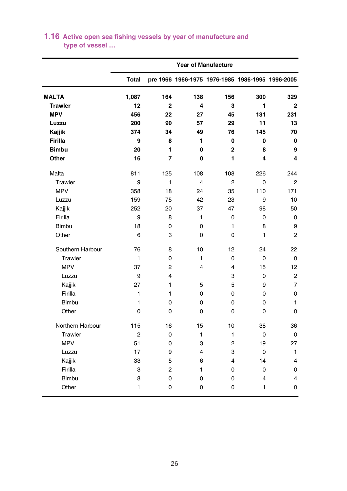|                  | <b>Year of Manufacture</b> |                |                |                                                  |          |                         |  |
|------------------|----------------------------|----------------|----------------|--------------------------------------------------|----------|-------------------------|--|
|                  | <b>Total</b>               |                |                | pre 1966 1966-1975 1976-1985 1986-1995 1996-2005 |          |                         |  |
| <b>MALTA</b>     | 1,087                      | 164            | 138            | 156                                              | 300      | 329                     |  |
| <b>Trawler</b>   | 12                         | $\overline{2}$ | 4              | 3                                                | 1        | $\mathbf{2}$            |  |
| <b>MPV</b>       | 456                        | 22             | 27             | 45                                               | 131      | 231                     |  |
| Luzzu            | 200                        | 90             | 57             | 29                                               | 11       | 13                      |  |
| Kajjik           | 374                        | 34             | 49             | 76                                               | 145      | 70                      |  |
| <b>Firilla</b>   | 9                          | 8              | 1              | 0                                                | 0        | 0                       |  |
| <b>Bimbu</b>     | 20                         | 1              | 0              | $\overline{2}$                                   | 8        | 9                       |  |
| Other            | 16                         | 7              | 0              | 1                                                | 4        | 4                       |  |
| Malta            | 811                        | 125            | 108            | 108                                              | 226      | 244                     |  |
| Trawler          | 9                          | 1              | $\overline{4}$ | 2                                                | 0        | $\overline{c}$          |  |
| <b>MPV</b>       | 358                        | 18             | 24             | 35                                               | 110      | 171                     |  |
| Luzzu            | 159                        | 75             | 42             | 23                                               | 9        | 10                      |  |
| Kajjik           | 252                        | 20             | 37             | 47                                               | 98       | 50                      |  |
| Firilla          | 9                          | 8              | 1              | 0                                                | 0        | 0                       |  |
| <b>Bimbu</b>     | 18                         | 0              | 0              | 1                                                | 8        | 9                       |  |
| Other            | 6                          | 3              | 0              | 0                                                | 1        | $\overline{2}$          |  |
| Southern Harbour | 76                         | 8              | 10             | 12                                               | 24       | 22                      |  |
| Trawler          | 1                          | 0              | 1              | 0                                                | 0        | 0                       |  |
| <b>MPV</b>       | 37                         | 2              | 4              | 4                                                | 15       | 12                      |  |
| Luzzu            | 9                          | 4              |                | 3                                                | 0        | $\overline{2}$          |  |
| Kajjik           | 27                         | 1              | 5              | 5                                                | 9        | $\overline{7}$          |  |
| Firilla          | 1                          | 1              | 0              | 0                                                | 0        | 0                       |  |
| <b>Bimbu</b>     | 1                          | 0              | 0              | 0                                                | 0        | $\mathbf{1}$            |  |
| Other            | $\Omega$                   | 0              | 0              | 0                                                | $\Omega$ | $\Omega$                |  |
| Northern Harbour | 115                        | 16             | 15             | 10                                               | 38       | 36                      |  |
| Trawler          | 2                          | 0              | 1              | 1                                                | 0        | 0                       |  |
| <b>MPV</b>       | 51                         | 0              | 3              | 2                                                | 19       | 27                      |  |
| Luzzu            | 17                         | 9              | 4              | 3                                                | 0        | $\mathbf{1}$            |  |
| Kajjik           | 33                         | 5              | 6              | $\overline{\mathbf{4}}$                          | 14       | $\overline{\mathbf{4}}$ |  |
| Firilla          | 3                          | $\overline{2}$ | 1              | 0                                                | 0        | 0                       |  |
| Bimbu            | 8                          | 0              | 0              | 0                                                | 4        | $\overline{4}$          |  |
| Other            | 1                          | 0              | 0              | 0                                                | 1        | 0                       |  |

# **type of vessel … 1.16 Active open sea fishing vessels by year of manufacture and**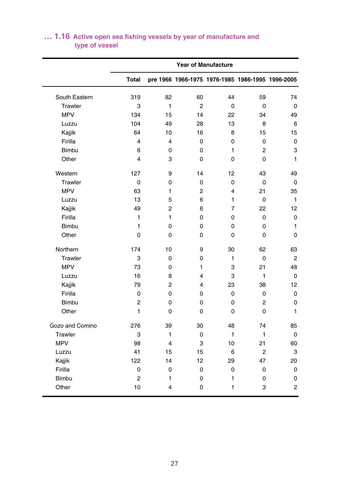|                 |                |                         |                | <b>Year of Manufacture</b>                       |                |                |
|-----------------|----------------|-------------------------|----------------|--------------------------------------------------|----------------|----------------|
|                 | <b>Total</b>   |                         |                | pre 1966 1966-1975 1976-1985 1986-1995 1996-2005 |                |                |
| South Eastern   | 319            | 82                      | 60             | 44                                               | 59             | 74             |
| Trawler         | 3              | $\mathbf{1}$            | $\overline{2}$ | 0                                                | $\mathbf 0$    | 0              |
| <b>MPV</b>      | 134            | 15                      | 14             | 22                                               | 34             | 49             |
| Luzzu           | 104            | 49                      | 28             | 13                                               | 8              | 6              |
| Kajjik          | 64             | 10                      | 16             | 8                                                | 15             | 15             |
| Firilla         | $\overline{4}$ | $\overline{\mathbf{4}}$ | 0              | 0                                                | 0              | $\mathbf 0$    |
| <b>Bimbu</b>    | 6              | 0                       | 0              | 1                                                | 2              | 3              |
| Other           | 4              | 3                       | 0              | 0                                                | 0              | 1              |
| Western         | 127            | 9                       | 14             | 12                                               | 43             | 49             |
| Trawler         | 0              | 0                       | 0              | 0                                                | 0              | 0              |
| <b>MPV</b>      | 63             | 1                       | 2              | 4                                                | 21             | 35             |
| Luzzu           | 13             | 5                       | 6              | 1                                                | 0              | $\mathbf{1}$   |
| Kajjik          | 49             | $\overline{2}$          | 6              | $\overline{7}$                                   | 22             | 12             |
| Firilla         | 1              | $\mathbf{1}$            | 0              | 0                                                | 0              | 0              |
| <b>Bimbu</b>    | 1              | 0                       | 0              | 0                                                | 0              | $\mathbf{1}$   |
| Other           | 0              | 0                       | 0              | 0                                                | 0              | 0              |
| Northern        | 174            | 10                      | 9              | 30                                               | 62             | 63             |
| Trawler         | 3              | 0                       | 0              | 1                                                | $\mathbf 0$    | $\overline{2}$ |
| <b>MPV</b>      | 73             | 0                       | 1              | 3                                                | 21             | 48             |
| Luzzu           | 16             | 8                       | 4              | 3                                                | 1              | 0              |
| Kajjik          | 79             | 2                       | 4              | 23                                               | 38             | 12             |
| Firilla         | 0              | 0                       | 0              | 0                                                | 0              | 0              |
| <b>Bimbu</b>    | $\overline{c}$ | 0                       | 0              | 0                                                | $\overline{2}$ | 0              |
| Other           | 1              | 0                       | 0              | 0                                                | 0              | 1              |
| Gozo and Comino | 276            | 39                      | 30             | 48                                               | 74             | 85             |
| Trawler         | 3              | 1                       | 0              | 1                                                | 1              | $\mathbf 0$    |
| <b>MPV</b>      | 98             | 4                       | 3              | 10                                               | 21             | 60             |
| Luzzu           | 41             | 15                      | 15             | 6                                                | $\overline{2}$ | 3              |
| Kajjik          | 122            | 14                      | 12             | 29                                               | 47             | 20             |
| Firilla         | 0              | 0                       | 0              | 0                                                | 0              | 0              |
| Bimbu           | $\overline{c}$ | 1                       | 0              | 1                                                | 0              | 0              |
| Other           | 10             | 4                       | 0              | 1                                                | 3              | 2              |

# **type of vessel … 1.16 Active open sea fishing vessels by year of manufacture and**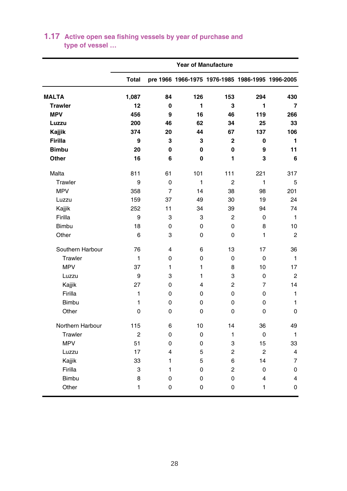|                  | <b>Year of Manufacture</b> |                |     |                |                                                  |                |
|------------------|----------------------------|----------------|-----|----------------|--------------------------------------------------|----------------|
|                  | <b>Total</b>               |                |     |                | pre 1966 1966-1975 1976-1985 1986-1995 1996-2005 |                |
| <b>MALTA</b>     | 1,087                      | 84             | 126 | 153            | 294                                              | 430            |
| <b>Trawler</b>   | 12                         | $\mathbf 0$    | 1   | 3              | 1                                                | 7              |
| <b>MPV</b>       | 456                        | 9              | 16  | 46             | 119                                              | 266            |
| Luzzu            | 200                        | 46             | 62  | 34             | 25                                               | 33             |
| Kajjik           | 374                        | 20             | 44  | 67             | 137                                              | 106            |
| <b>Firilla</b>   | 9                          | 3              | 3   | $\overline{2}$ | 0                                                | 1              |
| <b>Bimbu</b>     | 20                         | $\mathbf{0}$   | 0   | 0              | 9                                                | 11             |
| Other            | 16                         | 6              | 0   | 1              | 3                                                | 6              |
| Malta            | 811                        | 61             | 101 | 111            | 221                                              | 317            |
| Trawler          | 9                          | 0              | 1   | $\overline{2}$ | 1                                                | 5              |
| <b>MPV</b>       | 358                        | $\overline{7}$ | 14  | 38             | 98                                               | 201            |
| Luzzu            | 159                        | 37             | 49  | 30             | 19                                               | 24             |
| Kajjik           | 252                        | 11             | 34  | 39             | 94                                               | 74             |
| Firilla          | 9                          | 3              | 3   | 2              | 0                                                | $\mathbf{1}$   |
| <b>Bimbu</b>     | 18                         | $\mathbf 0$    | 0   | 0              | 8                                                | 10             |
| Other            | 6                          | 3              | 0   | $\Omega$       | 1                                                | $\overline{c}$ |
| Southern Harbour | 76                         | 4              | 6   | 13             | 17                                               | 36             |
| Trawler          | 1                          | 0              | 0   | $\mathbf 0$    | 0                                                | $\mathbf{1}$   |
| <b>MPV</b>       | 37                         | 1              | 1   | 8              | 10                                               | 17             |
| Luzzu            | 9                          | 3              | 1   | 3              | 0                                                | $\overline{2}$ |
| Kajjik           | 27                         | $\Omega$       | 4   | $\overline{2}$ | 7                                                | 14             |
| Firilla          | 1                          | $\mathbf 0$    | 0   | 0              | 0                                                | $\mathbf{1}$   |
| Bimbu            | 1                          | $\mathbf 0$    | 0   | 0              | 0                                                | $\mathbf{1}$   |
| Other            | 0                          | $\Omega$       | 0   | $\Omega$       | 0                                                | $\Omega$       |
| Northern Harbour | 115                        | 6              | 10  | 14             | 36                                               | 49             |
| Trawler          | $\overline{2}$             | $\Omega$       | 0   | 1              | $\Omega$                                         | 1              |
| <b>MPV</b>       | 51                         | 0              | 0   | 3              | 15                                               | 33             |
| Luzzu            | 17                         | 4              | 5   | $\overline{2}$ | $\overline{2}$                                   | 4              |
| Kajjik           | 33                         | 1              | 5   | 6              | 14                                               | $\overline{7}$ |
| Firilla          | 3                          | 1              | 0   | $\overline{2}$ | 0                                                | 0              |
| <b>Bimbu</b>     | 8                          | 0              | 0   | 0              | 4                                                | 4              |
| Other            | 1                          | 0              | 0   | 0              | 1                                                | 0              |

# **type of vessel … 1.17 Active open sea fishing vessels by year of purchase and**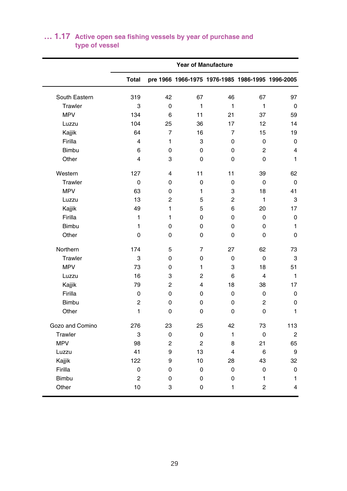|                 |                         |                |                | <b>Year of Manufacture</b> |                                                  |                         |
|-----------------|-------------------------|----------------|----------------|----------------------------|--------------------------------------------------|-------------------------|
|                 | <b>Total</b>            |                |                |                            | pre 1966 1966-1975 1976-1985 1986-1995 1996-2005 |                         |
| South Eastern   | 319                     | 42             | 67             | 46                         | 67                                               | 97                      |
| Trawler         | 3                       | $\mathbf 0$    | 1              | $\mathbf{1}$               | 1                                                | $\mathbf 0$             |
| <b>MPV</b>      | 134                     | 6              | 11             | 21                         | 37                                               | 59                      |
| Luzzu           | 104                     | 25             | 36             | 17                         | 12                                               | 14                      |
| Kajjik          | 64                      | $\overline{7}$ | 16             | $\overline{7}$             | 15                                               | 19                      |
| Firilla         | $\overline{4}$          | 1              | 3              | $\mathbf 0$                | $\mathbf 0$                                      | $\mathbf 0$             |
| <b>Bimbu</b>    | 6                       | 0              | 0              | $\Omega$                   | 2                                                | 4                       |
| Other           | $\overline{\mathbf{4}}$ | 3              | 0              | $\Omega$                   | 0                                                | 1                       |
| Western         | 127                     | 4              | 11             | 11                         | 39                                               | 62                      |
| Trawler         | 0                       | 0              | 0              | 0                          | 0                                                | 0                       |
| <b>MPV</b>      | 63                      | 0              | 1              | 3                          | 18                                               | 41                      |
| Luzzu           | 13                      | $\overline{2}$ | 5              | $\overline{2}$             | 1                                                | 3                       |
| Kajjik          | 49                      | $\mathbf{1}$   | 5              | 6                          | 20                                               | 17                      |
| Firilla         | 1                       | 1              | 0              | $\Omega$                   | 0                                                | 0                       |
| Bimbu           | 1                       | 0              | 0              | $\mathbf 0$                | 0                                                | $\mathbf{1}$            |
| Other           | 0                       | 0              | 0              | $\mathbf 0$                | 0                                                | 0                       |
| Northern        | 174                     | 5              | $\overline{7}$ | 27                         | 62                                               | 73                      |
| Trawler         | 3                       | 0              | 0              | $\mathbf 0$                | 0                                                | 3                       |
| <b>MPV</b>      | 73                      | 0              | 1              | 3                          | 18                                               | 51                      |
| Luzzu           | 16                      | 3              | $\overline{2}$ | 6                          | 4                                                | 1                       |
| Kajjik          | 79                      | $\overline{2}$ | 4              | 18                         | 38                                               | 17                      |
| Firilla         | $\mathbf 0$             | 0              | 0              | $\mathbf 0$                | 0                                                | $\mathbf 0$             |
| Bimbu           | $\overline{2}$          | 0              | 0              | $\mathbf 0$                | 2                                                | 0                       |
| Other           | 1                       | 0              | 0              | $\mathbf 0$                | 0                                                | 1                       |
| Gozo and Comino | 276                     | 23             | 25             | 42                         | 73                                               | 113                     |
| Trawler         | 3                       | 0              | 0              | 1                          | 0                                                | $\overline{c}$          |
| <b>MPV</b>      | 98                      | $\overline{2}$ | $\overline{2}$ | 8                          | 21                                               | 65                      |
| Luzzu           | 41                      | 9              | 13             | $\overline{4}$             | 6                                                | 9                       |
| Kajjik          | 122                     | 9              | 10             | 28                         | 43                                               | 32                      |
| Firilla         | 0                       | 0              | 0              | 0                          | 0                                                | 0                       |
| <b>Bimbu</b>    | $\overline{c}$          | 0              | 0              | 0                          | 1                                                | $\mathbf{1}$            |
| Other           | 10                      | 3              | 0              | 1                          | $\overline{2}$                                   | $\overline{\mathbf{4}}$ |

#### **type of vessel … 1.17 Active open sea fishing vessels by year of purchase and**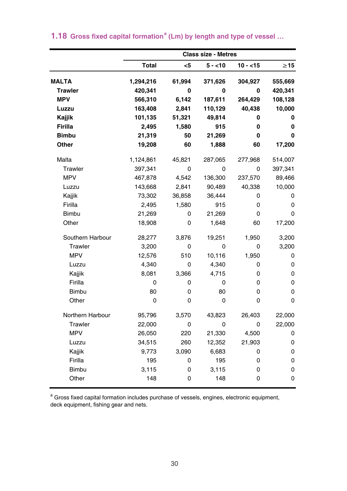|                  | <b>Class size - Metres</b> |        |          |             |           |  |  |
|------------------|----------------------------|--------|----------|-------------|-----------|--|--|
|                  | <b>Total</b>               | $5$    | $5 - 10$ | $10 - 15$   | $\geq$ 15 |  |  |
| <b>MALTA</b>     | 1,294,216                  | 61,994 | 371,626  | 304,927     | 555,669   |  |  |
| <b>Trawler</b>   | 420,341                    | 0      | 0        | 0           | 420,341   |  |  |
| <b>MPV</b>       | 566,310                    | 6,142  | 187,611  | 264,429     | 108,128   |  |  |
| Luzzu            | 163,408                    | 2,841  | 110,129  | 40,438      | 10,000    |  |  |
| Kajjik           | 101,135                    | 51,321 | 49,814   | 0           | 0         |  |  |
| Firilla          | 2,495                      | 1,580  | 915      | 0           | 0         |  |  |
| <b>Bimbu</b>     | 21,319                     | 50     | 21,269   | 0           | 0         |  |  |
| Other            | 19,208                     | 60     | 1,888    | 60          | 17,200    |  |  |
| Malta            | 1,124,861                  | 45,821 | 287,065  | 277,968     | 514,007   |  |  |
| Trawler          | 397,341                    | 0      | 0        | $\mathbf 0$ | 397,341   |  |  |
| <b>MPV</b>       | 467,878                    | 4,542  | 136,300  | 237,570     | 89,466    |  |  |
| Luzzu            | 143,668                    | 2,841  | 90,489   | 40,338      | 10,000    |  |  |
| Kajjik           | 73,302                     | 36,858 | 36,444   | 0           | 0         |  |  |
| Firilla          | 2,495                      | 1,580  | 915      | 0           | 0         |  |  |
| <b>Bimbu</b>     | 21,269                     | 0      | 21,269   | 0           | $\Omega$  |  |  |
| Other            | 18,908                     | 0      | 1,648    | 60          | 17,200    |  |  |
| Southern Harbour | 28,277                     | 3,876  | 19,251   | 1,950       | 3,200     |  |  |
| Trawler          | 3,200                      | 0      | 0        | 0           | 3,200     |  |  |
| <b>MPV</b>       | 12,576                     | 510    | 10,116   | 1,950       | 0         |  |  |
| Luzzu            | 4,340                      | 0      | 4,340    | 0           | 0         |  |  |
| Kajjik           | 8,081                      | 3,366  | 4,715    | 0           | 0         |  |  |
| Firilla          | 0                          | 0      | 0        | 0           | 0         |  |  |
| <b>Bimbu</b>     | 80                         | 0      | 80       | 0           | 0         |  |  |
| Other            | $\mathbf 0$                | 0      | 0        | 0           | 0         |  |  |
| Northern Harbour | 95,796                     | 3,570  | 43,823   | 26,403      | 22,000    |  |  |
| Trawler          | 22,000                     | 0      | 0        | 0           | 22,000    |  |  |
| <b>MPV</b>       | 26,050                     | 220    | 21,330   | 4,500       | 0         |  |  |
| Luzzu            | 34,515                     | 260    | 12,352   | 21,903      | 0         |  |  |
| Kajjik           | 9,773                      | 3,090  | 6,683    | 0           | 0         |  |  |
| Firilla          | 195                        | 0      | 195      | 0           | 0         |  |  |
| <b>Bimbu</b>     | 3,115                      | 0      | 3,115    | 0           | 0         |  |  |
| Other            | 148                        | 0      | 148      | 0           | 0         |  |  |

#### **1.18** Gross fixed capital formation<sup>a</sup> (Lm) by length and type of vessel ...

<sup>a</sup> Gross fixed capital formation includes purchase of vessels, engines, electronic equipment, deck equipment, fishing gear and nets.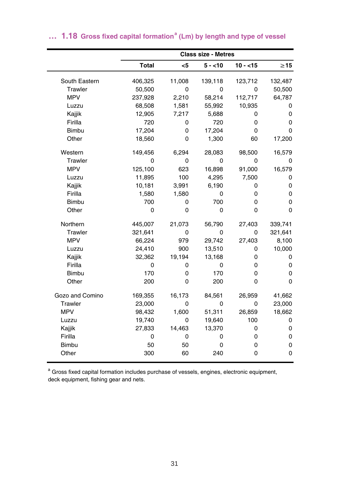|                 |              |          | <b>Class size - Metres</b> |           |             |
|-----------------|--------------|----------|----------------------------|-----------|-------------|
|                 | <b>Total</b> | $5$      | $5 - 10$                   | $10 - 15$ | $\geq$ 15   |
| South Eastern   | 406,325      | 11,008   | 139,118                    | 123,712   | 132,487     |
| Trawler         | 50,500       | 0        | 0                          | 0         | 50,500      |
| <b>MPV</b>      | 237,928      | 2,210    | 58,214                     | 112,717   | 64,787      |
| Luzzu           | 68,508       | 1,581    | 55,992                     | 10,935    | 0           |
| Kajjik          | 12,905       | 7,217    | 5,688                      | 0         | 0           |
| Firilla         | 720          | 0        | 720                        | 0         | 0           |
| <b>Bimbu</b>    | 17,204       | 0        | 17,204                     | 0         | 0           |
| Other           | 18,560       | 0        | 1,300                      | 60        | 17,200      |
| Western         | 149,456      | 6,294    | 28,083                     | 98,500    | 16,579      |
| Trawler         | 0            | 0        | 0                          | 0         | 0           |
| <b>MPV</b>      | 125.100      | 623      | 16.898                     | 91.000    | 16,579      |
| Luzzu           | 11,895       | 100      | 4,295                      | 7,500     | 0           |
| Kajjik          | 10,181       | 3,991    | 6,190                      | 0         | 0           |
| Firilla         | 1,580        | 1,580    | 0                          | 0         | 0           |
| <b>Bimbu</b>    | 700          | 0        | 700                        | 0         | 0           |
| Other           | 0            | $\Omega$ | 0                          | 0         | 0           |
| Northern        | 445,007      | 21,073   | 56,790                     | 27,403    | 339,741     |
| Trawler         | 321,641      | 0        | 0                          | 0         | 321,641     |
| <b>MPV</b>      | 66,224       | 979      | 29,742                     | 27,403    | 8,100       |
| Luzzu           | 24,410       | 900      | 13,510                     | 0         | 10,000      |
| Kajjik          | 32,362       | 19,194   | 13,168                     | 0         | 0           |
| Firilla         | 0            | 0        | 0                          | 0         | 0           |
| <b>Bimbu</b>    | 170          | 0        | 170                        | 0         | $\mathbf 0$ |
| Other           | 200          | 0        | 200                        | 0         | 0           |
| Gozo and Comino | 169,355      | 16,173   | 84,561                     | 26,959    | 41,662      |
| Trawler         | 23,000       | 0        | 0                          | 0         | 23,000      |
| <b>MPV</b>      | 98,432       | 1,600    | 51,311                     | 26,859    | 18,662      |
| Luzzu           | 19,740       | 0        | 19,640                     | 100       | 0           |
| Kajjik          | 27,833       | 14,463   | 13,370                     | 0         | 0           |
| Firilla         | 0            | 0        | 0                          | 0         | 0           |
| <b>Bimbu</b>    | 50           | 50       | 0                          | 0         | 0           |
| Other           | 300          | 60       | 240                        | 0         | $\mathbf 0$ |

#### ... 1.18 Gross fixed capital formation<sup>a</sup> (Lm) by length and type of vessel

<sup>a</sup> Gross fixed capital formation includes purchase of vessels, engines, electronic equipment, deck equipment, fishing gear and nets.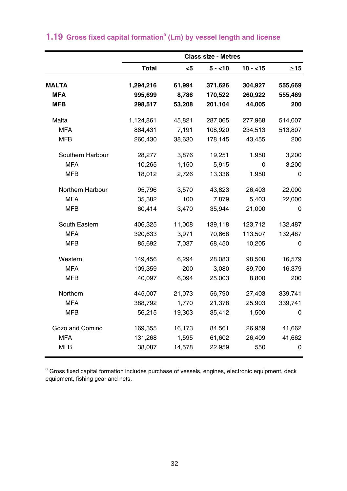|                  |              |        | <b>Class size - Metres</b> |           |           |
|------------------|--------------|--------|----------------------------|-----------|-----------|
|                  | <b>Total</b> | $5$    | $5 - 10$                   | $10 - 15$ | $\geq$ 15 |
| <b>MALTA</b>     | 1,294,216    | 61,994 | 371,626                    | 304,927   | 555,669   |
| <b>MFA</b>       | 995,699      | 8,786  | 170,522                    | 260,922   | 555,469   |
| <b>MFB</b>       | 298,517      | 53,208 | 201,104                    | 44,005    | 200       |
| Malta            | 1,124,861    | 45,821 | 287,065                    | 277,968   | 514,007   |
| <b>MFA</b>       | 864,431      | 7,191  | 108,920                    | 234,513   | 513,807   |
| <b>MFB</b>       | 260,430      | 38,630 | 178,145                    | 43,455    | 200       |
| Southern Harbour | 28,277       | 3,876  | 19,251                     | 1,950     | 3,200     |
| <b>MFA</b>       | 10,265       | 1,150  | 5,915                      | 0         | 3,200     |
| <b>MFB</b>       | 18,012       | 2,726  | 13,336                     | 1,950     | 0         |
| Northern Harbour | 95,796       | 3,570  | 43,823                     | 26,403    | 22,000    |
| <b>MFA</b>       | 35,382       | 100    | 7,879                      | 5,403     | 22,000    |
| <b>MFB</b>       | 60,414       | 3,470  | 35,944                     | 21,000    | 0         |
| South Eastern    | 406,325      | 11,008 | 139,118                    | 123,712   | 132,487   |
| <b>MFA</b>       | 320,633      | 3,971  | 70,668                     | 113,507   | 132,487   |
| <b>MFB</b>       | 85,692       | 7,037  | 68,450                     | 10,205    | 0         |
| Western          | 149,456      | 6,294  | 28,083                     | 98,500    | 16,579    |
| <b>MFA</b>       | 109,359      | 200    | 3,080                      | 89,700    | 16,379    |
| <b>MFB</b>       | 40,097       | 6,094  | 25,003                     | 8,800     | 200       |
| Northern         | 445,007      | 21,073 | 56,790                     | 27,403    | 339,741   |
| <b>MFA</b>       | 388,792      | 1,770  | 21,378                     | 25,903    | 339,741   |
| <b>MFB</b>       | 56,215       | 19,303 | 35,412                     | 1,500     | 0         |
| Gozo and Comino  | 169,355      | 16,173 | 84,561                     | 26,959    | 41,662    |
| <b>MFA</b>       | 131,268      | 1,595  | 61,602                     | 26,409    | 41,662    |
| <b>MFB</b>       | 38,087       | 14,578 | 22,959                     | 550       | 0         |

# **1.19 Gross fixed capital formation<sup>a</sup> (Lm) by vessel length and license**

<sup>a</sup> Gross fixed capital formation includes purchase of vessels, engines, electronic equipment, deck equipment, fishing gear and nets.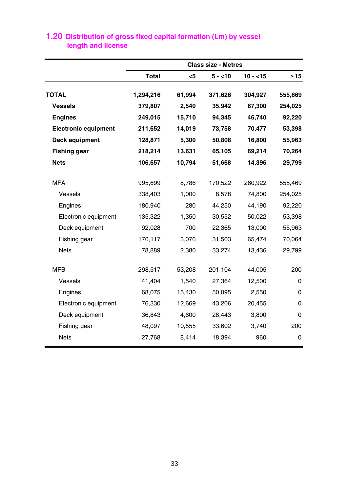|                             |              |        | <b>Class size - Metres</b> |           |           |
|-----------------------------|--------------|--------|----------------------------|-----------|-----------|
|                             | <b>Total</b> | <5     | $5 - 10$                   | $10 - 15$ | $\geq$ 15 |
| <b>TOTAL</b>                | 1,294,216    | 61,994 | 371,626                    | 304,927   | 555,669   |
| <b>Vessels</b>              | 379,807      | 2,540  | 35,942                     | 87,300    | 254,025   |
| <b>Engines</b>              | 249,015      | 15,710 | 94,345                     | 46,740    | 92,220    |
| <b>Electronic equipment</b> | 211,652      | 14,019 | 73,758                     | 70,477    | 53,398    |
| Deck equipment              | 128,871      | 5,300  | 50,808                     | 16,800    | 55,963    |
| <b>Fishing gear</b>         | 218,214      | 13,631 | 65,105                     | 69,214    | 70,264    |
| <b>Nets</b>                 | 106,657      | 10,794 | 51,668                     | 14,396    | 29,799    |
|                             |              |        |                            |           |           |
| <b>MFA</b>                  | 995,699      | 8,786  | 170,522                    | 260,922   | 555,469   |
| Vessels                     | 338,403      | 1,000  | 8,578                      | 74,800    | 254,025   |
| Engines                     | 180,940      | 280    | 44,250                     | 44,190    | 92,220    |
| Electronic equipment        | 135,322      | 1,350  | 30,552                     | 50,022    | 53,398    |
| Deck equipment              | 92,028       | 700    | 22,365                     | 13,000    | 55,963    |
| Fishing gear                | 170,117      | 3,076  | 31,503                     | 65,474    | 70,064    |
| <b>Nets</b>                 | 78,889       | 2,380  | 33,274                     | 13,436    | 29,799    |
|                             |              |        |                            |           |           |
| <b>MFB</b>                  | 298,517      | 53,208 | 201,104                    | 44,005    | 200       |
| Vessels                     | 41,404       | 1,540  | 27,364                     | 12,500    | 0         |
| Engines                     | 68,075       | 15,430 | 50,095                     | 2,550     | $\Omega$  |
| Electronic equipment        | 76,330       | 12,669 | 43,206                     | 20,455    | 0         |
| Deck equipment              | 36,843       | 4,600  | 28,443                     | 3,800     | 0         |
| Fishing gear                | 48,097       | 10,555 | 33,602                     | 3,740     | 200       |
| <b>Nets</b>                 | 27,768       | 8,414  | 18,394                     | 960       | 0         |
|                             |              |        |                            |           |           |

# **length and license 1.20 Distribution of gross fixed capital formation (Lm) by vessel**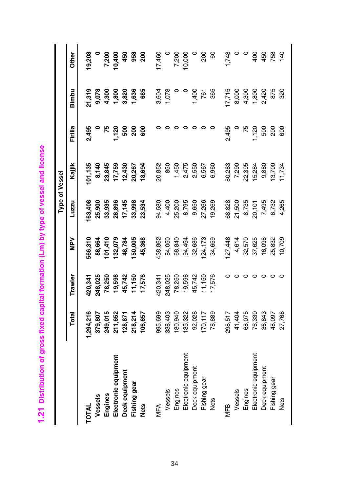1.21 Distribution of gross fixed capital formation (Lm) by type of vessel and license **1.21 Distribution of gross fixed capital formation (Lm) by type of vessel and license**

|                      |          |         |         |        | Type of Vessel |              |                |                 |
|----------------------|----------|---------|---------|--------|----------------|--------------|----------------|-----------------|
|                      | Total    | Trawler | Nev     | Luzzu  | Kajjik         | Firilla      | Bimbu          | Other           |
| <b>TOTAL</b>         | ,294,216 | 120,341 | 566,310 | 63,408 | 01,135         | 2,495        | 21,319         | 19,208          |
| Vessels              | 379,807  | 248,025 | 88,664  | 25,900 | 8,140          |              | 9,078          |                 |
| Engines              | 249,015  | 78,250  | 101,410 | 33,935 | 23,845         | 75           |                |                 |
| Electronic equipment | 211,652  | 19,598  | 132,079 | 28,896 | 17,759         | <b>1,120</b> | 4,300<br>1,800 | 7,200<br>10,400 |
| Deck equipment       | 128,871  | 45,742  | 48,784  | 17,145 | 12,430         | 500          | 3,820          | 450             |
| Fishing gear         | 218,214  | 11,150  | 150,005 | 33,998 | 20,267         | 200          | 1,636          | 958             |
| <b>Nets</b>          | 106,657  | 17,576  | 45,368  | 23,534 | 18,694         | 600          | 685            | នី              |
| MFA                  | 995,699  | 420,341 | 138,862 | 94,580 | 20,852         |              | 3,604          | 17,460          |
| Vessels              | 338,403  | 248,025 | 84,050  | 4,400  | 850            |              | 1,078          |                 |
| Engines              | 180,940  | 78,250  | 68,840  | 25,200 | 1,450          |              |                | 0002'2          |
| Electronic equipment | 135,322  | 19,598  | 94,454  | 8,795  | 2,475          | $\circ$      |                | 10,000          |
| Deck equipment       | 92,028   | 45,742  | 32,686  | 9,650  | 2,550          | $\circ$      | 1,400          | $\circ$         |
| Fishing gear         | 170,117  | 11,150  | 124,173 | 27,266 | 6,567          | $\circ$      | 761            | 200             |
| Nets                 | 78,889   | 17,576  | 34,659  | 19,269 | 6,960          |              | 365            | 60              |
| VEB                  | 298,517  |         | 127,448 | 68,828 | 30,283         | 2,495        | 7,715          | 1,748           |
| Vessels              | 41,404   |         | 4,614   | 21,500 | 7,290          |              | 8,000          |                 |
| Engines              | 68,075   |         | 32,570  | 8,735  | 22,395         | 75           | 4,300          | $\circ$         |
| Electronic equipment | 76,330   |         | 37,625  | 20,101 | 15,284         | 1,120        | 1,800          | 400             |
| Deck equipment       | 36,843   | $\circ$ | 16,098  | 7,495  | 9,880          | 500          | 2,420          | 450             |
| Fishing gear         | 48,097   |         | 25,832  | 6,732  | 13,700         | 200          | 875            | 758             |
| Nets                 | 27,768   |         | 10,709  | 4,265  | 1,734          | 600          | 320            | 140             |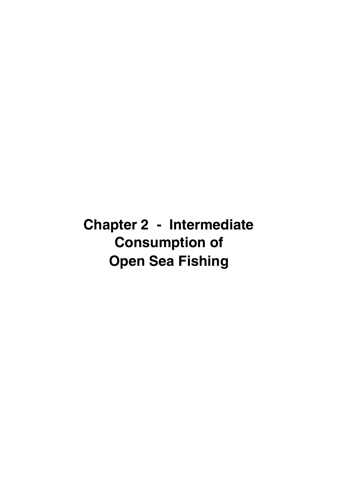**Chapter 2 - Intermediate Consumption of Open Sea Fishing**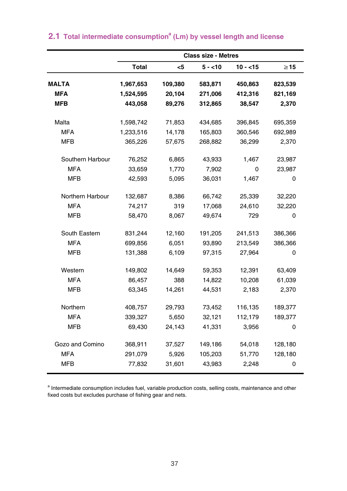|                  |              |         | <b>Class size - Metres</b> |           |           |
|------------------|--------------|---------|----------------------------|-----------|-----------|
|                  | <b>Total</b> | $<$ 5   | $5 - 10$                   | $10 - 15$ | $\geq$ 15 |
| <b>MALTA</b>     | 1,967,653    | 109,380 | 583,871                    | 450,863   | 823,539   |
| <b>MFA</b>       | 1,524,595    | 20,104  | 271,006                    | 412,316   | 821,169   |
| <b>MFB</b>       | 443,058      | 89,276  | 312,865                    | 38,547    | 2,370     |
| Malta            | 1,598,742    | 71,853  | 434,685                    | 396,845   | 695,359   |
| <b>MFA</b>       | 1,233,516    | 14,178  | 165,803                    | 360,546   | 692,989   |
| <b>MFB</b>       | 365,226      | 57,675  | 268,882                    | 36,299    | 2,370     |
| Southern Harbour | 76,252       | 6,865   | 43,933                     | 1,467     | 23,987    |
| <b>MFA</b>       | 33,659       | 1,770   | 7,902                      | 0         | 23,987    |
| <b>MFB</b>       | 42,593       | 5,095   | 36,031                     | 1,467     | 0         |
| Northern Harbour | 132,687      | 8,386   | 66,742                     | 25,339    | 32,220    |
| <b>MFA</b>       | 74,217       | 319     | 17,068                     | 24,610    | 32,220    |
| <b>MFB</b>       | 58,470       | 8,067   | 49,674                     | 729       | 0         |
| South Eastern    | 831,244      | 12,160  | 191,205                    | 241,513   | 386,366   |
| <b>MFA</b>       | 699,856      | 6,051   | 93,890                     | 213,549   | 386,366   |
| <b>MFB</b>       | 131,388      | 6,109   | 97,315                     | 27,964    | 0         |
| Western          | 149,802      | 14,649  | 59,353                     | 12,391    | 63,409    |
| <b>MFA</b>       | 86,457       | 388     | 14,822                     | 10,208    | 61,039    |
| <b>MFB</b>       | 63,345       | 14,261  | 44,531                     | 2,183     | 2,370     |
| Northern         | 408,757      | 29,793  | 73,452                     | 116,135   | 189,377   |
| <b>MFA</b>       | 339,327      | 5,650   | 32,121                     | 112,179   | 189,377   |
| <b>MFB</b>       | 69,430       | 24,143  | 41,331                     | 3,956     | 0         |
| Gozo and Comino  | 368,911      | 37,527  | 149,186                    | 54,018    | 128,180   |
| <b>MFA</b>       | 291,079      | 5,926   | 105,203                    | 51,770    | 128,180   |
| <b>MFB</b>       | 77,832       | 31,601  | 43,983                     | 2,248     | 0         |

# **2.1** Total intermediate consumption<sup>a</sup> (Lm) by vessel length and license

a Intermediate consumption includes fuel, variable production costs, selling costs, maintenance and other fixed costs but excludes purchase of fishing gear and nets.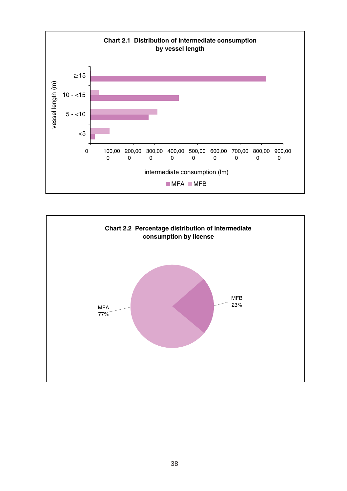

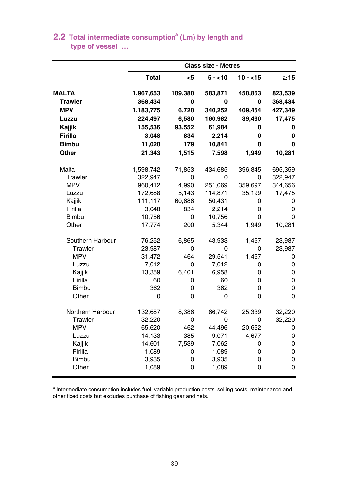|                  |              |         | <b>Class size - Metres</b> |           |           |
|------------------|--------------|---------|----------------------------|-----------|-----------|
|                  | <b>Total</b> | $5$     | $5 - 10$                   | $10 - 15$ | $\geq$ 15 |
| <b>MALTA</b>     | 1,967,653    | 109,380 | 583,871                    | 450,863   | 823,539   |
| <b>Trawler</b>   | 368,434      | 0       | 0                          | 0         | 368,434   |
| <b>MPV</b>       | 1,183,775    | 6,720   | 340,252                    | 409,454   | 427,349   |
| Luzzu            | 224,497      | 6,580   | 160,982                    | 39,460    | 17,475    |
| Kajjik           | 155,536      | 93,552  | 61,984                     | 0         | 0         |
| Firilla          | 3,048        | 834     | 2,214                      | 0         | 0         |
| <b>Bimbu</b>     | 11,020       | 179     | 10,841                     | 0         | 0         |
| Other            | 21,343       | 1,515   | 7,598                      | 1,949     | 10,281    |
| Malta            | 1,598,742    | 71,853  | 434,685                    | 396,845   | 695,359   |
| Trawler          | 322,947      | 0       | 0                          | 0         | 322,947   |
| <b>MPV</b>       | 960,412      | 4,990   | 251,069                    | 359,697   | 344,656   |
| Luzzu            | 172,688      | 5,143   | 114,871                    | 35,199    | 17,475    |
| Kajjik           | 111,117      | 60,686  | 50,431                     | 0         | 0         |
| Firilla          | 3,048        | 834     | 2,214                      | 0         | 0         |
| <b>Bimbu</b>     | 10,756       | 0       | 10,756                     | 0         | 0         |
| Other            | 17,774       | 200     | 5,344                      | 1,949     | 10,281    |
| Southern Harbour | 76,252       | 6,865   | 43,933                     | 1,467     | 23,987    |
| Trawler          | 23,987       | 0       | 0                          | 0         | 23,987    |
| <b>MPV</b>       | 31,472       | 464     | 29,541                     | 1.467     | 0         |
| Luzzu            | 7,012        | 0       | 7,012                      | 0         | 0         |
| Kajjik           | 13,359       | 6,401   | 6,958                      | 0         | 0         |
| Firilla          | 60           | 0       | 60                         | 0         | 0         |
| <b>Bimbu</b>     | 362          | 0       | 362                        | 0         | 0         |
| Other            | 0            | 0       | 0                          | 0         | 0         |
| Northern Harbour | 132,687      | 8,386   | 66,742                     | 25,339    | 32,220    |
| Trawler          | 32,220       | 0       | 0                          | 0         | 32,220    |
| <b>MPV</b>       | 65,620       | 462     | 44,496                     | 20,662    | 0         |
| Luzzu            | 14,133       | 385     | 9,071                      | 4,677     | 0         |
| Kajjik           | 14,601       | 7,539   | 7,062                      | 0         | 0         |
| Firilla          | 1,089        | 0       | 1,089                      | 0         | 0         |
| <b>Bimbu</b>     | 3,935        | 0       | 3,935                      | 0         | 0         |
| Other            | 1,089        | 0       | 1,089                      | 0         | 0         |

## **type of vessel … 2.2 Total intermediate consumption<sup>a</sup> (Lm) by length and**

<sup>a</sup> Intermediate consumption includes fuel, variable production costs, selling costs, maintenance and other fixed costs but excludes purchase of fishing gear and nets.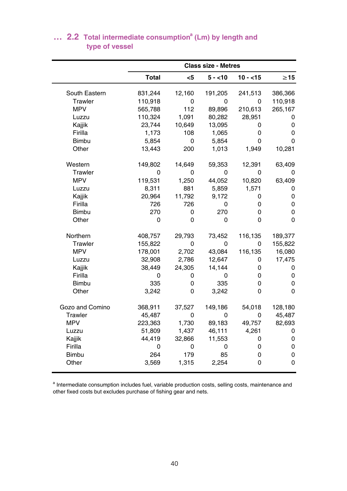|                 |              |        | <b>Class size - Metres</b> |           |             |
|-----------------|--------------|--------|----------------------------|-----------|-------------|
|                 | <b>Total</b> | $5$    | $5 - 10$                   | $10 - 15$ | $\geq$ 15   |
| South Eastern   | 831,244      | 12,160 | 191,205                    | 241,513   | 386,366     |
| Trawler         | 110,918      | 0      | 0                          | $\Omega$  | 110,918     |
| <b>MPV</b>      | 565,788      | 112    | 89,896                     | 210,613   | 265,167     |
| Luzzu           | 110,324      | 1,091  | 80,282                     | 28,951    | 0           |
| Kajjik          | 23,744       | 10,649 | 13,095                     | 0         | 0           |
| Firilla         | 1,173        | 108    | 1,065                      | 0         | 0           |
| Bimbu           | 5,854        | 0      | 5,854                      | 0         | 0           |
| Other           | 13,443       | 200    | 1,013                      | 1,949     | 10,281      |
| Western         | 149,802      | 14,649 | 59,353                     | 12,391    | 63,409      |
| Trawler         | 0            | 0      | 0                          | $\Omega$  | 0           |
| <b>MPV</b>      | 119,531      | 1,250  | 44,052                     | 10,820    | 63,409      |
| Luzzu           | 8,311        | 881    | 5,859                      | 1,571     | 0           |
| Kajjik          | 20,964       | 11,792 | 9,172                      | 0         | 0           |
| Firilla         | 726          | 726    | 0                          | 0         | 0           |
| <b>Bimbu</b>    | 270          | 0      | 270                        | 0         | 0           |
| Other           | 0            | 0      | 0                          | 0         | $\Omega$    |
| Northern        | 408,757      | 29,793 | 73,452                     | 116,135   | 189,377     |
| Trawler         | 155,822      | 0      | $\Omega$                   | $\Omega$  | 155,822     |
| <b>MPV</b>      | 178,001      | 2,702  | 43,084                     | 116,135   | 16,080      |
| Luzzu           | 32,908       | 2,786  | 12,647                     | 0         | 17,475      |
| Kajjik          | 38,449       | 24,305 | 14,144                     | 0         | 0           |
| Firilla         | 0            | 0      | 0                          | 0         | $\mathbf 0$ |
| <b>Bimbu</b>    | 335          | 0      | 335                        | 0         | 0           |
| Other           | 3,242        | 0      | 3,242                      | 0         | 0           |
| Gozo and Comino | 368,911      | 37,527 | 149,186                    | 54,018    | 128,180     |
| Trawler         | 45,487       | 0      | 0                          | 0         | 45,487      |
| <b>MPV</b>      | 223,363      | 1,730  | 89,183                     | 49,757    | 82,693      |
| Luzzu           | 51,809       | 1,437  | 46,111                     | 4,261     | 0           |
| Kajjik          | 44,419       | 32,866 | 11,553                     | 0         | $\mathbf 0$ |
| Firilla         | 0            | 0      | 0                          | 0         | 0           |
| <b>Bimbu</b>    | 264          | 179    | 85                         | 0         | 0           |
| Other           | 3,569        | 1,315  | 2,254                      | 0         | 0           |

#### **type of vessel** ... **2.2** Total intermediate consumption<sup>a</sup> (Lm) by length and

a Intermediate consumption includes fuel, variable production costs, selling costs, maintenance and other fixed costs but excludes purchase of fishing gear and nets.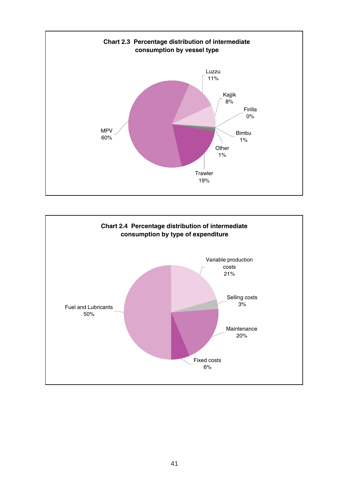

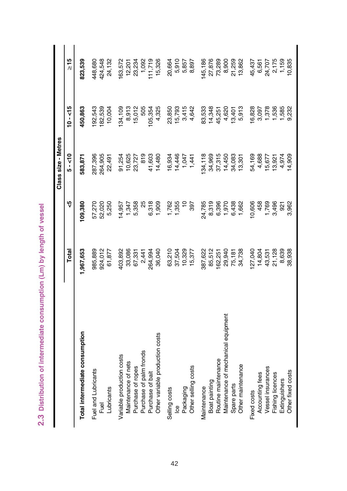2.3 Distribution of intermediate consumption (Lm) by length of vessel **2.3 Distribution of intermediate consumption (Lm) by length of vessel**

|                                     |          |               | Class size - Metres |           |                 |
|-------------------------------------|----------|---------------|---------------------|-----------|-----------------|
|                                     | Total    | ٩,            | $5 - 50$            | $10 - 15$ | $\geq 15$       |
| Total intermediate consumption      | ,967,653 | 09,380        | 583,871             | 450,863   | 823,539         |
| Fuel and Lubricants                 | 985,889  | 57,270        | 287,396             | 192,543   | 448,680         |
| Fuel                                | 924,012  | 52,020        | 264,905             | 182,539   | 424,548         |
| Lubricants                          | 61,877   | 5,250         | 22,491              | 10,004    | 24,132          |
| Variable production costs           | 403,892  | 14,957        | 91,254              | 134,109   | 163,572         |
| Maintenance of nets                 | 33,086   | 1,347         | 10,625              | 8,913     | 12,201          |
| Purchase of ropes                   | 67,331   | 5,358         | 23,727              | 15,012    | 23,234          |
| Purchase of palm fronds             | 2,441    | 25            | 819                 | 505       | 1,092           |
| Purchase of bait                    | 264,994  | 6,318         | 41,603              | 105,354   | 111,719         |
| Other variable production costs     | 36,040   | 1,909         | 14,480              | 4,325     | 15,326          |
| Selling costs                       | 63,210   | 1,762         | 16,934              | 23,850    | 20,664          |
| g                                   | 37,504   | 1,355         | 14,446              | 15,793    | 5,910           |
| Packaging                           | 10,329   | $\frac{1}{2}$ | 1,047               | 3,415     | 5,857           |
| Other selling costs                 | 15,377   | 397           | 1,441               | 4,642     | 8,897           |
| Maintenance                         | 387,622  | 24,785        | 134,118             | 83,533    | 145,186         |
| Boat painting                       | 85,512   | 8,319         | 34,969              | 14,348    | 27,876          |
| Routine maintenance                 | 162,251  | 6,396         | 37,315              | 45,251    | 73,289          |
| Maintenance of mechanical equipment | 29,940   | 1,970         | 14,450              | 4,620     | 8,900           |
| Spare parts                         | 75,181   | 6,438         | 34,083              | 13,401    | 21,259          |
| Other maintenance                   | 34,738   | 1,662         | 13,301              | 5,913     | 13,862          |
| Fixed costs                         | 27,040   | 10,606        | 54,169              | 16,828    | 45,437          |
| Accounting fees                     | 14,804   | 458           | 4,688               | 3,097     | 6,561           |
| Vessel insurances                   | 43,531   | 1,769         | 15,677              | 1,378     | 24,707          |
| Fishing licences                    | 21,128   | 3,496         | 13,921              | 1,536     | 2,175           |
| Extinguishers                       | 8,639    | 921           | 4,974               | 1,585     | 1,159<br>10,835 |
| Other fixed costs                   | 38,938   | 3,962         | 14,909              | 9,232     |                 |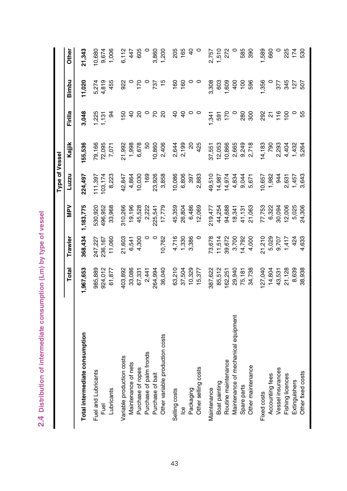2.4 Distribution of intermediate consumption (Lm) by type of vessel **2.4 Distribution of intermediate consumption (Lm) by type of vessel**

|                                     |          |         |           | Type of Vessel |                |                              |                 |                |
|-------------------------------------|----------|---------|-----------|----------------|----------------|------------------------------|-----------------|----------------|
|                                     | Total    | Trawler | Ney       | Luzzu          | Kajilk         | Firilla                      | Bimbu           | Other          |
| Total intermediate consumption      | ,967,653 | 368,434 | 1,183,775 | 224,497        | 155,536        | 3,048                        | 11,020          | 21,343         |
| Fuel and Lubricants                 | 985,889  | 247,227 | 530,920   | 111,397        | 79,166         | 1,225                        | 5,274           | 10,680         |
| Fuel                                | 924,012  | 236,167 | 496,952   | 103,174        | 72,095         | 131                          | 4,819           | 9,674          |
| Lubricants                          | 61,877   | 11,060  | 33,968    | 8,223          | 7,071          | 34                           | 455             | 1,006          |
| Variable production costs           | 403,892  | 21,603  | 310,266   | 42,847         | 21,992         | 150                          | 922             | 6,112          |
| Maintenance of nets                 | 33,086   | 6,541   | 19,196    | 4,864          | 1,998          | $\overline{4}$               | $\circ$         | 447            |
| Purchase of ropes                   | 67,331   | 4,300   | 45,528    | 10,030         | 6,678          | $\overline{c}$               | 170             | 605            |
| Purchase of palm fronds             | 2,441    |         | 2,222     | 169            | SO             |                              |                 |                |
| Purchase of bait                    | 264,994  | $\circ$ | 225,541   | 23,926         | 10,860         | 2                            | 737             | 3,860          |
| Other variable production costs     | 36,040   | 10,762  | 17,779    | 3,858          | 2,406          | 20                           | $\frac{15}{2}$  | 1,200          |
| Selling costs                       | 63,210   | 4,716   | 45,359    | 10,086         | 2,644          | $\overline{4}$               | 160             | 205            |
| <u>ea</u>                           | 37,504   | 1,330   | 26,804    | 6,806          | 2,199          | $\overline{4}$               | 160             | 165            |
| Packaging                           | 10,329   | 3,386   | 6,486     | 397            | $\overline{c}$ | $\circ$                      | $\circ$         | $\overline{a}$ |
| Other selling costs                 | 15,377   | $\circ$ | 12,069    | 2,883          | 425            | $\circ$                      | $\circ$         | $\circ$        |
| Maintenance                         | 387,622  | 73,678  | 219,477   | 49,510         | 37,551         | , 341                        | 3,308           | 2,757          |
| Boat painting                       | 85,512   | 11,514  | 44,254    | 14,987         | 12,053         | 591                          | 603             | 1,510          |
| Routine maintenance                 | 162,251  | 39,672  | 94,688    | 14,974         | 10,866         | 170                          | 609             | 272            |
| Maintenance of mechanical equipment | 29,940   | 3,700   | 18,341    | 4,834          | 2,665          |                              | 400             |                |
| Spare parts                         | 75,181   | 14,792  | 41,131    | 9,044          | 9,249          | 280                          | $\frac{100}{2}$ | 585            |
| Other maintenance                   | 34,738   | 4,000   | 21,063    | 5,671          | 2,718          | 300                          | 596             | 390            |
| Fixed costs                         | 127,040  | 21,210  | 77,753    | 0,657          | 14,183         | 292                          | 1,356           | 1,589          |
| Accounting fees                     | 14,804   | 5,029   | 6,322     | 1,982          | 790            | $\overline{\mathsf{\Omega}}$ |                 | 660            |
| Vessel insurances                   | 43,531   | 9,707   | 30,094    | 944            | 2,293          | 16                           | 377             |                |
| Fishing licences                    | 21,128   | 1,417   | 12,006    | 2,631          | 4,404          | $\overline{100}$             | 345             | 225            |
| Extinguishers                       | 8,639    | 424     | 5,025     | 1,457          | 1,432          | $\circ$                      | 127             | 174            |
| Other fixed costs                   | 38,938   | 4,633   | 24,306    | 3,643          | 5,264          | 55                           | 507             | 530            |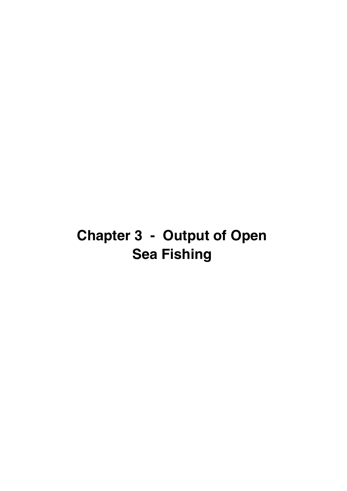# **Chapter 3 - Output of Open Sea Fishing**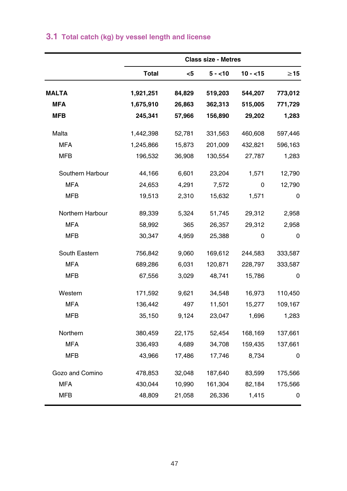|                  |              |        | <b>Class size - Metres</b> |           |           |
|------------------|--------------|--------|----------------------------|-----------|-----------|
|                  | <b>Total</b> | $<$ 5  | $5 - 10$                   | $10 - 15$ | $\geq$ 15 |
| <b>MALTA</b>     | 1,921,251    | 84,829 | 519,203                    | 544,207   | 773,012   |
| <b>MFA</b>       | 1,675,910    | 26,863 | 362,313                    | 515,005   | 771,729   |
| <b>MFB</b>       | 245,341      | 57,966 | 156,890                    | 29,202    | 1,283     |
| Malta            | 1,442,398    | 52,781 | 331,563                    | 460,608   | 597,446   |
| <b>MFA</b>       | 1,245,866    | 15,873 | 201,009                    | 432,821   | 596,163   |
| <b>MFB</b>       | 196,532      | 36,908 | 130,554                    | 27,787    | 1,283     |
| Southern Harbour | 44,166       | 6,601  | 23,204                     | 1,571     | 12,790    |
| <b>MFA</b>       | 24,653       | 4,291  | 7,572                      | 0         | 12,790    |
| <b>MFB</b>       | 19,513       | 2,310  | 15,632                     | 1,571     | 0         |
| Northern Harbour | 89,339       | 5,324  | 51,745                     | 29,312    | 2,958     |
| <b>MFA</b>       | 58,992       | 365    | 26,357                     | 29,312    | 2,958     |
| <b>MFB</b>       | 30,347       | 4,959  | 25,388                     | 0         | $\Omega$  |
| South Eastern    | 756,842      | 9,060  | 169,612                    | 244,583   | 333,587   |
| <b>MFA</b>       | 689,286      | 6,031  | 120,871                    | 228,797   | 333,587   |
| <b>MFB</b>       | 67,556       | 3,029  | 48,741                     | 15,786    | 0         |
| Western          | 171,592      | 9,621  | 34,548                     | 16,973    | 110,450   |
| <b>MFA</b>       | 136,442      | 497    | 11,501                     | 15,277    | 109,167   |
| <b>MFB</b>       | 35,150       | 9,124  | 23,047                     | 1,696     | 1,283     |
| Northern         | 380,459      | 22,175 | 52,454                     | 168,169   | 137,661   |
| <b>MFA</b>       | 336,493      | 4,689  | 34,708                     | 159,435   | 137,661   |
| MFB              | 43,966       | 17,486 | 17,746                     | 8,734     | 0         |
| Gozo and Comino  | 478,853      | 32,048 | 187,640                    | 83,599    | 175,566   |
| <b>MFA</b>       | 430,044      | 10,990 | 161,304                    | 82,184    | 175,566   |
| <b>MFB</b>       | 48,809       | 21,058 | 26,336                     | 1,415     | 0         |

# **3.1 Total catch (kg) by vessel length and license**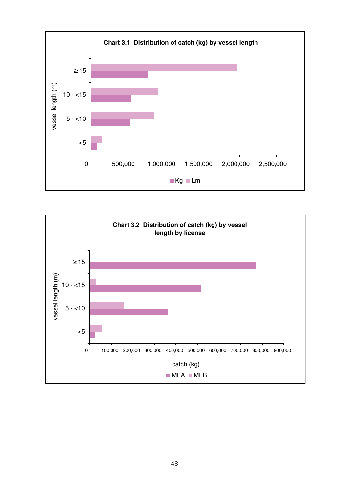

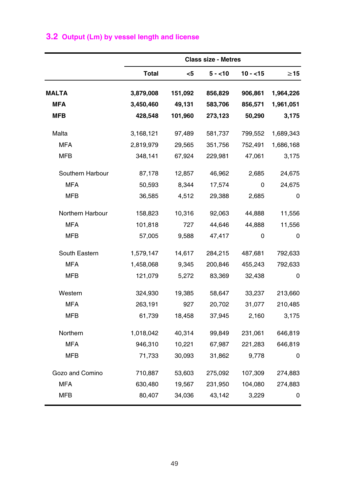|  |  |  |  |  | 3.2 Output (Lm) by vessel length and license |  |
|--|--|--|--|--|----------------------------------------------|--|
|--|--|--|--|--|----------------------------------------------|--|

|                  |              |         | <b>Class size - Metres</b> |           |           |
|------------------|--------------|---------|----------------------------|-----------|-----------|
|                  | <b>Total</b> | $<$ 5   | $5 - 10$                   | $10 - 15$ | $\geq$ 15 |
| <b>MALTA</b>     | 3,879,008    | 151,092 | 856,829                    | 906,861   | 1,964,226 |
| <b>MFA</b>       | 3,450,460    | 49,131  | 583,706                    | 856,571   | 1,961,051 |
| MFB              | 428,548      | 101,960 | 273,123                    | 50,290    | 3,175     |
| Malta            | 3,168,121    | 97,489  | 581,737                    | 799,552   | 1,689,343 |
| <b>MFA</b>       | 2,819,979    | 29,565  | 351,756                    | 752,491   | 1,686,168 |
| <b>MFB</b>       | 348,141      | 67,924  | 229,981                    | 47,061    | 3,175     |
| Southern Harbour | 87,178       | 12,857  | 46,962                     | 2,685     | 24,675    |
| <b>MFA</b>       | 50,593       | 8,344   | 17,574                     | 0         | 24,675    |
| <b>MFB</b>       | 36,585       | 4,512   | 29,388                     | 2,685     | 0         |
| Northern Harbour | 158,823      | 10,316  | 92,063                     | 44,888    | 11,556    |
| <b>MFA</b>       | 101,818      | 727     | 44,646                     | 44,888    | 11,556    |
| <b>MFB</b>       | 57,005       | 9,588   | 47,417                     | 0         | 0         |
| South Eastern    | 1,579,147    | 14,617  | 284,215                    | 487,681   | 792,633   |
| <b>MFA</b>       | 1,458,068    | 9,345   | 200,846                    | 455,243   | 792,633   |
| <b>MFB</b>       | 121,079      | 5,272   | 83,369                     | 32,438    | 0         |
| Western          | 324,930      | 19,385  | 58,647                     | 33,237    | 213,660   |
| <b>MFA</b>       | 263,191      | 927     | 20,702                     | 31,077    | 210,485   |
| <b>MFB</b>       | 61,739       | 18,458  | 37,945                     | 2,160     | 3,175     |
| Northern         | 1,018,042    | 40,314  | 99,849                     | 231,061   | 646,819   |
| <b>MFA</b>       | 946,310      | 10,221  | 67,987                     | 221,283   | 646,819   |
| <b>MFB</b>       | 71,733       | 30,093  | 31,862                     | 9,778     | 0         |
| Gozo and Comino  | 710,887      | 53,603  | 275,092                    | 107,309   | 274,883   |
| <b>MFA</b>       | 630,480      | 19,567  | 231,950                    | 104,080   | 274,883   |
| <b>MFB</b>       | 80,407       | 34,036  | 43,142                     | 3,229     | 0         |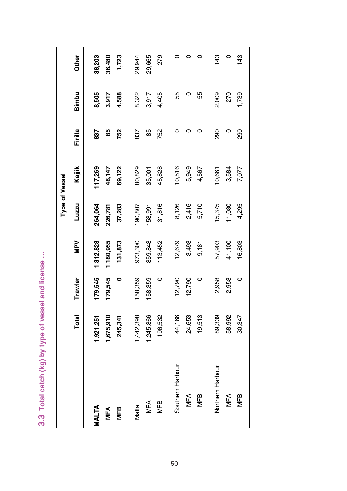3.3 Total catch (kg) by type of vessel and license ... **3.3 Total catch (kg) by type of vessel and license …**

|                  |           |         |           |         | Type of Vessel |         |       |              |
|------------------|-----------|---------|-----------|---------|----------------|---------|-------|--------------|
|                  | Total     | Trawler | Ney       | Luzzu   | Kajiik         | Firilla | Bimbu | <b>Other</b> |
| MALTA            | ,921,251  | 179,545 | 1,312,828 | 264,064 | 17,269         | 837     | 8,505 | 38,203       |
| MFA              | 1,675,910 | 179,545 | 1,180,955 | 226,781 | 48,147         | 85      | 3,917 | 36,480       |
| MFB              | 245,341   | 0       | 131,873   | 37,283  | 69,122         | 752     | 4,588 | 1,723        |
| Malta            | ,442,398  | 58,359  | 973,300   | 90,807  | 80,829         | 837     | 8,322 | 29,944       |
| MFA              | ,245,866  | 58,359  | 859,848   | 58,991  | 35,001         | 85      | 3,917 | 29,665       |
| MFB              | 196,532   | 0       | 113,452   | 31,816  | 45,828         | 752     | 4,405 | 279          |
| Southern Harbour | 44,166    | 12,790  | 12,679    | 8,126   | 10,516         |         | 55    |              |
| <b>MFA</b>       | 24,653    | 12,790  | 3,498     | 2,416   | 5,949          |         | ○     |              |
| MFB              | 19,513    | 0       | 9,181     | 5,710   | 4,567          |         | 55    |              |
| Northern Harbour | 89,339    | 2,958   | 57,903    | 15,375  | 10,661         | 290     | 2,009 | 43           |
| MFA              | 58,992    | 2,958   | 41,100    | 11,080  | 3,584          | $\circ$ | 270   | $\circ$      |
| <b>MFB</b>       | 30,347    | 0       | 16,803    | 4,295   | 7,077          | 290     | 1,739 | 43           |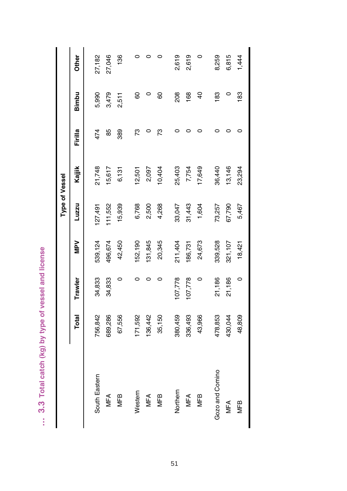... 3.3 Total catch (kg) by type of vessel and license **… 3.3 Total catch (kg) by type of vessel and license**

|                 |         |         |            |        | Type of Vessel |         |                |        |
|-----------------|---------|---------|------------|--------|----------------|---------|----------------|--------|
|                 | Total   | Trawler | <b>Ney</b> | Luzzu  | Kajjik         | Firilla | Bimbu          | Other  |
| South Eastern   | 756,842 | 34,833  | 539,124    | 27,491 | 21,748         | 474     | 5,990          | 27,182 |
| MFA             | 689,286 | 34,833  | 496,674    | 11,552 | 15,617         | 85      | 3,479          | 27,046 |
| <b>MFB</b>      | 67,556  | 0       | 42,450     | 15,939 | 6,131          | 389     | 2,511          | 136    |
| Western         | 171,592 |         | 52,190     | 6,768  | 12,501         | r3      | 80             |        |
| MFA             | 136,442 |         | 131,845    | 2,500  | 2,097          |         |                |        |
| <b>MFB</b>      | 35,150  | 0       | 20,345     | 4,268  | 10,404         | 73      | 80             |        |
| Northern        | 380,459 | 07,778  | 211,404    | 33,047 | 25,403         |         | 208            | 2,619  |
| MFA             | 336,493 | 07,778  | 186,731    | 31,443 | 7,754          |         | 168            | 2,619  |
| <b>MFB</b>      | 43,966  | $\circ$ | 24,673     | 1,604  | 17,649         |         | $\overline{4}$ |        |
| Gozo and Comino | 478,853 | 21,186  | 339,528    | 73,257 | 36,440         |         | 183            | 8,259  |
| MFA             | 430,044 | 21,186  | 321,107    | 67,790 | 13,146         |         | 0              | 6,815  |
| <b>MFB</b>      | 48,809  | $\circ$ | 18,421     | 5,467  | 23,294         |         | 183            | 1,444  |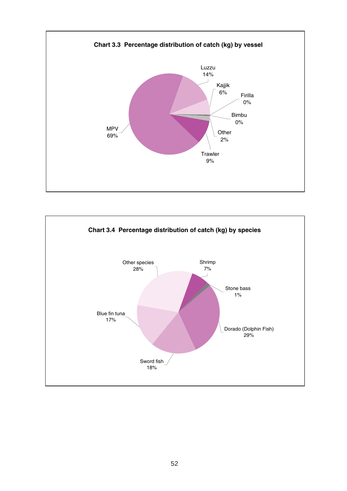

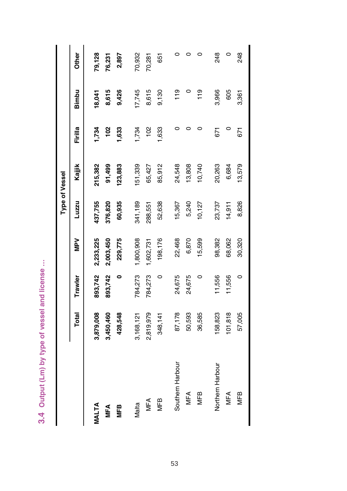3.4 Output (Lm) by type of vessel and license ... **3.4 Output (Lm) by type of vessel and license …**

|                  |           |         |           |         | Type of Vessel |         |        |              |
|------------------|-----------|---------|-----------|---------|----------------|---------|--------|--------------|
|                  | Total     | Trawler | Ney       | Luzzu   | Kajjik         | Firilla | Bimbu  | <b>Other</b> |
| MALTA            | 3,879,008 | 893,742 | 2,233,225 | 437,755 | 215,382        | 1,734   | 18,041 | 79,128       |
| <b>MFA</b>       | 3,450,460 | 893,742 | 2,003,450 | 376,820 | 91,499         | 102     | 8,615  | 76,231       |
| WЕB              | 428,548   | 0       | 229,775   | 60,935  | 23,883         | 1,633   | 9,426  | 2,897        |
| Malta            | 3,168,121 | 784,273 | 1,800,908 | 341,189 | 51,339         | 1,734   | 17,745 | 70,932       |
| MFA              | 2,819,979 | 784,273 | 1,602,731 | 288,551 | 65,427         | 102     | 8,615  | 70,281       |
| <b>MFB</b>       | 348,141   | $\circ$ | 198,176   | 52,638  | 85,912         | 1,633   | 9,130  | 651          |
| Southern Harbour | 87,178    | 24,675  | 22,468    | 15,367  | 24,548         |         | 119    |              |
| <b>MFA</b>       | 50,593    | 24,675  | 6,870     | 5,240   | 13,808         |         |        | 0            |
| MFB              | 36,585    | 0       | 15,599    | 10,127  | 10,740         |         | 119    | o            |
| Northern Harbour | 58,823    | 11,556  | 98,382    | 23,737  | 20,263         | 671     | 3,966  | 248          |
| <b>MFA</b>       | 01,818    | 11,556  | 68,062    | 14,911  | 6,684          | 0       | 605    | 0            |
| MFB              | 57,005    | 0       | 30,320    | 8,826   | 13,579         | 671     | 3,361  | 248          |

53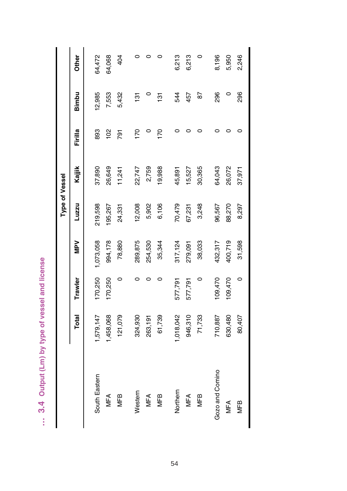... 3.4 Output (Lm) by type of vessel and license **… 3.4 Output (Lm) by type of vessel and license**

|                 |           |         |           |         | Type of Vessel |               |               |        |
|-----------------|-----------|---------|-----------|---------|----------------|---------------|---------------|--------|
|                 | Total     | Trawler | Nev       | Luzzu   | Kajjik         | Firilla       | Bimbu         | Other  |
| South Eastern   | 1,579,147 | 170,250 | 1,073,058 | 219,598 | 37,890         | 893           | 12,985        | 64,472 |
| <b>MFA</b>      | 1,458,068 | 170,250 | 994,178   | 195,267 | 26,649         | $\frac{8}{1}$ | 7,553         | 64,068 |
| <b>MFB</b>      | 121,079   | 0       | 78,880    | 24,331  | 11,241         | 791           | 5,432         | 404    |
| Western         | 324,930   |         | 289,875   | 12,008  | 22,747         | 170           | $\frac{5}{1}$ |        |
| MFA             | 263,191   |         | 254,530   | 5,902   | 2,759          |               |               | 0      |
| <b>MFB</b>      | 61,739    |         | 35,344    | 6,106   | 19,988         | 170           | $\frac{5}{1}$ |        |
| Northern        | 1,018,042 | 577,791 | 317,124   | 70,479  | 45,891         |               | 544           | 6,213  |
| <b>MFA</b>      | 946,310   | 577,791 | 279,091   | 67,231  | 15,527         |               | 457           | 6,213  |
| <b>MFB</b>      | 71,733    | $\circ$ | 38,033    | 3,248   | 30,365         |               | 87            |        |
| Gozo and Comino | 710,887   | 09,470  | 432,317   | 96,567  | 64,043         |               | 296           | 8,196  |
| MFA             | 630,480   | 09,470  | 400,719   | 88,270  | 26,072         |               |               | 5,950  |
| <b>MFB</b>      | 80,407    | $\circ$ | 31,598    | 8,297   | 37,971         |               | 296           | 2,246  |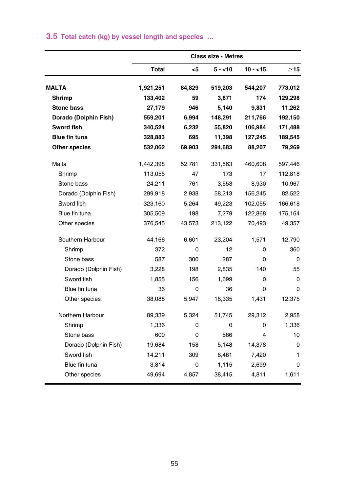|  |  |  |  |  |  |  |  | 3.5 Total catch (kg) by vessel length and species |  |
|--|--|--|--|--|--|--|--|---------------------------------------------------|--|
|--|--|--|--|--|--|--|--|---------------------------------------------------|--|

|                       |           |        | <b>Class size - Metres</b> |             |           |
|-----------------------|-----------|--------|----------------------------|-------------|-----------|
|                       | Total     | $5$    | $5 - 10$                   | $10 - 15$   | $\geq$ 15 |
| <b>MALTA</b>          | 1,921,251 | 84,829 | 519,203                    | 544,207     | 773,012   |
| Shrimp                | 133,402   | 59     | 3.871                      | 174         | 129,298   |
| <b>Stone bass</b>     | 27,179    | 946    | 5,140                      | 9,831       | 11,262    |
| Dorado (Dolphin Fish) | 559,201   | 6,994  | 148,291                    | 211,766     | 192,150   |
| <b>Sword fish</b>     | 340,524   | 6,232  | 55,820                     | 106,984     | 171,488   |
| <b>Blue fin tuna</b>  | 328,883   | 695    | 11,398                     | 127,245     | 189,545   |
| <b>Other species</b>  | 532,062   | 69,903 | 294,683                    | 88,207      | 79,269    |
| Malta                 | 1,442,398 | 52,781 | 331,563                    | 460,608     | 597,446   |
| Shrimp                | 113,055   | 47     | 173                        | 17          | 112,818   |
| Stone bass            | 24,211    | 761    | 3,553                      | 8,930       | 10,967    |
| Dorado (Dolphin Fish) | 299,918   | 2,938  | 58,213                     | 156,245     | 82,522    |
| Sword fish            | 323,160   | 5,264  | 49,223                     | 102,055     | 166,618   |
| Blue fin tuna         | 305,509   | 198    | 7,279                      | 122,868     | 175,164   |
| Other species         | 376,545   | 43,573 | 213,122                    | 70,493      | 49,357    |
| Southern Harbour      | 44,166    | 6,601  | 23,204                     | 1,571       | 12,790    |
| Shrimp                | 372       | 0      | 12                         | 0           | 360       |
| Stone bass            | 587       | 300    | 287                        | 0           | 0         |
| Dorado (Dolphin Fish) | 3,228     | 198    | 2,835                      | 140         | 55        |
| Sword fish            | 1,855     | 156    | 1,699                      | 0           | 0         |
| Blue fin tuna         | 36        | 0      | 36                         | $\mathbf 0$ | 0         |
| Other species         | 38,088    | 5,947  | 18,335                     | 1,431       | 12,375    |
| Northern Harbour      | 89,339    | 5,324  | 51,745                     | 29,312      | 2,958     |
| Shrimp                | 1,336     | 0      | 0                          | 0           | 1,336     |
| Stone bass            | 600       | 0      | 586                        | 4           | 10        |
| Dorado (Dolphin Fish) | 19,684    | 158    | 5,148                      | 14,378      | 0         |
| Sword fish            | 14,211    | 309    | 6,481                      | 7,420       | 1         |
| Blue fin tuna         | 3,814     | 0      | 1,115                      | 2,699       | 0         |
| Other species         | 49,694    | 4,857  | 38,415                     | 4,811       | 1,611     |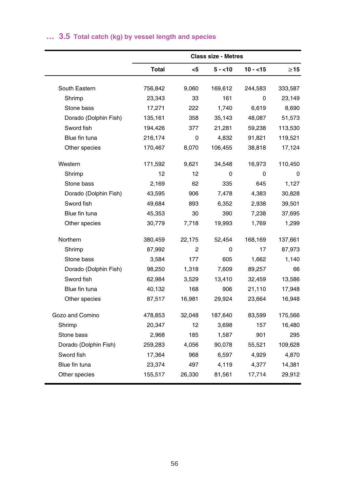## **… 3.5 Total catch (kg) by vessel length and species**

|                       |         |        | <b>Class size - Metres</b> |           |           |
|-----------------------|---------|--------|----------------------------|-----------|-----------|
|                       | Total   | <5     | $5 - 10$                   | $10 - 15$ | $\geq$ 15 |
| South Eastern         | 756,842 | 9.060  | 169,612                    | 244,583   | 333,587   |
| Shrimp                | 23,343  | 33     | 161                        | 0         | 23,149    |
| Stone bass            | 17,271  | 222    | 1,740                      | 6,619     | 8,690     |
| Dorado (Dolphin Fish) | 135,161 | 358    | 35,143                     | 48,087    | 51,573    |
| Sword fish            | 194,426 | 377    | 21,281                     | 59,238    | 113,530   |
| Blue fin tuna         | 216,174 | 0      | 4,832                      | 91,821    | 119,521   |
| Other species         | 170,467 | 8,070  | 106,455                    | 38,818    | 17,124    |
| Western               | 171,592 | 9,621  | 34,548                     | 16,973    | 110,450   |
| Shrimp                | 12      | 12     | 0                          | 0         | 0         |
| Stone bass            | 2,169   | 62     | 335                        | 645       | 1,127     |
| Dorado (Dolphin Fish) | 43,595  | 906    | 7,478                      | 4,383     | 30,828    |
| Sword fish            | 49,684  | 893    | 6,352                      | 2,938     | 39,501    |
| Blue fin tuna         | 45,353  | 30     | 390                        | 7,238     | 37,695    |
| Other species         | 30,779  | 7,718  | 19,993                     | 1,769     | 1,299     |
| Northern              | 380,459 | 22,175 | 52,454                     | 168,169   | 137,661   |
| Shrimp                | 87,992  | 2      | 0                          | 17        | 87,973    |
| Stone bass            | 3,584   | 177    | 605                        | 1,662     | 1,140     |
| Dorado (Dolphin Fish) | 98,250  | 1,318  | 7,609                      | 89,257    | 66        |
| Sword fish            | 62,984  | 3,529  | 13,410                     | 32,459    | 13,586    |
| Blue fin tuna         | 40,132  | 168    | 906                        | 21,110    | 17,948    |
| Other species         | 87,517  | 16,981 | 29,924                     | 23,664    | 16,948    |
| Gozo and Comino       | 478,853 | 32,048 | 187,640                    | 83,599    | 175,566   |
| Shrimp                | 20,347  | 12     | 3,698                      | 157       | 16,480    |
| Stone bass            | 2,968   | 185    | 1,587                      | 901       | 295       |
| Dorado (Dolphin Fish) | 259,283 | 4,056  | 90,078                     | 55,521    | 109,628   |
| Sword fish            | 17,364  | 968    | 6,597                      | 4,929     | 4,870     |
| Blue fin tuna         | 23,374  | 497    | 4,119                      | 4,377     | 14,381    |
| Other species         | 155,517 | 26,330 | 81,561                     | 17,714    | 29,912    |
|                       |         |        |                            |           |           |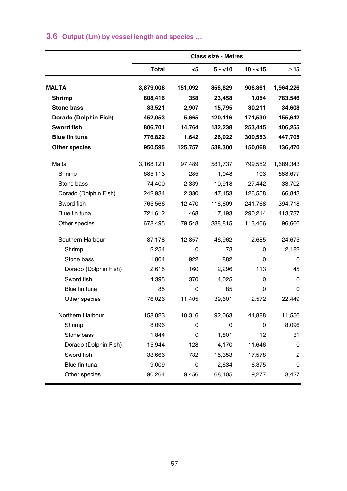## **3.6 Output (Lm) by vessel length and species …**

|                       |           |         | <b>Class size - Metres</b> |           |             |
|-----------------------|-----------|---------|----------------------------|-----------|-------------|
|                       | Total     | $<$ 5   | $5 - 10$                   | $10 - 15$ | $\geq$ 15   |
| <b>MALTA</b>          | 3,879,008 | 151,092 | 856,829                    | 906,861   | 1,964,226   |
| Shrimp                | 808,416   | 358     | 23,458                     | 1,054     | 783,546     |
| <b>Stone bass</b>     | 83,521    | 2.907   | 15,795                     | 30,211    | 34,608      |
| Dorado (Dolphin Fish) | 452,953   | 5,665   | 120,116                    | 171,530   | 155,642     |
| Sword fish            | 806,701   | 14,764  | 132,238                    | 253,445   | 406,255     |
| <b>Blue fin tuna</b>  | 776,822   | 1,642   | 26,922                     | 300,553   | 447,705     |
| Other species         | 950,595   | 125,757 | 538,300                    | 150,068   | 136,470     |
| Malta                 | 3,168,121 | 97,489  | 581,737                    | 799,552   | 1,689,343   |
| Shrimp                | 685,113   | 285     | 1,048                      | 103       | 683,677     |
| Stone bass            | 74,400    | 2,339   | 10,918                     | 27,442    | 33,702      |
| Dorado (Dolphin Fish) | 242,934   | 2,380   | 47,153                     | 126,558   | 66,843      |
| Sword fish            | 765,566   | 12,470  | 116,609                    | 241,768   | 394,718     |
| Blue fin tuna         | 721,612   | 468     | 17,193                     | 290,214   | 413,737     |
| Other species         | 678,495   | 79,548  | 388,815                    | 113,466   | 96,666      |
| Southern Harbour      | 87,178    | 12,857  | 46,962                     | 2,685     | 24,675      |
| Shrimp                | 2,254     | 0       | 73                         | 0         | 2,182       |
| Stone bass            | 1,804     | 922     | 882                        | 0         | $\Omega$    |
| Dorado (Dolphin Fish) | 2,615     | 160     | 2,296                      | 113       | 45          |
| Sword fish            | 4,395     | 370     | 4,025                      | 0         | 0           |
| Blue fin tuna         | 85        | 0       | 85                         | 0         | 0           |
| Other species         | 76,026    | 11,405  | 39,601                     | 2,572     | 22,449      |
| Northern Harbour      | 158,823   | 10,316  | 92,063                     | 44,888    | 11,556      |
| Shrimp                | 8,096     | 0       | 0                          | 0         | 8,096       |
| Stone bass            | 1,844     | 0       | 1.801                      | 12        | 31          |
| Dorado (Dolphin Fish) | 15,944    | 128     | 4,170                      | 11,646    | $\mathbf 0$ |
| Sword fish            | 33,666    | 732     | 15,353                     | 17,578    | 2           |
| Blue fin tuna         | 9,009     | 0       | 2,634                      | 6,375     | 0           |
| Other species         | 90,264    | 9,456   | 68,105                     | 9,277     | 3,427       |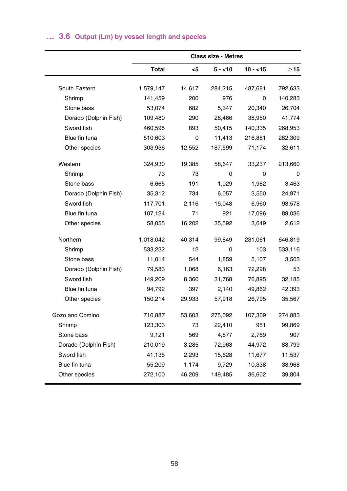## **… 3.6 Output (Lm) by vessel length and species**

|                       |              |        | <b>Class size - Metres</b> |           |           |
|-----------------------|--------------|--------|----------------------------|-----------|-----------|
|                       | <b>Total</b> | $<$ 5  | $5 - 10$                   | $10 - 15$ | $\geq 15$ |
| South Eastern         | 1,579,147    | 14,617 | 284,215                    | 487,681   | 792,633   |
| Shrimp                | 141,459      | 200    | 976                        | 0         | 140,283   |
| Stone bass            | 53,074       | 682    | 5,347                      | 20,340    | 26,704    |
| Dorado (Dolphin Fish) | 109,480      | 290    | 28,466                     | 38,950    | 41,774    |
| Sword fish            | 460,595      | 893    | 50,415                     | 140,335   | 268,953   |
| Blue fin tuna         | 510,603      | 0      | 11,413                     | 216,881   | 282,309   |
| Other species         | 303,936      | 12,552 | 187,599                    | 71,174    | 32,611    |
| Western               | 324,930      | 19,385 | 58,647                     | 33,237    | 213,660   |
| Shrimp                | 73           | 73     | 0                          | 0         | 0         |
| Stone bass            | 6,665        | 191    | 1,029                      | 1,982     | 3,463     |
| Dorado (Dolphin Fish) | 35,312       | 734    | 6,057                      | 3,550     | 24,971    |
| Sword fish            | 117,701      | 2,116  | 15,048                     | 6,960     | 93,578    |
| Blue fin tuna         | 107,124      | 71     | 921                        | 17,096    | 89,036    |
| Other species         | 58,055       | 16,202 | 35,592                     | 3,649     | 2,612     |
| Northern              | 1,018,042    | 40,314 | 99,849                     | 231,061   | 646,819   |
| Shrimp                | 533,232      | 12     | 0                          | 103       | 533,116   |
| Stone bass            | 11,014       | 544    | 1,859                      | 5,107     | 3,503     |
| Dorado (Dolphin Fish) | 79,583       | 1,068  | 6,163                      | 72,298    | 53        |
| Sword fish            | 149,209      | 8,360  | 31,768                     | 76,895    | 32,185    |
| Blue fin tuna         | 94,792       | 397    | 2,140                      | 49,862    | 42,393    |
| Other species         | 150,214      | 29,933 | 57,918                     | 26,795    | 35,567    |
| Gozo and Comino       | 710,887      | 53,603 | 275,092                    | 107,309   | 274,883   |
| Shrimp                | 123,303      | 73     | 22,410                     | 951       | 99,869    |
| Stone bass            | 9,121        | 569    | 4,877                      | 2,769     | 907       |
| Dorado (Dolphin Fish) | 210,019      | 3,285  | 72,963                     | 44,972    | 88,799    |
| Sword fish            | 41,135       | 2,293  | 15,628                     | 11,677    | 11,537    |
| Blue fin tuna         | 55,209       | 1,174  | 9,729                      | 10,338    | 33,968    |
| Other species         | 272,100      | 46,209 | 149,485                    | 36,602    | 39,804    |
|                       |              |        |                            |           |           |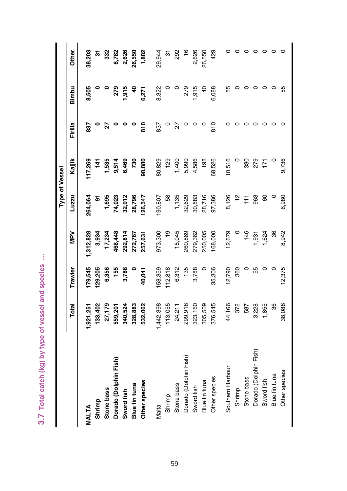3.7 Total catch (kg) by type of vessel and species ... **3.7 Total catch (kg) by type of vessel and species …**

Other  $\circ$  $\circ$  $\circ$ 38,203  $\overline{5}$ 332 6,782 2,626 26,550 1,882 29,944 292  $16$ 2,626 26,550 429  $\circ$  $\circ$   $\circ$  $\circ$  $\overline{5}$ **Total Trawler MPV Luzzu Kajjik Firilla Bimbu Other MALTA 1,921,251 179,545 1,312,828 264,064 117,269 837 8,505 38,203 Stone bass 27,179 6,356 17,234 1,695 1,535 27 0 332 Dorado (Dolphin Fish) 559,201 155 468,448 74,023 9,514 0 279 6,782 Sword fish 340,524 3,788 292,814 32,912 6,469 0 1,915 2,626 Blue fin tuna 328,883 0 272,767 28,796 730 0 40 26,550 Other species 532,062 40,041 257,631 126,547 98,880 810 6,271 1,882** Malta 1,442,398,398 989,398,396 974,398,300 80,000 80,300,300 80,300 80,300 80,322 20,3222 20,3232 Stone bass 24,211 6,312 1,135 1,135 1,135 1,1400 27 0 292 Dorado (Dolphin Fish) 299,918 135 260,869 32,629 5,990 0 279 16 Sword fish 323,160 3,788 279,362 30,883 4,586 0 1,915 2,626 Blue fin tuna 305,509 0 250,509 0 250,509 0 25,509 0 26,550 0 0 0 0 26,550 Other species 376,545 35,306 168,000 97,386 68,526 810 6,088 429 Southern Harbour 44,166 12,790 12,679 8,126 10,516 0 55 0 ات من الله عليه الله عليه الله عليه الله عليه الله عليه الله عليه الله عليه الله عليه الله عليه الله عليه الله<br>الله عليه الله عليه الله عليه الله عليه الله عليه الله عليه الله عليه الله عليه الله عليه الله عليه الله عليه Stone bass 587 0 146 111 330 0 0 0 Dolphin Dolphin Solphin Fish States and States and States and States and States and States and Dolphin States and Dolphin States and Dolphin States and Dolphin States and Dolphin States and Dolphin States and Dolphin State Sword fish 1,855 0 1,624 60 171 0 0 0 Dentified final comparation comparation comparation comparation comparation computation comparation comparation compa Other species 38,088 0 38,088 9,042 8,9525 0 0 55 0 55 0 55 **Shrimp 133,402 129,205 3,934 91 141 0 0 31** Shrimp 113,055 112,055 113,055 112,055 112,055 112,055 112,055 120 0 0 321 032 0.1 0 120 0 0 312 041 041 041 0 8,505  $1,915$  $-915$ 6,088  $\circ$  $\circ$  $\circ$  $\circ$ Bimbu  $\circ$ 279  $\frac{6}{3}$ 6,271 8,322  $\subset$ 279  $\overline{a}$ 55  $\circ$ ပ္ပ Firilla  $\frac{8}{10}$  $\frac{0}{8}$ 837  $\circ$ 27  $\bullet$  $\circ$  $\circ$ 837  $\circ$  $\overline{27}$  $\circ$  $\circ$  $\circ$  $\circ$  $\circ$  $\circ$  $\circ$  $\circ$  $\circ$  $\circ$ Kajjik 117,269 1,535 9,514 6,469 730 98,880 80,829 129 1,400 5,990 4,586 198 68,526 10,516 330 279 9,736  $\frac{1}{4}$  $\overline{5}$ **Type of Vessel Type of Vessel** Luzzu 264,064 1,695 74,023 32,912 28,796 26,547 190,807 38 1,135 32,629 30,883 28,716 97,386 8,126  $\tilde{a}$ 963 6,980  $\overline{1}$ 8  $\circ$  $\overline{5}$ NPV 3,934 17,234 168,448 272,767 973,300 e<sub>1</sub> 15,045 279,362 250,005 168,000 12,679 146 1,624 8,942 1,312,828 292,814 257,631 260,869  $,931$ 36 179,545 6,356 58,359  $12,818$ 6,312 12,375 29,205 155 3,788 10,041 135 3,788 35,306 12,790 **Trawler**  $\circ$ 360  $\circ$ 55  $\circ$  $\circ$ 27,179 328,883 532,062 113,055 24,211 323,160 305,509 376,545 44,166 3,228 1,855 38,088 Total 133,402 559,201 1,442,398 299,918 372 587 ,921,251 340,524 36 Dorado (Dolphin Fish) Dorado (Dolphin Fish) Dorado (Dolphin Fish) Southern Harbour Other species Blue fin tuna Other species Stone bass Sword fish Other species Blue fin tuna Blue fin tuna Stone bass Sword fish Stone bass Shrimp Sword fish Shrimp Shrimp Vlalta MALTA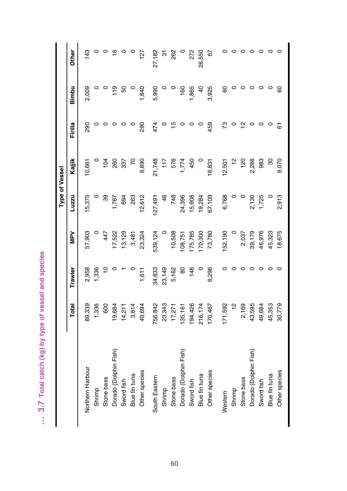... 3.7 Total catch (kg) by type of vessel and species **… 3.7 Total catch (kg) by type of vessel and species** 

Other 143  $\circ$   $\circ$  $\circ \circ \circ \circ \circ \circ$  $\circ$  $\circ$  $\circ$   $\circ$  $127$ 27,182 262  $\circ$ 272 26,550 67  $\circ$  $\overline{\circ}$ **Total Trawler MPV Luzzu Kajjik Firilla Bimbu Other** Northern Harbour 89,339 2,958 57,903 15,375 10,661 290 2,009 143 D 0 0 0 0 0 988;L 988;L 988;L 1,336 duursus Stone bass 600 10 447 39 104 0 0 0 Dorado (Dolphin Fish) 19,684 0 17,522 1,767 260 0 119 16 Sword fish 14,211 1 13,129 694 337 0 50 0 Blue fin tuna 3,814 0 3,481 263 70 0 0 0 22L 070, 063 1,610, 0681 21,612 12,612 12,612 12,612 12,612 127 1284 1284 127 South Eastern 756,842 34,833 539,124 127,491 21,748 474 5,990 27,182 Stone bass 17,271 5,162 10,508 748 576 576 15 0 262 Dorado (Dolphin Fish) 135,161 135,161 135,161 135,161 135,161 135,161 0 160 108 0 108 Sword fish 194,426 146 175,785 15,908 450 0 1,865 272 Blue fin tuna 216,174 0 170,300 19,284 0 0 40 26,550 Cother species 170,8761 170,876 170,800,906 18,925 18,925 18,925 18,925 18,925 18,925 18,925 18,926 1 Western 171,592 0 152,190 6,768 12,501 73 60 60 0 12,501 Shrimp 12 0 0 0 12 0 0 0 Stone bass 2,169 0 2,037 0 120 12 0 0 Dorado (Dolphin Fish) 43,595 0 39,179 2,130 2,286 0 0 0 Sword fish 49,684 0 46,976 1,725 983 0 0 0 Blue fin tuna 45,353 0 45,323 0 30 0 0 0 Other species 30,779 0 18,675 2,913 9,070 61 60 0 Shrimp 23,343 23,344 0 9 21.41 23,344 0 9 21.523 23,343 23,344 0 0 0 0 12.41 24 0 0 0 12.41 23,344 0 2,009  $119$ 1,840 5,990 1,865 3,925  $\circ$  $\circ$  $\circ$ 8 Bimbu  $\circ$  $\circ$ 50 160  $\overline{4}$ 8  $\circ$  $\circ$ Firilla 290  $\frac{10}{2}$ 459 73 67 290  $\circ$  $\circ$  $\circ$  $\circ$  $\circ$ 474  $\circ$  $\circ$  $\circ$  $\circ$  $\circ$  $\tilde{a}$  $\circ$  $\circ$  $\circ$ Kajjik 260 337  $\overline{z}$ 9,890 21,748  $117$ 576  $1,774$ 450 18,831  $12,501$  $\tilde{c}$  $\overline{20}$ 2,286 983 80 9,070 10,661  $104$ **Type of Vessel Type of Vessel**15,375 2,913 Luzzu 89 1,767 263 12,612  $127,491$  $\frac{4}{6}$ 748 24,396 15,908 19,284 37,109 6,768 2,130 1,725  $\circ$ 694  $\circ$  $\circ$ NPV 57,903 16,976  $\circ$ 447  $17,522$ 13,129 3,481 23,324 539,124  $\circ$ 10,508 08,751 175,785 70,300 73,780 52,190  $\circ$ 2,037 39,179 15,323 18,675 2,958 34,833 23,149 1,336  $\tilde{c}$  $1,611$ 5,162  $146$ 6,296 **Trawler**  $\circ$  $\circ$  $\overline{8}$  $\circ$  $\circ$  $\circ$  $\circ$  $\circ$  $\circ$  $\circ$  $\circ$ 23,343 43,595 39,339 1,336 19,684  $14,211$  $3,814$ 49,694 756,842 194,426 216,174 170,467  $\frac{1}{2}$ 2,169 49,684 45,353 30,779 Total 600  $17,271$ 35,161 71,592 Dorado (Dolphin Fish) Dorado (Dolphin Fish) Dorado (Dolphin Fish) Northern Harbour Other species Other species Other species Blue fin tuna Blue fin tuna Blue fin tuna South Eastern Stone bass Sword fish Stone bass Sword fish Stone bass Sword fish Shrimp Shrimp Shrimp Nestern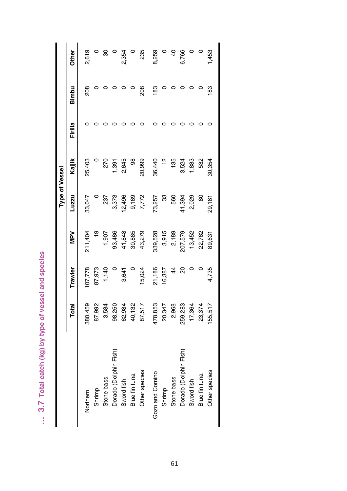... 3.7 Total catch (kg) by type of vessel and species **… 3.7 Total catch (kg) by type of vessel and species** 

Other 2,619  $\boldsymbol{\mathcal{S}}$ 6,766 1,453  $\circ$  $\circ$ 2,354  $\circ$ 235 8,259  $\circ$  $\overline{4}$  $\circ$  $\circ$ **Total Trawler MPV Luzzu Kajjik Firilla Bimbu Other** Northern 380,459 107,778 211,404 33,047 25,403 0 208 2,619 Shrimp 87,992 87,973 19 0 0 0 0 0 Stone bass 3,584 1,140 1,907 237 270 0 0 30 O 0 168't 828't 989't 989't 0 0 93,186 (ISIL'UIQLOO) 9PEUQO Sword fish 62,984 3,641 41,848 12,496 2,645 0 0 2,354 Blue fin tuna 40,132 0 30,865 9,169 98 0 0 0 Other species 87,517 22,277 15,272 215,277 215,2772 215,2772 215,2772 215,2772 215,279 Gozo and Comino 478,853 21,186 339,528 73,257 36,440 0 183 8,259 Shrimp 20,347 16,387 3,915 33 12 0 0 0 اكات المسابق المسابق المسابق المسابق المسابق المسابق المسابق المسابق المسابق المسابق المسابق المسابق المسابق ا Dorado (Dolphin Fish) 259,283 20 207,579 41,394 3,524 0 0 6,766 Sword fish 17,364 0 13,452 2,029 1,883 0 0 0 Blue fin tuna 23,374 0 22,762 80 532 0 0 0 Other species 155,954 0 0 0 19,95,950 29,17 29,09,09 29,17 1,453 10,161 29,17 1,453 1,453 1,453 1,453 1,453 1,4  $208$  $\circ$  $208$ 83 83 Bimbu  $\circ$  $\circ$  $\circ$  $\circ$  $\circ$  $\circ$  $\circ$  $\circ$  $\circ$ Firilla  $\circ$  $\circ$  $\circ$  $\circ$  $\circ$  $\circ$  $\circ$  $\circ$  $\circ$  $\circ$  $\circ$  $\circ$ Kajjik 25,403 270 1,391 2,645 88 20,999 36,440  $\tilde{a}$ 135 3,524 1,883 532 30,354 **Type of Vessel Type of Vessel**Luzzu 33,047 3,373 12,496 9,169 7,772 73,257  $\mathfrak{B}$ 560 11,394 2,029 29,161  $\circ$ 237 80 **MPV** 3,915  $\frac{1}{2}$ 1,907 93,486 41,848 30,865 43,279 339,528 2,189 207,579 13,452 22,762 89,631 211,404 107,778 87,973 1,140 5,024 21,186 4,735  $\circ$ 3,641  $\circ$ 16,387 **Trawler**  $\frac{4}{4}$ 20  $\circ$  $\circ$ 478,853 2,968 259,283 87,992 3,584 98,250 62,984 40,132 87,517 20,347 17,364 23,374 55,517 Total 80,459 Dorado (Dolphin Fish) Dorado (Dolphin Fish) Other species Other species Gozo and Comino Blue fin tuna Blue fin tuna Stone bass Stone bass Sword fish Sword fish Shrimp Shrimp Northern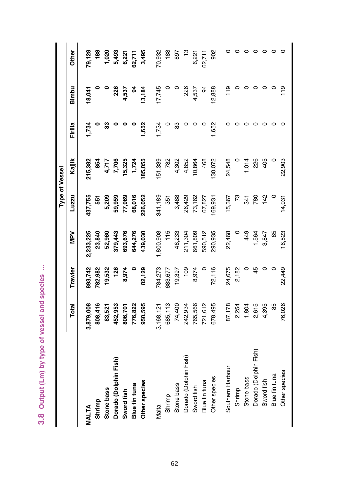3.8 Output (Lm) by type of vessel and species ... **3.8 Output (Lm) by type of vessel and species ...**

Other  $\circ$  $\circ$  $\circ$ 79,128 188 1,020 5,493 6,221  $32,711$ 3,495 70,932 188  $\frac{1}{2}$ 62,711 902  $\circ$  $\circ$   $\circ$  $\circ$ 897 6,221 **Total Trawler MPV Luzzu Kajjik Firilla Bimbu Other MALTA 3,879,008 893,742 2,233,225 437,755 215,382 1,734 18,041 79,128 Shrimp 808,416 782,982 23,840 551 854 0 0 188 Stone bass 83,521 19,532 52,960 5,209 4,717 83 0 1,020 Dorado (Dolphin Fish) 452,953 126 379,443 59,959 7,706 0 226 5,493 Other species 950,595 82,129 439,030 226,052 185,055 1,652 13,184 3,495** Malta 3,168,121 784,273 1,800,908 341,189 151,339 1,734 17,745 70,932 Shrimp 685,113 683,677 115 351 782 0 0 188 Stone bass 2333 3388 234,410 233 3388 234,410 233 3388 234,412 834,424 834,424 235 0 83 Dorado (Dolphin Fish) 242,934 29,954 29,954 29,954 242,934 242,934 242,934 242,94 242,94 242,94 242,94 242,94 242,94 242,94 242,94 242,94 242,94 242,94 242,94 242,94 242,94 242,94 242,94 242,94 242,94 242,94 242,94 242,94 Other species 678,495 72,116 72,116 290,935 169,931 12,852 12,888 902 Southern Harbour 87,178 24,675 24,675 24,675 24,675 24,578 24,578 0 119 0 119 0 Shrimp 2,254 2,182 0 73 0 0 0 0 O O troit tre 6tr o tool to sesearch Dorado (Dolphin Fish) 2,615 45 1,564 780 226 0 0 0 O 3,868' The Contract of Department of Department of Department of Department of Department of Department of D Blue fin tuna 85 0 85 0 0 0 0 0 Other species 16,026,024 16,026,026 16,026,026,024 16,028,026,024 179 179 0 179 0 16,031 16,031 16,031 0 179 0 **Sword fish 806,701 8,974 693,676 77,969 15,325 0 4,537 6,221 Blue fin tuna 776,822 0 644,276 68,016 1,724 0 94 62,711** Sword fish 765,566 8,974 661,809 73,162 10,864 0 4,537 6,221 Blue fin tuna 721,612 0 590,512 67,827 468 0 94 62,711 Bimbu 17,745 4,537 12,888  $19$  $\frac{1}{2}$ 18,041 226 4,537 2 13,184 226  $94$  $\circ$  $\circ$  $\circ$  $\circ$  $\circ$ 1,652 1,734 1,652 1,734  $\Omega$  $\circ$ ಙ  $\mathbf{d}$  $\circ$  $\circ$ 83  $\circ$  $\epsilon$  $\circ$  $\circ$  $\circ$  $\circ$  $\circ$  $\circ$  $\circ$  $\circ$ Ē Kajjik 4,717 7,706 15,325 85,055 51,339 782 4,302 4,852 10,864 468 30,072 24,548 1,014 226 405 215,382 854 1,724 22,903 **Type of Vessel Type of Vessel** 437,755 5,209 59,959 77,969 68,016 226,052 341,189 351 3,488 26,429 73,162 67,827 69,931 15,367  $\mathcal{L}$  $142$ 341 780 14,031 Luzzu 551  $115$ 590,512 NPV 23,840 52,960 644,276 439,030 46,233 361,809 22,468 449 1,564 3,847 6,523 2,233,225 379,443 393,676 1,800,908 211,304 290,935 85 893,742 84,273 72,116 24,675 782,982 19,532 126 8,974 32,129 683,677 19,397 109 8,974 2,182 22,449 **Trawler**  $\circ$ 45  $\circ$  $\circ$ 452,953 776,822 950,595 685,113 74,400 765,566 721,612 578,495 87,178 2,254 1,804 2,615 4,395 76,026 Total 3,879,008 808,416 83,521 806,701 242,934 85 3,168,121 Dorado (Dolphin Fish) Dorado (Dolphin Fish) Dorado (Dolphin Fish) Southern Harbour Other species Blue fin tuna Other species Stone bass Sword fish Other species Blue fin tuna Blue fin tuna Stone bass Sword fish Stone bass Shrimp Sword fish Shrimp Shrimp Vlalta MALTA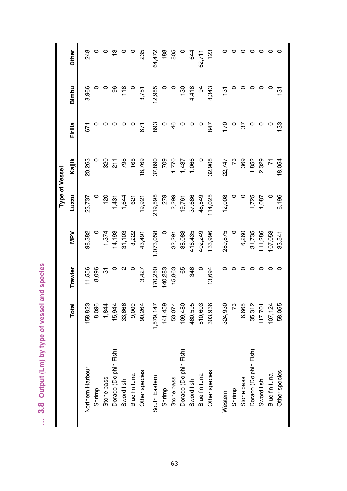... 3.8 Output (Lm) by type of vessel and species **… 3.8 Output (Lm) by type of vessel and species**

Other 248  $\circ$   $\frac{1}{2}$  $\circ$   $\circ$ 64,472  $\circ$   $\circ$  $\circ$  $\circ$ 235 188 805 644 62,711  $123$  $\circ$  $\circ$   $\circ$   $\circ$ **Total Trawler MPV Luzzu Kajjik Firilla Bimbu Other** Northern Harbour 158,823 11,556 98,382 23,737 20,263 671 3,966 248 المجمع المجمع المجمع المجمع المجمع المجمع المجمع المجمع المجمع المجمع المجمع المجمع المجمع المجمع المجمع المجم Stone bass 1,844 31 1,374 120 320 0 0 0 Dorado (Dolphin Fish) 15,944 0 14,193 1,431 211 0 96 13 Sword fish 33,666 2 31,103 1,644 798 0 118 0 Blue fin tuna 9,009 0 8,222 621 165 0 0 0 Other species 90,264 3,427 43,427 19,492 19,4921 19,4920 19,521 19,4920 19,521 19,521 19,751 19,751 19,751 19, South Eastern 1,579,147 170,250 1,073,058 219,598 37,890 893 12,985 64,472 884 0 0 602 627 0 887'0+1 65+1'+1 duujuvS Stone bass 53,074 15,863 32,291 15,291 2,293 15,863 15,290 905 005 005 005 Dorado (Dolphin Fish) 109,480 65 88,088 19,761 1,437 0 130 0 Swith a computer o computer of the computation of the computer of the computation of computer of the computer o Other species 303,936 134,025 134,025 134,025 134,025 134,025 134,025 123,025 123,025 123,008 123,025 123,025 Western 131 12.747 22.747 0 0 289.82.82 0 0 0 234.938 2324.930 0 0 131 131 147 Shrimp 73 0 0 0 73 0 0 0 Stone bass 6,665 0 6,260 0 369 37 0 0 Dorado (Dolphin Fish) 35,312 0 31,735 1,725 1,852 0 0 0 Sword fish 117,701 0 111,286 4,087 2,329 0 0 0 Blue fin tuna 107,124 0 107,053 0 71 0 0 0 Other species 58,055 0 33,541 6,196 18,054 133 131 0 Blue fin tuna 510,603 0 402,249 45,549 0 0 94 62,711 3,966  $118$ 12,985 4,418 8.343  $\overline{3}$ Bimbu  $\circ$  $\circ$ 96 3,751 130  $\mathfrak{g}$  $131$  $\circ$  $\circ$ Firilla 893  $\frac{4}{6}$ 847 170 33 671  $\circ$  $\circ$  $\circ$  $\circ$  $\circ$ 671  $\circ$  $\circ$  $\circ$  $\circ$  $\circ$  $5\overline{6}$  $\circ$  $\circ$ Kajjik 20,263 320  $211$ 798 165 18,769 37,890 709 1,770 1,437 1,066 32,908 22,747  $\mathcal{L}$ 369 1,852 2,329 18,054  $\overline{r}$ **Type of Vessel Type of Vessel**1,725 6,196 23,737 1,644 279 2,299 19,761 37,686 45,549 12,008 4,087 Luzzu 120  $1,431$ 19,921 219,598 14,025  $\circ$  $\circ$ 621 **MPV** 98,382  $\circ$ 1,374 14,193 31,103 8,222 43,491 1,073,058  $\circ$ 32,291 88,088 116,435 102,249 133,996 289,875  $\circ$ 6,260 31,735 11,286 07,053 33,541 11,556 70,250 40,283 15,863 8,096 3,427 346 13,694 **Trawler**  $\overline{5}$  $\circ$  $\mathbf{\Omega}$  $\circ$ 65  $\circ$  $\circ$  $\circ$  $\circ$  $\circ$  $\circ$  $\circ$  $\circ$ 6,665 35,312 58,823 8,096 1,844 15,944 33,666 9,009 141,459 53,074 09,480 460,595 510,603 303,936 73 17,701 58,055 Total 90,264 1,579,147 324,930 07,124 Dorado (Dolphin Fish) Dorado (Dolphin Fish) Dorado (Dolphin Fish) Northern Harbour Other species Other species Other species Blue fin tuna Blue fin tuna Blue fin tuna South Eastern Stone bass Sword fish Stone bass Stone bass Sword fish Sword fish Shrimp Shrimp Shrimp Nestern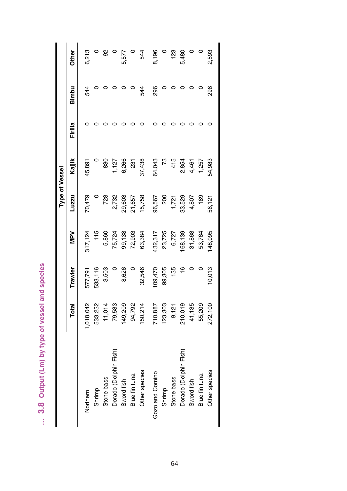... 3.8 Output (Lm) by type of vessel and species **… 3.8 Output (Lm) by type of vessel and species**

Other 6,213 92 5,480 2,593  $\circ$  $\circ$ 5,577  $\circ$ 544 8,196  $\circ$  $123$  $\circ$  $\circ$ **Total Trawler MPV Luzzu Kajjik Firilla Bimbu Other** Northern 1,018,042 577,791 317,124 70,479 45,891 0 544 6,213 Shrimp 533,232 533,116 115 0 0 0 0 0 Stone Discone David Stone 2021 2030 5,8930 10 0 0 0 930 831 2021 5,881 930 930 11,01,11 101,11 101,1 Dorado (Dolphin Fish) 79,583 0 75,724 2,732 1,127 0 0 0 Sword fish 149,209 8,626 99,138 29,603 6,266 0 0 5,577 Blue fin tuna 94,792 0 72,903 21,657 231 0 0 0 other species 150,000 150,2000 150,2000 150,2000 150,2000 150,2000 150,2000 150,3824 150,000 150,000 150,000 1 Gozo and Comino 2096.96 1096.967 1096.967 1096.967 0 296,968 1096 1096 1096 0 296 0 296 Shrimp 123,303 99,305 23,725 200 73 0 0 0 Stone bass 9,121 135 6,727 1,721 415 0 0 123 Dorado (Dolphin Fish) 210,019 16 168,139 33,529 2,854 0 0 5,480 الكات المستقط المستقط المستقط المستقط المستقط المستقط المستقط المستقط المستقط المستقط المستقط المستقط المستقط ا Blue fin tuna 55,209 0 53,764 189 1,257 0 0 0 Other species 200 200 10,593 272,121 56,014 56,000 0 2,593 0 2,593 0 2,593 0 2,593 0 2,593 0 2,593 0 2,593 0 2  $\circ$  $\circ$  $544$ 296 296 Bimbu  $544$  $\circ$  $\circ$  $\circ$  $\circ$  $\circ$  $\circ$  $\circ$  $\circ$ Firilla  $\circ$  $\circ$  $\circ$  $\circ$  $\circ$  $\circ$  $\circ$  $\circ$  $\circ$  $\circ$  $\circ$  $\circ$  $\circ$  $\circ$ Kajjik  $\circ$ 830  $1,127$ 6,266 37,438 64,043  $\mathcal{R}$ 415 2,854 4,461 1,257 54,983 45,891 231 **Type of Vessel Type of Vessel**Luzzu 70,479 728 2,732 29,603 21,657 15,758 96,567 200  $1,721$ 33,529 4,807  $\circ$ 189 56,121  $115$ **MPV** 317,124 5,860 75,724 99,138 72,903 63,384 132,317 23,725 6,727 68,139 31,868 53,764 148,095 533,116 3,503 8,626 32,546 109,470 99,305 10,013 577,791  $\circ$ 135 **Trawler**  $\circ$  $\frac{6}{1}$  $\circ$  $\circ$ 210,019 533,232 11,014 79,583 149,209 94,792 150,214 710,887 123,303 41,135 55,209 Total 1,018,042  $9,121$ 272,100 Dorado (Dolphin Fish) Dorado (Dolphin Fish) Other species Other species Gozo and Comino Blue fin tuna Blue fin tuna Stone bass Stone bass Sword fish Sword fish Shrimp Shrimp Northern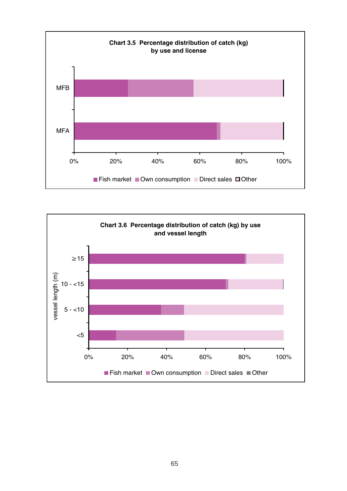

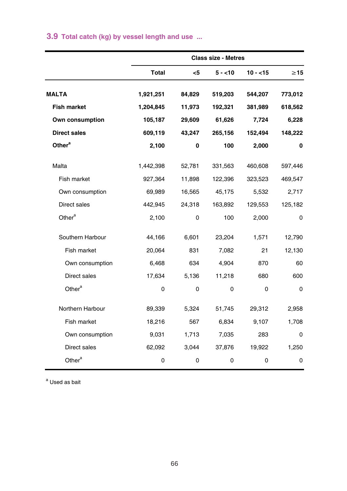|                     |              |        | <b>Class size - Metres</b> |           |           |
|---------------------|--------------|--------|----------------------------|-----------|-----------|
|                     | <b>Total</b> | $5$    | $5 - 10$                   | $10 - 15$ | $\geq$ 15 |
| <b>MALTA</b>        | 1,921,251    | 84,829 | 519,203                    | 544,207   | 773,012   |
| <b>Fish market</b>  | 1,204,845    | 11,973 | 192,321                    | 381,989   | 618,562   |
| Own consumption     | 105,187      | 29,609 | 61,626                     | 7,724     | 6,228     |
| <b>Direct sales</b> | 609,119      | 43,247 | 265,156                    | 152,494   | 148,222   |
| Other <sup>a</sup>  | 2,100        | 0      | 100                        | 2,000     | 0         |
| Malta               | 1,442,398    | 52,781 | 331,563                    | 460,608   | 597,446   |
| Fish market         | 927,364      | 11,898 | 122,396                    | 323,523   | 469,547   |
| Own consumption     | 69,989       | 16,565 | 45,175                     | 5,532     | 2,717     |
| Direct sales        | 442,945      | 24,318 | 163,892                    | 129,553   | 125,182   |
| Other <sup>a</sup>  | 2,100        | 0      | 100                        | 2,000     | 0         |
| Southern Harbour    | 44,166       | 6,601  | 23,204                     | 1,571     | 12,790    |
| Fish market         | 20,064       | 831    | 7,082                      | 21        | 12,130    |
| Own consumption     | 6,468        | 634    | 4,904                      | 870       | 60        |
| Direct sales        | 17,634       | 5,136  | 11,218                     | 680       | 600       |
| Other <sup>a</sup>  | 0            | 0      | 0                          | 0         | 0         |
| Northern Harbour    | 89,339       | 5,324  | 51,745                     | 29,312    | 2,958     |
| Fish market         | 18,216       | 567    | 6,834                      | 9,107     | 1,708     |
| Own consumption     | 9,031        | 1,713  | 7,035                      | 283       | 0         |
| Direct sales        | 62,092       | 3,044  | 37,876                     | 19,922    | 1,250     |
| Other <sup>a</sup>  | 0            | 0      | 0                          | 0         | 0         |

## **3.9 Total catch (kg) by vessel length and use ...**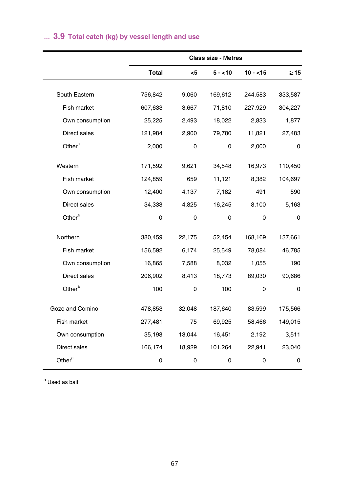|                    |              |        | <b>Class size - Metres</b> |           |           |
|--------------------|--------------|--------|----------------------------|-----------|-----------|
|                    | <b>Total</b> | $<$ 5  | $5 - 10$                   | $10 - 15$ | $\geq$ 15 |
|                    |              |        |                            |           |           |
| South Eastern      | 756,842      | 9,060  | 169,612                    | 244,583   | 333,587   |
| Fish market        | 607,633      | 3,667  | 71,810                     | 227,929   | 304,227   |
| Own consumption    | 25,225       | 2,493  | 18,022                     | 2,833     | 1,877     |
| Direct sales       | 121,984      | 2,900  | 79,780                     | 11,821    | 27,483    |
| Other <sup>a</sup> | 2,000        | 0      | 0                          | 2,000     | 0         |
| Western            | 171,592      | 9,621  | 34,548                     | 16,973    | 110,450   |
| Fish market        | 124,859      | 659    | 11,121                     | 8,382     | 104,697   |
| Own consumption    | 12,400       | 4,137  | 7,182                      | 491       | 590       |
| Direct sales       | 34,333       | 4,825  | 16,245                     | 8,100     | 5,163     |
| Other <sup>a</sup> | 0            | 0      | 0                          | 0         | 0         |
| Northern           | 380,459      | 22,175 | 52,454                     | 168,169   | 137,661   |
| Fish market        | 156,592      | 6,174  | 25,549                     | 78,084    | 46,785    |
| Own consumption    | 16,865       | 7,588  | 8,032                      | 1,055     | 190       |
| Direct sales       | 206,902      | 8,413  | 18,773                     | 89,030    | 90,686    |
| Other <sup>a</sup> | 100          | 0      | 100                        | 0         | 0         |
| Gozo and Comino    | 478,853      | 32,048 | 187,640                    | 83,599    | 175,566   |
| Fish market        | 277,481      | 75     | 69,925                     | 58,466    | 149,015   |
| Own consumption    | 35,198       | 13,044 | 16,451                     | 2,192     | 3,511     |
| Direct sales       | 166,174      | 18,929 | 101,264                    | 22,941    | 23,040    |
| Other <sup>a</sup> | 0            | 0      | 0                          | 0         | 0         |

## **… 3.9 Total catch (kg) by vessel length and use**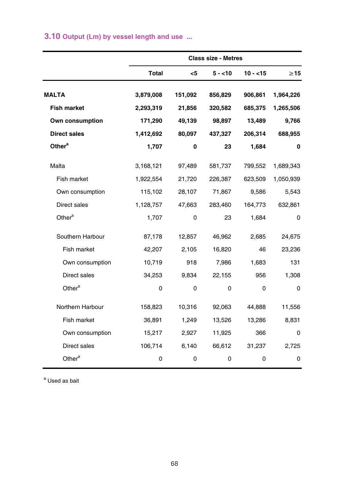|                     |              |         | <b>Class size - Metres</b> |           |             |
|---------------------|--------------|---------|----------------------------|-----------|-------------|
|                     | <b>Total</b> | <5      | $5 - 10$                   | $10 - 15$ | $\geq$ 15   |
| <b>MALTA</b>        | 3,879,008    | 151,092 | 856,829                    | 906,861   | 1,964,226   |
| <b>Fish market</b>  | 2,293,319    | 21,856  | 320,582                    | 685,375   | 1,265,506   |
| Own consumption     | 171,290      | 49,139  | 98,897                     | 13,489    | 9,766       |
| <b>Direct sales</b> | 1,412,692    | 80,097  | 437,327                    | 206,314   | 688,955     |
| Other <sup>a</sup>  | 1,707        | 0       | 23                         | 1,684     | 0           |
| Malta               | 3,168,121    | 97,489  | 581,737                    | 799,552   | 1,689,343   |
| Fish market         | 1,922,554    | 21,720  | 226,387                    | 623,509   | 1,050,939   |
| Own consumption     | 115,102      | 28,107  | 71,867                     | 9,586     | 5,543       |
| Direct sales        | 1,128,757    | 47,663  | 283,460                    | 164,773   | 632,861     |
| Other <sup>a</sup>  | 1,707        | 0       | 23                         | 1,684     | 0           |
| Southern Harbour    | 87,178       | 12,857  | 46,962                     | 2,685     | 24,675      |
| Fish market         | 42,207       | 2,105   | 16,820                     | 46        | 23,236      |
| Own consumption     | 10,719       | 918     | 7,986                      | 1,683     | 131         |
| Direct sales        | 34,253       | 9,834   | 22,155                     | 956       | 1,308       |
| Other <sup>a</sup>  | 0            | 0       | 0                          | 0         | $\mathbf 0$ |
| Northern Harbour    | 158,823      | 10,316  | 92,063                     | 44,888    | 11,556      |
| Fish market         | 36,891       | 1,249   | 13,526                     | 13,286    | 8,831       |
| Own consumption     | 15,217       | 2,927   | 11,925                     | 366       | $\mathbf 0$ |
| Direct sales        | 106,714      | 6,140   | 66,612                     | 31,237    | 2,725       |
| Other <sup>a</sup>  | 0            | 0       | 0                          | 0         | 0           |

## **3.10 Output (Lm) by vessel length and use ...**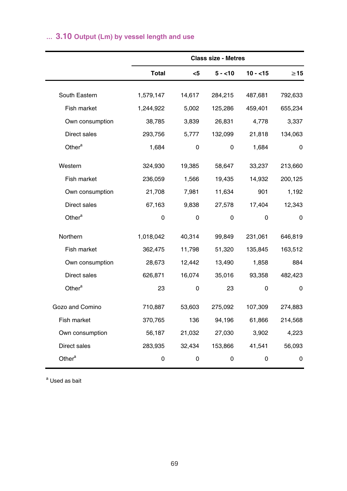# **… 3.10 Output (Lm) by vessel length and use**

|                    |              |        | <b>Class size - Metres</b> |           |           |
|--------------------|--------------|--------|----------------------------|-----------|-----------|
|                    | <b>Total</b> | <5     | $5 - 10$                   | $10 - 15$ | $\geq 15$ |
| South Eastern      | 1,579,147    | 14,617 | 284,215                    | 487,681   | 792,633   |
| Fish market        | 1,244,922    | 5,002  | 125,286                    | 459,401   | 655,234   |
| Own consumption    | 38,785       | 3,839  | 26,831                     | 4,778     | 3,337     |
| Direct sales       | 293,756      | 5,777  | 132,099                    | 21,818    | 134,063   |
| Other <sup>a</sup> | 1,684        | 0      | 0                          | 1,684     | 0         |
| Western            | 324,930      | 19,385 | 58,647                     | 33,237    | 213,660   |
| Fish market        | 236,059      | 1,566  | 19,435                     | 14,932    | 200,125   |
| Own consumption    | 21,708       | 7,981  | 11,634                     | 901       | 1,192     |
| Direct sales       | 67,163       | 9,838  | 27,578                     | 17,404    | 12,343    |
| Other <sup>a</sup> | 0            | 0      | 0                          | 0         | 0         |
| Northern           | 1,018,042    | 40,314 | 99,849                     | 231,061   | 646,819   |
| Fish market        | 362,475      | 11,798 | 51,320                     | 135,845   | 163,512   |
| Own consumption    | 28,673       | 12,442 | 13,490                     | 1,858     | 884       |
| Direct sales       | 626,871      | 16,074 | 35,016                     | 93,358    | 482,423   |
| Other <sup>a</sup> | 23           | 0      | 23                         | 0         | 0         |
| Gozo and Comino    | 710,887      | 53,603 | 275,092                    | 107,309   | 274,883   |
| Fish market        | 370,765      | 136    | 94,196                     | 61,866    | 214,568   |
| Own consumption    | 56,187       | 21,032 | 27,030                     | 3,902     | 4,223     |
| Direct sales       | 283,935      | 32,434 | 153,866                    | 41,541    | 56,093    |
| Other <sup>a</sup> | 0            | 0      | 0                          | 0         | 0         |
|                    |              |        |                            |           |           |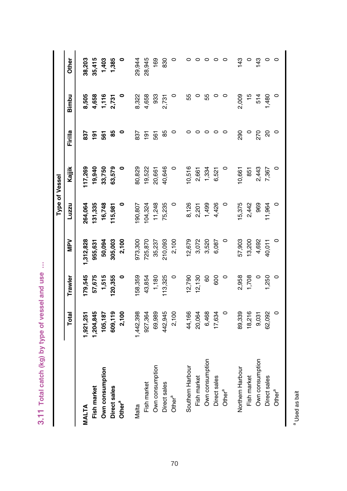|                                                 | :<br>;<br>; |
|-------------------------------------------------|-------------|
|                                                 |             |
| 3.11 Total catch (kg) by type of vessel and use |             |
|                                                 |             |
|                                                 |             |
|                                                 |             |

|                    |           |         |          |         | Type of Vessel |                |       |               |
|--------------------|-----------|---------|----------|---------|----------------|----------------|-------|---------------|
|                    | Total     | Trawler | Ney      | Luzzu   | Kajjik         | Firilla        | Bimbu | Other         |
| <b>VIALTA</b>      | ,921,251  | 179,545 | ,312,828 | 264,064 | 17,269         | 837            | 8,505 | 38,203        |
| Fish market        | ,204,845  | 57,675  | 955,631  | 131,335 | 19,940         | $\overline{5}$ | 4,658 | 35,415        |
| Own consumption    | 105,187   | 1,515   | 50,094   | 16,748  | 33,750         | 561            | 1,116 | 1,403         |
| Direct sales       | 609,119   | 120,355 | 305,003  | 115,981 | 63,579         | 85             | 2,731 | 1,385         |
| Other <sup>a</sup> | 2,100     | 0       | 2,100    | 0       |                | 0              |       |               |
| Malta              | 1,442,398 | 58,359  | 973,300  | 190,807 | 80,829         | 837            | 8,322 | 29,944        |
| Fish market        | 927,364   | 43,854  | 725,870  | 104,324 | 19,522         | 191            | 4,658 | 28,945        |
| Own consumption    | 69,989    | 1,180   | 35,237   | 11,248  | 20,661         | 561            | 933   | 169           |
| Direct sales       | 442,945   | 113,325 | 210,093  | 75,235  | 40,646         | 85             | 2,731 | 830           |
| Other <sup>a</sup> | 2,100     | $\circ$ | 2,100    |         |                | 0              |       |               |
| Southern Harbour   | 44,166    | 12,790  | 12,679   | 8,126   | 10,516         |                | 55    |               |
| Fish market        | 20,064    | 12,130  | 3,072    | 2,201   | 2,661          |                |       |               |
| Own consumption    | 6,468     | 60      | 3,520    | 1,499   | 1,334          | 0              | 55    |               |
| Direct sales       | 17,634    | 600     | 6,087    | 4,426   | 6,521          |                |       | 0             |
| Other <sup>a</sup> | $\circ$   | $\circ$ | $\circ$  | $\circ$ |                | 0              | 0     | $\circ$       |
| Northern Harbour   | 89,339    | 2,958   | 57,903   | 15,375  | 10,661         | 290            | 2,009 | 143           |
| Fish market        | 18,216    | 1,708   | 13,200   | 2,442   | 851            | $\circ$        | 45    |               |
| Own consumption    | 9,031     |         | 4,692    | 969     | 2,443          | 270            | 514   | $\frac{3}{4}$ |
| Direct sales       | 62,092    | 1,250   | 40,011   | 11,964  | 7,367          | $\overline{c}$ | 1,480 | 0             |
| Other <sup>a</sup> | $\circ$   |         | 0        | $\circ$ | 0              | $\circ$        | 0     | 0             |
|                    |           |         |          |         |                |                |       |               |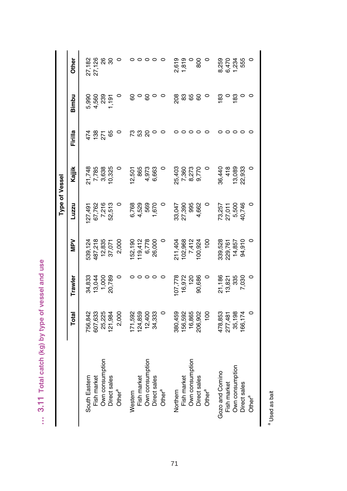| ١           |
|-------------|
| ١<br>I<br>ï |
|             |
| 5           |
| í           |
| I<br>l      |
| ı<br>ń      |
| í           |
| ŕ<br>١<br>ï |
|             |
| ١<br>ï      |
| ٠<br>u      |

|                                 |                 |                  |                  |                           | Type of Vessel |              |                         |              |
|---------------------------------|-----------------|------------------|------------------|---------------------------|----------------|--------------|-------------------------|--------------|
|                                 | Total           | Trawler          | Nev              | Luzzu                     | Kajjik         | Firilla      | Bimbu                   | <b>Other</b> |
| South Eastern                   | 756,842         | 34,833           | 539,124          | 27,491                    | 21,748         | 474          |                         | 27,182       |
| Fish market                     | 607,633         | 13,044           | 487,218          |                           |                |              |                         | 27,126       |
| Own consumption                 | 25,225          |                  | 12,835           | 67,762<br>7,216<br>52,513 | 7,785<br>3,638 | $138$<br>271 | 5,990<br>4,560<br>4,239 |              |
| Direct sales                    | 121,984         | 1,000<br>20,789  | 37,071           |                           | 10,325         | 89           | ,191                    | <b>88</b>    |
| Other <sup>a</sup>              | 2,000           |                  | 2,000            |                           |                |              |                         |              |
| Western                         | 71,592          |                  | 52,190           |                           | 12,501         | 73           | 8                       |              |
| Fish market                     | 124,859         |                  | 119,412          | 6,768<br>4,529            | 865            | 53           |                         |              |
| Own consumption                 | 12,400          |                  | 6,778            | 569                       | 4,973          | 20           | ငွ                      |              |
| Direct sales                    | 34,333          |                  | 26,000           | 1,670                     | 6,663          |              |                         |              |
| Other <sup>a</sup>              |                 |                  |                  |                           |                |              |                         |              |
| Vorthern                        | 380,459         | 07,778           | 211,404          |                           | 25,403         |              | 208                     | 2,619        |
| Fish market                     | 56,592          | 16,972           | 102,968          | 33,047<br>27,390          | 7,360          |              | 83                      | 1,819        |
| Own consumption                 | 16,865          | $\frac{5}{2}$    |                  | 995                       |                |              | 65                      |              |
| Direct sales                    | 206,902         | 90,686           | 7,412<br>100,924 | 4,662                     | 8,273<br>9,770 |              | 8                       | 800          |
| Other <sup>a</sup>              | $\frac{100}{2}$ |                  | $\frac{8}{1}$    |                           |                |              |                         |              |
| Gozo and Comino                 | 478,853         |                  | 339,528          |                           | 36,440         |              | $\frac{83}{5}$          | 8,259        |
| Fish market                     | 277,481         | 21,186<br>13,821 | 229,761          | 73,257<br>27,011<br>5,500 | 418            |              |                         | 6,470        |
| Own consumption                 | 35,198          | 335              | 14,857           |                           | 13,089         |              | 183                     | ,234         |
| Direct sales                    | 66,174          | 7,030            | 94,910           | 40,746                    | 22,933         |              |                         | 555          |
| Other $\mathbf{r}^{\mathbf{a}}$ |                 |                  |                  | $\circ$                   |                |              | $\circ$                 | 0            |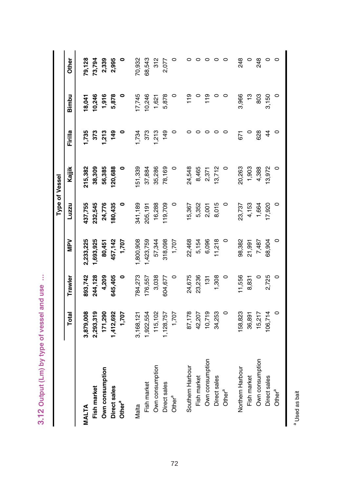| ٠<br>Ì       |
|--------------|
| ó            |
| ä<br>ï<br>۱  |
|              |
| 5            |
|              |
|              |
| l            |
| ١<br>ı.<br>۰ |
|              |
|              |
| ï            |
|              |

|                    |           |               |           |         | <b>Type of Vessel</b> |               |         |         |
|--------------------|-----------|---------------|-----------|---------|-----------------------|---------------|---------|---------|
|                    | Total     | Trawler       | NPV       | Luzzu   | Kajjik                | Firilla       | Bimbu   | Other   |
| MALTA              | 3,879,008 | 893,742       | 2,233,225 | 137,755 | 215,382               | 735           | 18,041  | 79,128  |
| Fish market        | 2,293,319 | 244,128       | 1,693,925 | 232,545 | 38,309                | 373           | 10,246  | 73,794  |
| Own consumption    | 171,290   | 4,209         | 80,451    | 24,776  | 56,385                | ,213          | 1,916   | 2,339   |
| Direct sales       | 1,412,692 | 645,405       | 457,142   | 80,435  | 120,688               | 149           | 5,878   | 2,995   |
| Other <sup>a</sup> | 1,707     |               | 1,707     | 0       | 0                     | 0             | 0       |         |
| Malta              | 3,168,121 | 784,273       | ,800,908  | 341,189 | 51,339                | 1,734         | 17,745  | 70,932  |
| Fish market        | 1,922,554 | 176,557       | 1,423,759 | 205,191 | 37,884                | 373           | 10,246  | 68,543  |
| Own consumption    | 115,102   | 3,038         | 57,344    | 16,288  | 35,286                | 1,213         | 1,621   | 312     |
| Direct sales       | 1,128,757 | 604,677       | 318,098   | 19,709  | 78,169                | 149           | 5,878   | 2,077   |
| Other <sup>a</sup> | 1,707     |               | 1,707     | 0       | 0                     | 0             | 0       | 0       |
| Southern Harbour   | 87,178    | 24,675        | 22,468    | 5,367   | 24,548                |               | 19      | 0       |
| Fish market        | 42,207    | 23,236        | 5,154     | 5,352   | 8,465                 |               |         | $\circ$ |
| Own consumption    | 10,719    | $\frac{5}{2}$ | 6,096     | 2,001   | 2,371                 | 0             | 119     | $\circ$ |
| Direct sales       | 34,253    | 1,308         | 11,218    | 8,015   | 13,712                | o             |         | $\circ$ |
| Other <sup>a</sup> | 0         | $\circ$       | $\circ$   | 0       | $\circ$               |               |         | $\circ$ |
| Northern Harbour   | 58,823    | 1,556         | 98,382    | 23,737  | 20,263                | 671           | 3,966   | 248     |
| Fish market        | 36,891    | 8,831         | 21,991    | 4,153   | 1,903                 | $\circ$       |         | $\circ$ |
| Own consumption    | 15,217    |               | 7,487     | 1,664   | 4,388                 | 628           | 803     | 248     |
| Direct sales       | 106,714   | 2,725         | 68,904    | 7,920   | 3,972                 | $\frac{4}{3}$ | 3,150   | $\circ$ |
| Other <sup>a</sup> | $\circ$   | 0             | $\circ$   | $\circ$ |                       | $\circ$       | $\circ$ | $\circ$ |
|                    |           |               |           |         |                       |               |         |         |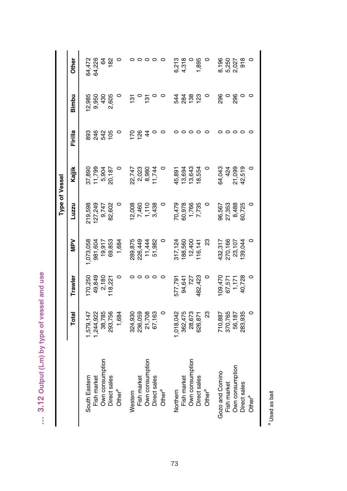| ١      |
|--------|
| ľ      |
|        |
| ١      |
| i      |
| I      |
| ١      |
|        |
| ı      |
| Í<br>ï |
| ۰<br>۰ |

|                    |          |                                      |          | Type of Vessel                     |                 |                  |               |                                     |
|--------------------|----------|--------------------------------------|----------|------------------------------------|-----------------|------------------|---------------|-------------------------------------|
|                    | Total    | Trawler                              | NeN      | Luzzu                              | Kajjik          | Firilla          | Bimbu         | <b>Other</b>                        |
| South Eastern      | ,579,147 | 70,250                               | ,073,058 | 219,598                            | 37,890          | 893              | 12,985        | 64,472                              |
| Fish market        | ,244,922 | 49,849                               | 981,604  | 27,249                             | 11,799          |                  | 9,950         | 64,226                              |
| Own consumption    | 38,785   | 2,180                                | 19,917   | 9,747                              | 5,904           | 8825             | 430           | 64                                  |
| Direct sales       | 293,756  | 118,221                              | 69,853   | 82,602                             | 20,187          |                  | 2,605         | 182                                 |
| Other <sup>a</sup> | 1,684    |                                      | 1,684    |                                    |                 |                  |               |                                     |
| Western            | 324,930  |                                      | 289,875  | 2,008                              |                 | $\overline{170}$ | ë             |                                     |
| Fish market        | 236,059  |                                      | 226,449  |                                    | 22,747<br>2,023 | <b>126</b>       |               |                                     |
| Own consumption    | 21,708   |                                      | 11,444   | 7,460<br>1,110<br>3,438            | 8,980           | $\frac{4}{4}$    | $\frac{5}{1}$ |                                     |
| Direct sales       | 67,163   |                                      | 51,982   |                                    | 11,744          |                  |               | $\circ$                             |
| Other <sup>a</sup> |          |                                      | $\circ$  |                                    |                 |                  |               |                                     |
| Northern           | ,018,042 | 577,791                              | 317,124  |                                    | 45,891          |                  | 544           | 6,213                               |
| Fish market        | 362,475  | 94,641                               | 188,560  |                                    | 13,694          |                  | 284           | 4,318                               |
| Own consumption    | 28,673   | 727                                  | 12,400   |                                    | 13,643          |                  | 138           |                                     |
| Direct sales       | 626,871  | 482,423                              | 16,141   | 70,479<br>80,978<br>7,786<br>7,735 | 18,554          |                  | 123           | 1,895                               |
| Other <sup>a</sup> | 23       |                                      | ಔ        |                                    |                 |                  | 0             | $\circ$                             |
| Gozo and Comino    | 710,887  |                                      | 132,317  |                                    | 64,043          |                  | 296           |                                     |
| Fish market        | 370,765  |                                      | 270,166  | 96,567<br>27,353                   | 424             |                  |               |                                     |
| Own consumption    | 56,187   |                                      | 23,107   | 8,488                              | 21,099          |                  | 296           | 8, 196<br>1, 250<br>6, 250<br>6, 26 |
| Direct sales       | 283,935  | 109,470<br>67,571<br>1,171<br>40,728 | 39,044   | 60,725                             | 42,519          |                  |               |                                     |
| Other <sup>a</sup> | $\circ$  |                                      |          | $\circ$                            |                 |                  |               | $\circ$                             |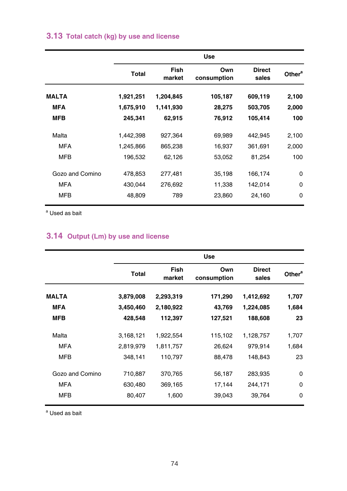## **3.13 Total catch (kg) by use and license**

|                 |           |                | <b>Use</b>         |                        |                    |
|-----------------|-----------|----------------|--------------------|------------------------|--------------------|
|                 | Total     | Fish<br>market | Own<br>consumption | <b>Direct</b><br>sales | Other <sup>a</sup> |
| <b>MALTA</b>    | 1,921,251 | 1,204,845      | 105,187            | 609,119                | 2,100              |
| MFA             | 1,675,910 | 1,141,930      | 28,275             | 503,705                | 2,000              |
| <b>MFB</b>      | 245,341   | 62,915         | 76,912             | 105,414                | 100                |
| Malta           | 1,442,398 | 927,364        | 69,989             | 442,945                | 2,100              |
| <b>MFA</b>      | 1,245,866 | 865,238        | 16,937             | 361,691                | 2,000              |
| <b>MFB</b>      | 196,532   | 62,126         | 53,052             | 81,254                 | 100                |
| Gozo and Comino | 478,853   | 277,481        | 35,198             | 166,174                | $\mathbf 0$        |
| <b>MFA</b>      | 430,044   | 276,692        | 11,338             | 142,014                | $\mathbf 0$        |
| <b>MFB</b>      | 48,809    | 789            | 23,860             | 24,160                 | $\mathbf 0$        |

<sup>a</sup> Used as bait

## **3.14 Output (Lm) by use and license**

|                 |              |                | <b>Use</b>         |                        |                    |
|-----------------|--------------|----------------|--------------------|------------------------|--------------------|
|                 | <b>Total</b> | Fish<br>market | Own<br>consumption | <b>Direct</b><br>sales | Other <sup>a</sup> |
| <b>MALTA</b>    | 3,879,008    | 2,293,319      | 171,290            | 1,412,692              | 1,707              |
| <b>MFA</b>      | 3,450,460    | 2,180,922      | 43,769             | 1,224,085              | 1,684              |
| <b>MFB</b>      | 428,548      | 112,397        | 127,521            | 188,608                | 23                 |
| Malta           | 3,168,121    | 1,922,554      | 115,102            | 1,128,757              | 1,707              |
| <b>MFA</b>      | 2,819,979    | 1,811,757      | 26,624             | 979,914                | 1,684              |
| <b>MFB</b>      | 348,141      | 110,797        | 88,478             | 148,843                | 23                 |
| Gozo and Comino | 710,887      | 370,765        | 56,187             | 283,935                | $\mathbf 0$        |
| <b>MFA</b>      | 630,480      | 369,165        | 17,144             | 244,171                | $\mathbf 0$        |
| <b>MFB</b>      | 80,407       | 1,600          | 39,043             | 39,764                 | 0                  |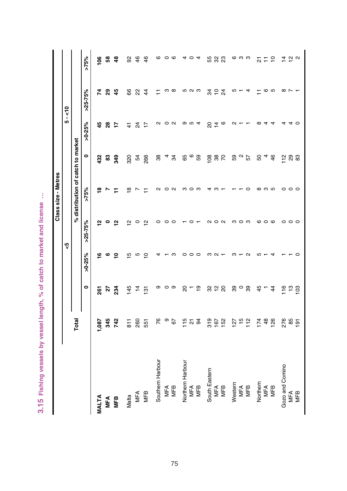| ٠<br>ä<br>×                          |
|--------------------------------------|
| ,<br>١<br>ä,<br>١<br>١<br>ì<br>ĭ     |
| ı<br>ĭ                               |
| ١<br>۱<br>ï<br>ï<br>I<br>ı<br>ï<br>ì |
| í<br>١<br>١<br>ı<br>5<br>I           |
| ō<br>×                               |
| enath<br>ŋ                           |
| ١<br>š                               |
|                                      |
| $\frac{a}{a}$<br>;<br>ø              |
| ŋ<br>İ<br>í<br>í                     |
| 3.15                                 |

|                  |                |                |                |                 | Class size - Metres               |                       |                 |            |                |
|------------------|----------------|----------------|----------------|-----------------|-----------------------------------|-----------------------|-----------------|------------|----------------|
|                  |                |                |                | ري<br>V         |                                   |                       |                 | $5 - 50$   |                |
|                  | Total          |                |                |                 | % distribution of catch to market |                       |                 |            |                |
|                  |                | $\circ$        | $>0.25\%$      | $>25 - 75%$     | $>75\%$                           | ۰                     | $>0.25\%$       | $>25-75%$  | $>75\%$        |
| <b>MALTA</b>     | ,087           | 261            | ≌              | ≌               | $\frac{8}{1}$                     | 432                   | 45              | 74         | $\frac{8}{1}$  |
| MFA              | 345            | 27             | ဖ              | 0               |                                   | 3                     | 28              | ଅ          | ន្ល            |
| MFB              | 742            | 234            | ę              | $\frac{1}{2}$   | Ξ                                 | 349                   | ÷               | 45         | $\frac{a}{2}$  |
| Malta            | 811            | 145            | $\overline{5}$ | 2               | ≌                                 | 320                   | 4               | 8          | 8              |
| MFA              | 260            | $\frac{4}{3}$  | Ю              | 0               |                                   | 54                    | $\overline{2}$  | R          | $\frac{6}{5}$  |
| <b>MFB</b>       | 551            | $\overline{5}$ | $\overline{C}$ | $\tilde{c}$     |                                   | 266                   | $\overline{1}$  | $\ddot{4}$ | $\frac{6}{5}$  |
| Southern Harbour | 76             | თ              |                | 0               | N                                 | $\frac{8}{3}$         | Ν               |            | ဖ              |
|                  | თ              |                |                | 0               | 0                                 | 4                     |                 | ო          | 0              |
| MFA<br>MFB       | 67             | ဝ ၈            | m              | $\circ$         | N                                 | 34                    | $\circ$ $\circ$ | $\infty$   | G              |
| Northern Harbour | 115            | 20             | 0              |                 | ო                                 |                       |                 | Ю          | 4              |
| MFA              | $\frac{5}{9}$  | Π              |                |                 | ဝ က                               | 69<br>69              |                 | ດ ຕ        | $\circ$        |
| MFB              |                | $\frac{6}{1}$  | $\circ$        |                 |                                   |                       |                 |            | $\overline{4}$ |
| South Eastern    | 319            |                | m              | ∾               | 4                                 | 108                   | 20              | æ,         |                |
| <b>MFA</b>       | 167            | 82 S           |                | $\circ$ $\circ$ | ო                                 | 88<br>70              | $\frac{4}{4}$ e | 54         | 53 33          |
| <b>MFB</b>       | 152            |                |                |                 |                                   |                       |                 |            |                |
| Western          | 127            | 39             |                | ო               |                                   |                       | $\sim$          | Ю          |                |
| MFA              | $15$<br>$112$  | $\circ$        |                | $\circ$         |                                   | 5<br>5<br>5<br>5<br>5 |                 |            | ဖ က က          |
| MFB              |                | 39             |                | ო               | ○                                 |                       |                 | 4          |                |
| Northern         | 174            | 45             |                | ဖ               | $\infty$                          | SO                    | $\infty$        |            |                |
| MFA              | 48             |                |                | $\circ$         | ო ი                               | 4                     | 4               | ဖ          | 12 는 능         |
| <b>MFB</b>       | 126            | $\overline{4}$ |                |                 |                                   | 46                    | 4               | s          |                |
| Gozo and Comino  | 276            | 116            |                |                 |                                   | 112                   |                 | $\infty$   |                |
| <b>MFA</b>       | 85             | $\frac{1}{2}$  |                | 000             | $\circ \circ \circ$               | 29<br>83              |                 |            | 492            |
| MFB              | $\overline{9}$ | $\frac{8}{2}$  | c              |                 |                                   |                       | $\circ$         |            |                |
|                  |                |                |                |                 |                                   |                       |                 |            |                |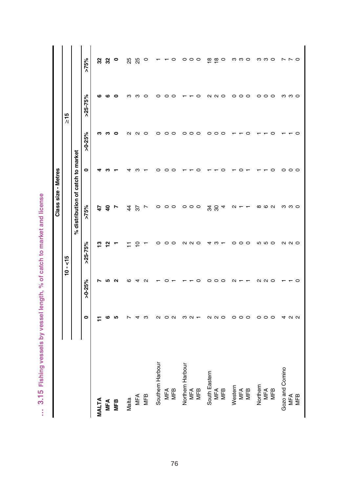| l          |
|------------|
|            |
|            |
| I          |
| ì          |
|            |
| l          |
|            |
|            |
|            |
|            |
| Ğ          |
|            |
|            |
| í          |
| ĺ          |
|            |
| ļ          |
|            |
|            |
|            |
| ı          |
|            |
|            |
|            |
| د<br>5     |
|            |
| ò          |
|            |
|            |
| ī          |
|            |
|            |
| ŋ          |
|            |
| Ï          |
| ŝ          |
|            |
|            |
|            |
|            |
| 5358       |
|            |
|            |
|            |
| ì          |
|            |
| ¢          |
|            |
|            |
|            |
| がのり        |
|            |
|            |
| ŋ          |
|            |
|            |
|            |
| ĺ<br>j     |
|            |
|            |
|            |
| <u> In</u> |
|            |
| ۳          |
| ¢          |
| ;          |
| ٠          |
| î,<br>i    |

ŧ

|                  |                   |           |               | Class size - Metres               |                 |           |           |                                 |
|------------------|-------------------|-----------|---------------|-----------------------------------|-----------------|-----------|-----------|---------------------------------|
|                  |                   |           | $10 - 15$     |                                   |                 |           | $\geq 15$ |                                 |
|                  |                   |           |               | % distribution of catch to market |                 |           |           |                                 |
|                  | $\bullet$         | $>0.25\%$ | $>25-75%$     | $>75\%$                           | $\bullet$       | $>0.25\%$ | $>25-75%$ | $>75\%$                         |
| <b>MALTA</b>     |                   |           | ≌             | t,                                |                 | ຕ         | ဖ         |                                 |
|                  | co                | ഥ         | 으             | ੩                                 |                 |           | ശ         | ន ន                             |
| MFA<br>MFB       | LO <sub>1</sub>   | ົ         |               | r                                 |                 |           | c         | $\circ$                         |
| Malta            |                   |           |               | 4                                 |                 | ิณ        | ო         | 25                              |
| MFA<br>MFB       |                   |           |               | 57                                |                 |           | m         | 25                              |
|                  | ო                 |           |               | L                                 |                 |           | c         | $\circ$                         |
| Southern Harbour | $\sim$            |           | ○             | $\circ$                           |                 | ○         | o         |                                 |
|                  | っ                 |           |               |                                   |                 |           |           |                                 |
| MFA<br>MFB       | $\mathbf{\Omega}$ |           | ○             | $\circ$ $\circ$                   | ⊂               | ○         | O         | $\circ$                         |
| Northem Harbour  | ო                 |           | $\mathbf{a}$  |                                   |                 | $\circ$   |           |                                 |
| MFA              | $\sim$ $\sim$     |           | $\sim$ $\sim$ | $\circ \circ \circ$               |                 | ○         |           | $\circ \circ \circ$             |
| MFB              |                   |           |               |                                   |                 | $\circ$   | O         |                                 |
| South Eastem     | $\sim$            |           |               | ೫ ಜ                               |                 |           | N         |                                 |
| MFA              | $\sim$            |           |               |                                   |                 |           | $\sim$    | $\frac{18}{10}$ $\frac{18}{10}$ |
| MFB              | $\circ$           |           |               | 4                                 |                 |           | $\circ$   |                                 |
| Westem           | $\circ$           |           |               | $\sim$                            |                 |           | $\circ$   |                                 |
| MFA<br>MFB       | $\circ$           |           |               |                                   |                 |           | $\circ$   | ოო O                            |
|                  | $\circ$           |           | O             |                                   |                 |           | $\circ$   |                                 |
| Northem          | 0                 | ณ         | 5             | $\infty$                          |                 |           | $\circ$   |                                 |
| MFA              | $\circ$           | $\sim$    | 5             | ဖ                                 |                 |           | $\circ$   | က က ဝ                           |
| MFB              | $\circ$           | $\circ$   | $\circ$       | $\sim$                            | ○               |           | $\circ$   |                                 |
| Gozo and Comino  | 4                 |           |               |                                   | 0               |           |           |                                 |
| MFA<br>MFB       | $\sim$ $\sim$     | 0         | a a o         | ო ო ი                             | $\circ$ $\circ$ | ⊂         | က က ဝ     | $\sim$ $\sim$ 0                 |
|                  |                   |           |               |                                   |                 |           |           |                                 |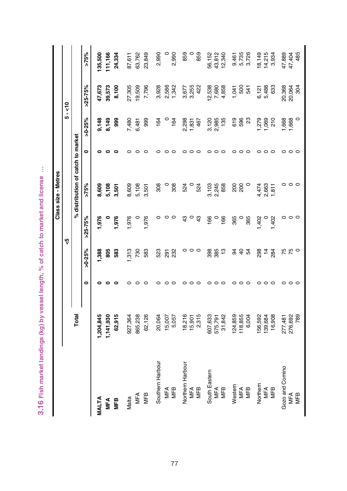|                  |           |           |               |               | Class size - Metres               |                    |                            |                            |                         |
|------------------|-----------|-----------|---------------|---------------|-----------------------------------|--------------------|----------------------------|----------------------------|-------------------------|
|                  |           |           |               | م.<br>V       |                                   |                    | 5                          | $\frac{1}{2}$              |                         |
|                  | Total     |           |               |               | % distribution of catch to market |                    |                            |                            |                         |
|                  |           | 0         | $>0.25\%$     | $>25-75%$     | >75%                              | 0                  | >0.25%                     | $>25-75%$                  | $>75\%$                 |
| <b>MALTA</b>     | ,204,845  |           | ,388          | 1,976         | 8,609                             |                    | 9,148                      | 47,673                     | 135,500                 |
| <b>MFA</b>       | 1,141,930 |           | 805           |               | 5,108                             |                    | 8,149                      | 39,573                     | 11,166                  |
| MEB              | 62,915    | 0         | 583           | 1,976         | 3,501                             | 0                  | 88                         | 8,100                      | 24,334                  |
| Malta            | 927,364   |           | 313           | 1,976         | 8,609                             | ≏                  | 7,480                      | 27,305                     | 87,611                  |
| MFA              | 865,238   |           | 730           |               | 5,108                             | ⊂                  | 6,481                      | 19,509                     | 63,762                  |
| MFB              | 62,126    |           | 583           | 1,976         | 3,501                             | ⊂                  | 999                        | 7,796                      | 23,849                  |
| Southern Harbour | 20,064    |           | 523           | 0             | 308                               | ⊂                  | 164                        | 3,928                      | 2,990                   |
| MFA              | 15,007    |           | 291           | 0             |                                   | ⊂                  | $\circ$                    | 2,586                      |                         |
| MFB              | 5,057     | o         | 232           | $\circ$       | 308                               | $\circ$            | 164                        | 1,342                      | 2,990                   |
| Northern Harbour | 18,216    |           | 0             | $\frac{3}{4}$ | 524                               | ⊂                  | 2,298                      | 3,677                      | 859                     |
| MFA              | 15,901    |           | $\circ$       | $\circ$       | $\circ$                           | ○                  | 1,831                      | 3,255                      |                         |
| <b>MFB</b>       | 2,315     |           | $\circ$       | 43            | 524                               | $\epsilon$         | 467                        | 422                        | 859                     |
| South Eastern    | 607,633   |           | 398           | 166           | 3,103                             | ⊂                  |                            | 12,538                     | 56,152                  |
| MFA              | 575,791   |           | 385           | $\circ$       | 2,245<br>858                      | ○                  | 3,120<br>2,985             | 7,680                      | 43,812                  |
| MFB              | 31,842    |           | $\frac{3}{2}$ | 166           |                                   | $\epsilon$         | 135                        | 4,858                      | 12,340                  |
| Western          | 24,859    |           |               | 365           |                                   | っ                  |                            | 1,041                      |                         |
| MFA              | 118,855   |           | <b>오 순 오</b>  |               | 8<br>28                           | ○                  | 619<br>596                 | 5<br>3<br>5<br>3<br>5<br>3 | 9,461<br>5,735<br>3,726 |
| MFB              | 6,004     |           |               | 365           |                                   | $\circ$            | $\boldsymbol{\mathcal{S}}$ |                            |                         |
| Northern         | 56,592    |           | 298           | 1,402         | 4,474                             | ○                  | 1,279                      | 6,121                      | 18,149                  |
| MFA              | 139,684   |           | $\frac{4}{3}$ |               | 2,663                             | っ                  | 1,069                      | 5,488                      | 14,215                  |
| <b>MFB</b>       | 16,908    | $\subset$ | 284           | 1,402         | 1,811                             | $\circ$            | 210                        | 633                        | 3,934                   |
| Gozo and Comino  | 277,481   |           |               | 0             |                                   | ○                  |                            | 20,368                     | 47,889                  |
| MFA              | 276,692   | $\circ$   | 750<br>75     | $\circ$       | $\circ \circ \circ$               | $\circ$            | 1,668<br>1,668             | 20,064                     | 47,404                  |
| MFB              | 789       |           |               | $\circ$       |                                   | $\mathbf{\subset}$ |                            | 304                        | 485                     |

3.16 Fish market landings (kg) by vessel length, % of catch to market and license ... **3.16 Fish market landings (kg) by vessel length, % of catch to market and license …**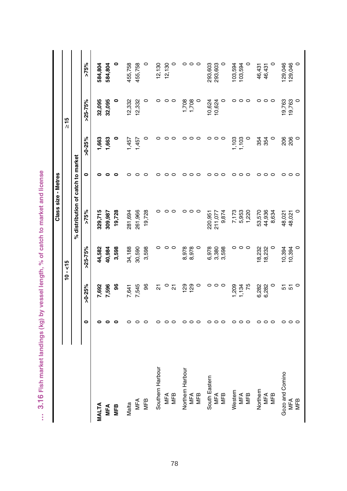|                         |           |             |                 | Class size - Metres               |         |                 |                 |         |
|-------------------------|-----------|-------------|-----------------|-----------------------------------|---------|-----------------|-----------------|---------|
|                         |           |             | $10 - 15$       |                                   |         |                 | $\frac{5}{10}$  |         |
|                         |           |             |                 | % distribution of catch to market |         |                 |                 |         |
|                         | $\bullet$ | >0.25%      | $>25-75%$       | $>75\%$                           | 0       | $>0.25\%$       | $>25 - 75%$     | >75%    |
| MALTA                   |           | 7,692       | 44,582          | 329,715                           |         | <b>.683</b>     | 32,095          | 584,804 |
| <b>MFA</b>              |           | 7,596       | 40,984          | 309,987                           |         | 663             | 32,095          | 584,804 |
| MFB                     |           | \$          | 3,598           | 19,728                            |         | 0               | $\circ$         | 0       |
| Malta                   |           | 7,641       | 34,188          | 281,694                           |         | $-457$          | 12,332          | 455,758 |
| MFA                     |           | 7,545       | 30,590          | 261,966                           | c       | 1,457           | 12,332          | 455,758 |
| MFB                     |           | 96          | 3,598           | 19,728                            |         | 0               | $\circ$         | 0       |
| Southern Harbour        |           | 21          | 0               |                                   |         | 0               | 0               | 12,130  |
| MFA                     |           | $\circ$     |                 |                                   |         | $\circ$ $\circ$ | $\circ$ $\circ$ | 12,130  |
| MFB                     |           | 21          | $\circ$ $\circ$ | c                                 | c       |                 |                 | $\circ$ |
| <b>Vorthern Harbour</b> |           | 129         | 8,978           |                                   | 0       | 0               | 1,708           |         |
| MFA                     |           | 129         | 8,978           |                                   | ⊂       | $\circ$         | 1,708           |         |
| MFB                     |           | $\circ$     | $\circ$         |                                   | c       | $\circ$         |                 |         |
| South Eastem            |           | 0           | 6,978           |                                   | ○       | 0               | 10,624          | 293,603 |
| MFA                     |           | $\circ$     | 3,380<br>3,598  | 220,951<br>211,077                | c       | $\circ$ $\circ$ | 10,624          | 293,603 |
| MFB                     |           | $\circ$     |                 | 9,874                             | c       |                 | 0               | 0       |
| Westem                  |           | 1,209       |                 | 7,173                             | 0       | 1,103           | 0               | 103,594 |
| MFA                     |           | 1,134<br>75 | 000             | 5,953                             | 0       | 1,103           | $\circ$ $\circ$ | 103,594 |
| MFB                     |           |             |                 | 1,220                             | $\circ$ |                 |                 | 0       |
| Northern                | c         | 6,282       | 18,232          | 53,570                            | 0       | 354             | ○               | 46,431  |
| MFA                     | ⊂         | 6,282       | 18,232          | 44,936                            | $\circ$ | 354             | $\circ$         | 46,431  |
| MFB                     | $\subset$ | $\circ$     | 0               | 8,634                             | $\circ$ | $\circ$         | $\circ$         | $\circ$ |
| Gozo and Comino         | ○         |             | 10,394          | 48,021                            | 0       |                 | 19,763          | 129,046 |
| MFA                     | ○         | 57          | 10,394          | 48,021                            | $\circ$ | 206<br>206      | 19,763          | 129,046 |
| MFB                     |           | $\circ$     | $\circ$         |                                   | $\circ$ | $\circ$         | $\circ$         | $\circ$ |

... 3.16 Fish market landings (kg) by vessel length, % of catch to market and license **… 3.16 Fish market landings (kg) by vessel length, % of catch to market and license**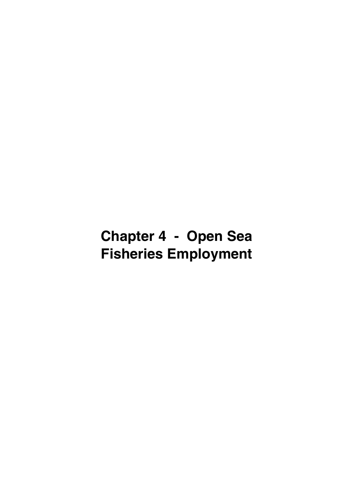# **Chapter 4 - Open Sea Fisheries Employment**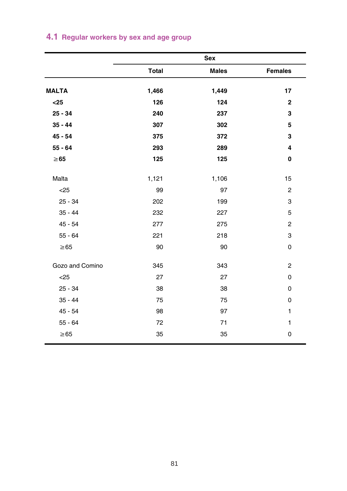| <b>Total</b><br><b>MALTA</b> | <b>Males</b><br>1,449 | <b>Females</b>          |
|------------------------------|-----------------------|-------------------------|
|                              |                       |                         |
| 1,466                        |                       | 17                      |
| $25$<br>126                  | 124                   | $\overline{\mathbf{2}}$ |
| $25 - 34$<br>240             | 237                   | 3                       |
| $35 - 44$<br>307             | 302                   | 5                       |
| $45 - 54$<br>375             | 372                   | 3                       |
| $55 - 64$<br>293             | 289                   | 4                       |
| 125<br>$\geq 65$             | 125                   | 0                       |
| Malta<br>1,121               | 1,106                 | 15                      |
| $25$<br>99                   | 97                    | $\overline{c}$          |
| $25 - 34$<br>202             | 199                   | 3                       |
| $35 - 44$<br>232             | 227                   | 5                       |
| $45 - 54$<br>277             | 275                   | $\mathbf 2$             |
| $55 - 64$<br>221             | 218                   | 3                       |
| $\geq 65$<br>90              | 90                    | 0                       |
| Gozo and Comino<br>345       | 343                   | $\overline{c}$          |
| $25$<br>27                   | 27                    | 0                       |
| $25 - 34$<br>38              | 38                    | 0                       |
| $35 - 44$<br>75              | 75                    | 0                       |
| $45 - 54$<br>98              | 97                    | 1                       |
| $55 - 64$<br>72              | 71                    | 1                       |
| $\geq 65$<br>35              | 35                    | 0                       |

# **4.1 Regular workers by sex and age group**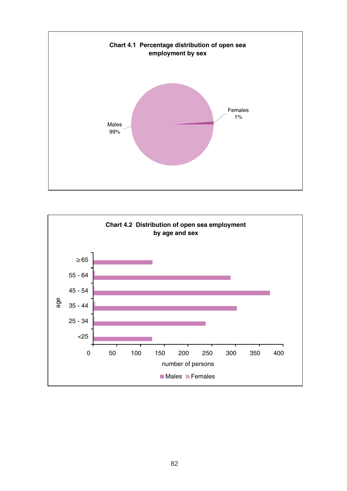

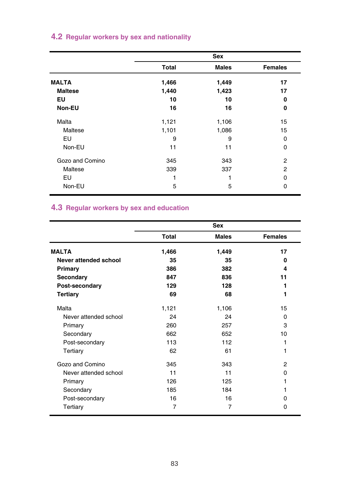|  |  |  |  |  |  | 4.2 Regular workers by sex and nationality |  |
|--|--|--|--|--|--|--------------------------------------------|--|
|--|--|--|--|--|--|--------------------------------------------|--|

|                 |              | Sex          |                |
|-----------------|--------------|--------------|----------------|
|                 | <b>Total</b> | <b>Males</b> | <b>Females</b> |
| <b>MALTA</b>    | 1,466        | 1,449        | 17             |
| <b>Maltese</b>  | 1,440        | 1,423        | 17             |
| EU              | 10           | 10           | 0              |
| Non-EU          | 16           | 16           | 0              |
| Malta           | 1,121        | 1,106        | 15             |
| Maltese         | 1,101        | 1,086        | 15             |
| EU              | 9            | 9            | $\Omega$       |
| Non-EU          | 11           | 11           | 0              |
| Gozo and Comino | 345          | 343          | $\overline{2}$ |
| Maltese         | 339          | 337          | 2              |
| EU              |              |              | <sup>0</sup>   |
| Non-EU          | 5            | 5            | 0              |

#### **4.3 Regular workers by sex and education**

|                       |       | <b>Sex</b>   |                |
|-----------------------|-------|--------------|----------------|
|                       | Total | <b>Males</b> | <b>Females</b> |
| <b>MALTA</b>          | 1,466 | 1,449        | 17             |
| Never attended school | 35    | 35           | 0              |
| Primary               | 386   | 382          | 4              |
| Secondary             | 847   | 836          | 11             |
| Post-secondary        | 129   | 128          | 1              |
| <b>Tertiary</b>       | 69    | 68           | 1              |
| Malta                 | 1,121 | 1,106        | 15             |
| Never attended school | 24    | 24           | $\Omega$       |
| Primary               | 260   | 257          | 3              |
| Secondary             | 662   | 652          | 10             |
| Post-secondary        | 113   | 112          |                |
| Tertiary              | 62    | 61           | 1              |
| Gozo and Comino       | 345   | 343          | $\overline{2}$ |
| Never attended school | 11    | 11           | 0              |
| Primary               | 126   | 125          |                |
| Secondary             | 185   | 184          |                |
| Post-secondary        | 16    | 16           | 0              |
| Tertiary              | 7     | 7            | 0              |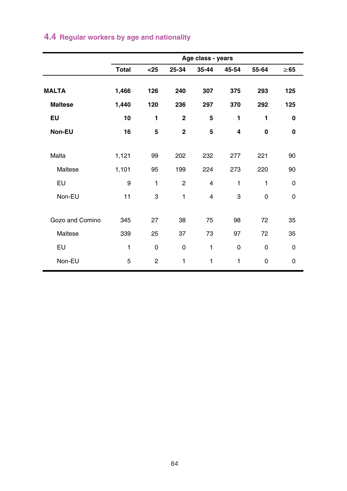|                 |              |                |                | Age class - years |       |             |           |
|-----------------|--------------|----------------|----------------|-------------------|-------|-------------|-----------|
|                 | <b>Total</b> | $25$           | 25-34          | 35-44             | 45-54 | 55-64       | $\geq 65$ |
| <b>MALTA</b>    | 1,466        | 126            | 240            | 307               | 375   | 293         | 125       |
| <b>Maltese</b>  | 1,440        | 120            | 236            | 297               | 370   | 292         | 125       |
| EU              | 10           | 1              | $\overline{2}$ | 5                 | 1     | 1           | 0         |
| Non-EU          | 16           | 5              | $\overline{2}$ | 5                 | 4     | $\mathbf 0$ | 0         |
|                 |              |                |                |                   |       |             |           |
| Malta           | 1,121        | 99             | 202            | 232               | 277   | 221         | 90        |
| Maltese         | 1,101        | 95             | 199            | 224               | 273   | 220         | 90        |
| EU              | 9            | 1              | $\overline{2}$ | $\overline{4}$    | 1     | 1           | 0         |
| Non-EU          | 11           | 3              | 1              | 4                 | 3     | 0           | 0         |
|                 |              |                |                |                   |       |             |           |
| Gozo and Comino | 345          | 27             | 38             | 75                | 98    | 72          | 35        |
| Maltese         | 339          | 25             | 37             | 73                | 97    | 72          | 35        |
| EU              | $\mathbf{1}$ | $\Omega$       | 0              | 1                 | 0     | 0           | 0         |
| Non-EU          | 5            | $\overline{2}$ | 1              | 1                 | 1     | 0           | 0         |
|                 |              |                |                |                   |       |             |           |

# **4.4 Regular workers by age and nationality**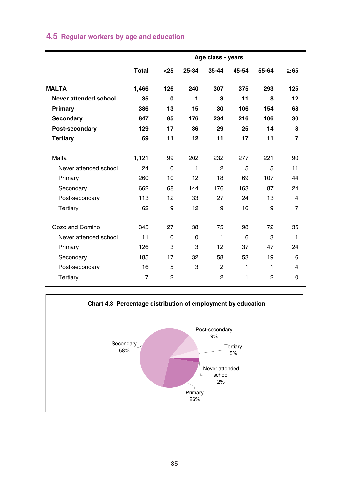|  |  |  |  |  |  | 4.5 Regular workers by age and education |
|--|--|--|--|--|--|------------------------------------------|
|--|--|--|--|--|--|------------------------------------------|

|                       |              |                |          | Age class - years |       |                |                |
|-----------------------|--------------|----------------|----------|-------------------|-------|----------------|----------------|
|                       | <b>Total</b> | $25$           | 25-34    | 35-44             | 45-54 | 55-64          | $\geq 65$      |
| <b>MALTA</b>          | 1.466        | 126            | 240      | 307               | 375   | 293            | 125            |
| Never attended school | 35           | 0              | 1        | 3                 | 11    | 8              | 12             |
| Primary               | 386          | 13             | 15       | 30                | 106   | 154            | 68             |
| Secondary             | 847          | 85             | 176      | 234               | 216   | 106            | 30             |
| Post-secondary        | 129          | 17             | 36       | 29                | 25    | 14             | 8              |
| Tertiary              | 69           | 11             | 12       | 11                | 17    | 11             | $\overline{7}$ |
| Malta                 | 1.121        | 99             | 202      | 232               | 277   | 221            | 90             |
| Never attended school | 24           | $\Omega$       | 1        | $\overline{2}$    | 5     | 5              | 11             |
| Primary               | 260          | 10             | 12       | 18                | 69    | 107            | 44             |
| Secondary             | 662          | 68             | 144      | 176               | 163   | 87             | 24             |
| Post-secondary        | 113          | 12             | 33       | 27                | 24    | 13             | 4              |
| Tertiary              | 62           | 9              | 12       | 9                 | 16    | 9              | $\overline{7}$ |
| Gozo and Comino       | 345          | 27             | 38       | 75                | 98    | 72             | 35             |
| Never attended school | 11           | $\Omega$       | $\Omega$ | 1                 | 6     | 3              | 1              |
| Primary               | 126          | 3              | 3        | 12                | 37    | 47             | 24             |
| Secondary             | 185          | 17             | 32       | 58                | 53    | 19             | 6              |
| Post-secondary        | 16           | 5              | 3        | $\overline{2}$    | 1     | 1              | 4              |
| Tertiary              | 7            | $\overline{2}$ |          | 2                 | 1     | $\overline{2}$ | $\Omega$       |

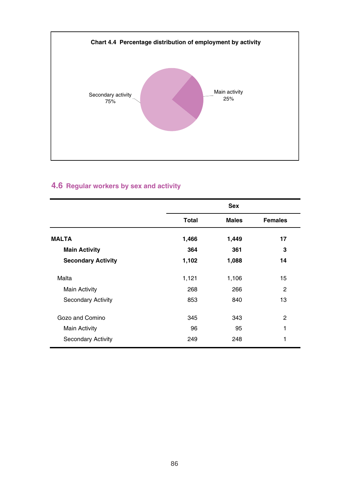

#### **4.6 Regular workers by sex and activity**

|                           |       | <b>Sex</b>   |                |
|---------------------------|-------|--------------|----------------|
|                           | Total | <b>Males</b> | <b>Females</b> |
| <b>MALTA</b>              | 1,466 | 1,449        | 17             |
| <b>Main Activity</b>      | 364   | 361          | 3              |
| <b>Secondary Activity</b> | 1,102 | 1,088        | 14             |
| Malta                     | 1,121 | 1,106        | 15             |
| <b>Main Activity</b>      | 268   | 266          | 2              |
| <b>Secondary Activity</b> | 853   | 840          | 13             |
| Gozo and Comino           | 345   | 343          | 2              |
| <b>Main Activity</b>      | 96    | 95           | 1              |
| <b>Secondary Activity</b> | 249   | 248          | 1              |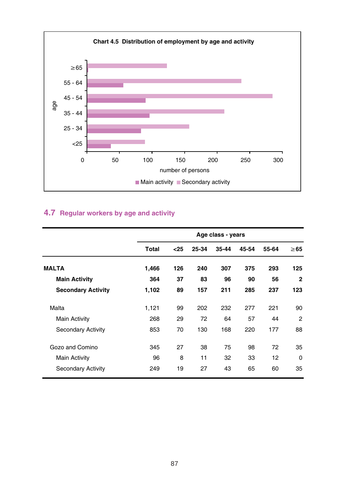

#### **4.7 Regular workers by age and activity**

|                           |       |      |       | Age class - years |       |       |                |
|---------------------------|-------|------|-------|-------------------|-------|-------|----------------|
|                           | Total | $25$ | 25-34 | 35-44             | 45-54 | 55-64 | $\geq 65$      |
| <b>MALTA</b>              | 1,466 | 126  | 240   | 307               | 375   | 293   | 125            |
| <b>Main Activity</b>      | 364   | 37   | 83    | 96                | 90    | 56    | $\mathbf{2}$   |
| <b>Secondary Activity</b> | 1,102 | 89   | 157   | 211               | 285   | 237   | 123            |
| Malta                     | 1,121 | 99   | 202   | 232               | 277   | 221   | 90             |
| <b>Main Activity</b>      | 268   | 29   | 72    | 64                | 57    | 44    | $\overline{2}$ |
| <b>Secondary Activity</b> | 853   | 70   | 130   | 168               | 220   | 177   | 88             |
| Gozo and Comino           | 345   | 27   | 38    | 75                | 98    | 72    | 35             |
| <b>Main Activity</b>      | 96    | 8    | 11    | 32                | 33    | 12    | $\Omega$       |
| <b>Secondary Activity</b> | 249   | 19   | 27    | 43                | 65    | 60    | 35             |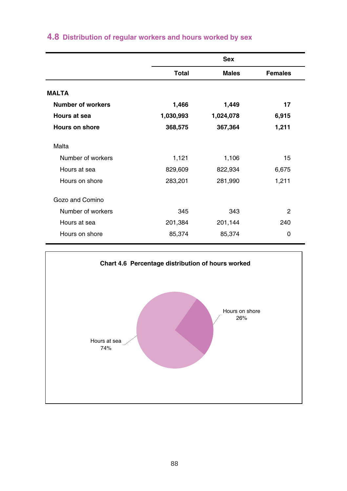|                          | <b>Sex</b>   |              |                |
|--------------------------|--------------|--------------|----------------|
|                          | <b>Total</b> | <b>Males</b> | <b>Females</b> |
| <b>MALTA</b>             |              |              |                |
| <b>Number of workers</b> | 1,466        | 1,449        | 17             |
| Hours at sea             | 1,030,993    | 1,024,078    | 6,915          |
| Hours on shore           | 368,575      | 367,364      | 1,211          |
| Malta                    |              |              |                |
| Number of workers        | 1,121        | 1,106        | 15             |
| Hours at sea             | 829,609      | 822,934      | 6,675          |
| Hours on shore           | 283,201      | 281,990      | 1,211          |
| Gozo and Comino          |              |              |                |
| Number of workers        | 345          | 343          | 2              |
| Hours at sea             | 201,384      | 201,144      | 240            |
| Hours on shore           | 85,374       | 85,374       | 0              |

# **4.8 Distribution of regular workers and hours worked by sex**

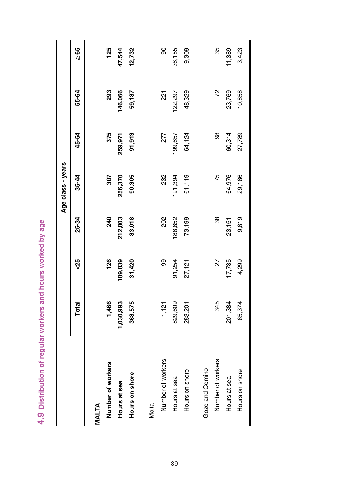4.9 Distribution of regular workers and hours worked by age **4.9 Distribution of regular workers and hours worked by age**

| 829,609<br>345<br>1,121<br>283,201<br>Number of workers<br>Number of workers<br>Gozo and Comino<br>Hours on shore<br>Hours at sea<br>Malta | 8<br>91,254<br>27<br>27,121 | 202<br>88,852<br>38<br>73,199 | 232<br>191,394<br>61,119<br>75 | 98<br>277<br>99,657<br>64,124 | 72<br>48,329<br>22,297<br>$\overline{21}$ | 8<br>36,155<br>9,309<br>35 |
|--------------------------------------------------------------------------------------------------------------------------------------------|-----------------------------|-------------------------------|--------------------------------|-------------------------------|-------------------------------------------|----------------------------|
| 201,384<br>Hours at sea                                                                                                                    | 17,785                      | 23,151                        | 64,976                         | 60,314                        | 23,769                                    | 11,389                     |
| 85,374<br>Hours on shore                                                                                                                   | 4,299                       | 9,819                         | 29,186                         | 27,789                        | 10,858                                    | 3,423                      |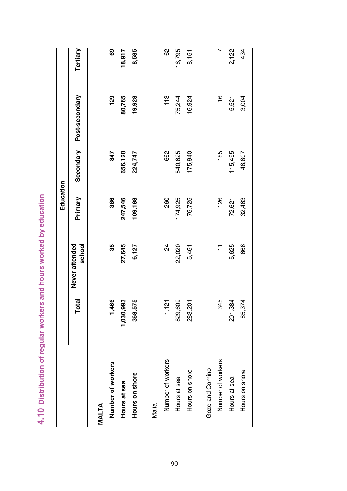| Total |                                                                    | Education | Primary Secondary Post-secondary |             |
|-------|--------------------------------------------------------------------|-----------|----------------------------------|-------------|
|       | 4.10 Distribution of regular workers and hours worked by education |           | school<br>Never attended         | =<br>=<br>= |

 $\begin{array}{c} \hline \end{array}$ 

|                   | Total     | Never attended<br>school | Primary |         | Secondary Post-secondary | Tertiary |
|-------------------|-----------|--------------------------|---------|---------|--------------------------|----------|
| MALTA             |           |                          |         |         |                          |          |
| Number of workers | 1,466     | 35                       | 386     | 847     | 129                      | ෂී       |
| Hours at sea      | 1,030,993 | 27,645                   | 247,546 | 656,120 | 80,765                   | 18,917   |
| Hours on shore    | 368,575   | 6,127                    | 109,188 | 224,747 | 19,928                   | 8,585    |
| Malta             |           |                          |         |         |                          |          |
| Number of workers | 1,121     | 24                       | 260     | 662     | 113                      | 8        |
| Hours at sea      | 829,609   | 22,020                   | 74,925  | 540,625 | 75,244                   | 16,795   |
| Hours on shore    | 283,201   | 5,461                    | 76,725  | 175,940 | 16,924                   | 8,151    |
| Gozo and Comino   |           |                          |         |         |                          |          |
| Number of workers | 345       | Ξ                        | 126     | 185     | $\frac{6}{1}$            |          |
| Hours at sea      | 201,384   | 5,625                    | 72,621  | 15,495  | 5,521                    | 2,122    |
| Hours on shore    | 85,374    | 666                      | 32,463  | 48,807  | 3,004                    | 434      |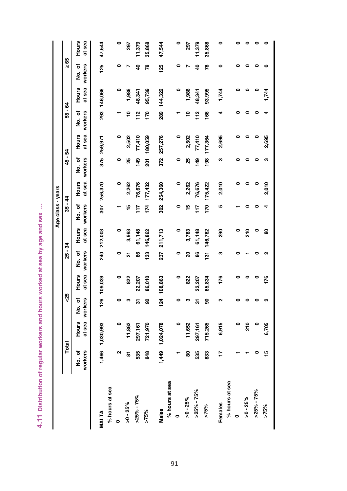| ٠<br>í                                                             |
|--------------------------------------------------------------------|
| <b>Sex</b>                                                         |
| ī<br>è<br>į                                                        |
| ်<br>'n<br>I                                                       |
| í<br>ś                                                             |
| i<br>١<br>ò<br>Ď                                                   |
| ie p.                                                              |
| Ï<br>Ĕ<br>Š                                                        |
| ì<br>ş<br>ś                                                        |
| <b>OUIrs</b>                                                       |
| í                                                                  |
| ī<br>İ<br>ś                                                        |
| i<br>١                                                             |
| ĕ<br>į                                                             |
| ಹ<br>Ï<br>į                                                        |
| ۱<br>Ì<br>š<br>Ó<br>í                                              |
| Ì                                                                  |
| ١<br>ï<br>i<br>١                                                   |
| Ì                                                                  |
| i<br>֧ׅׅ֧ׅ֧֪֧֪ׅ֧֚֚֚֚֚֚֚֚֚֚֚֚֚֚֚֚֚֚֚֚֚֚֚֚֚֚֚֚֬֡֡֡֓֡֡֓֡֡֡֓֡֡֡֡֡֬֝֓֝֓ |
| I<br>ì                                                             |
|                                                                    |
| l                                                                  |
| 4                                                                  |

|                |         |                 |            |             |         |              | Age class - years |             |         |             |                |              |           |           |
|----------------|---------|-----------------|------------|-------------|---------|--------------|-------------------|-------------|---------|-------------|----------------|--------------|-----------|-----------|
|                |         | Total           | 45         |             | 25 - 34 |              | $35 - 44$         |             | 45 - 54 |             | 55 - 64        |              | $\geq 65$ |           |
|                | ა<br>ამ | <b>Hours</b>    | to.<br>No. | Hours       | No. of  | <b>Hours</b> | No. of            | Hours       | No. of  | Hours       | No. of         | <b>Hours</b> | No. of    | Hours     |
|                | workers | at sea          | workers    | at sea      | workers | at sea       | workers           | at sea      | workers | at sea      | workers        | at sea       | workers   | at sea    |
| <b>MALTA</b>   |         | 1,466 1,030,993 |            |             |         |              |                   |             |         | 375 259,971 |                |              | 125       |           |
|                |         |                 |            | 126 109,039 |         | 240 212,003  |                   | 307 256,370 |         |             |                | 293 146,066  |           | 47,544    |
| % hours at sea |         |                 |            |             |         |              |                   |             |         |             |                |              |           |           |
| o              | ິ       | 0               |            | $\circ$     | 0       | 0            |                   | 0           | 0       | 0           |                | 0            |           | $\bullet$ |
| $>0 - 25%$     | ᇮ       | 11,862          | ო          | 822         | 2       | 3,993        | ٩Ļ                | 2,262       | 25      | 2,502       | <u>۽</u>       | 1,986        |           | 297       |
| $>25\% - 75\%$ | 535     | 297,161         | 5          | 22,207      | SS      | 61,148       | $\frac{1}{2}$     | 76,676      | 149     | 77,410      | $\frac{2}{11}$ | 48,341       | \$        | 11,379    |
| $>75\%$        | \$      | 721,970         | 8          | 86,010      | 133     | 146,862      | 174               | 177,432     | 201     | 180,059     | <b>PSI</b>     | 95,739       | Ŗ,        | 35,868    |
| Males          | 1,449   | 1,024,078       |            | 124 108,863 | 237     | 211,713      | 302               | 254,360     | 372     | 257,276     |                | 289 144,322  | 125       | 47,544    |
| % hours at sea |         |                 |            |             |         |              |                   |             |         |             |                |              |           |           |
|                |         | ۰               |            | 0           | ۰       | 0            | 0                 | 0           | ۰       | 0           |                | 0            | 0         | 0         |
| $>0 - 25\%$    | 8       | 11,652          | m          | 822         | ຊ       | 3,783        | 10                | 2,262       | 25      | 2,502       | ₽              | 1,986        |           | 297       |
| $>25\% - 75\%$ | 535     | 297,161         | 5          | 22,207      | 86      | 61,148       | $\frac{1}{2}$     | 76,676      | 149     | 77,410      | $\frac{2}{1}$  | 48,341       | ទ         | 11,379    |
| $>75\%$        | 33      | 715,265         | င္တ        | 85,834      |         | 131 146,782  |                   | 170 175,422 | 198     | 177,364     | \$             | 93,995       | Ŗ,        | 35,868    |
| Females        | Ħ       | 6,915           | ์          | 176         | S       | 88           | ۱Ω                | 2,010       | ო       | 2,695       |                | 1,744        |           | ۰         |
| % hours at sea |         |                 |            |             |         |              |                   |             |         |             |                |              |           |           |
| $\bullet$      |         | 0               |            |             |         |              |                   |             |         |             |                |              |           |           |
| $>0 - 25\%$    |         | 210             |            |             |         | 210          |                   |             |         |             |                |              |           |           |
| $>25\% - 75\%$ |         |                 |            | ۰           |         | ۰            |                   |             |         |             |                | 0            |           |           |
| $>75\%$        | 으       | 6,705           |            | 176         |         | 8            |                   | 2,010       | S       | 2,695       |                | 1,744        |           |           |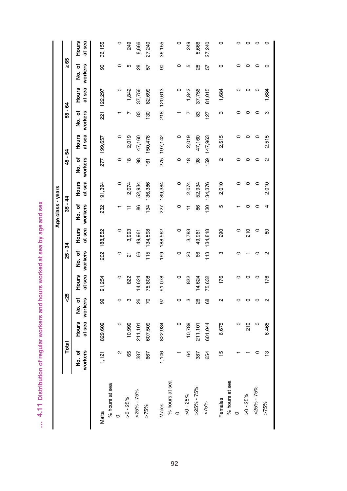| sex                        |
|----------------------------|
| į<br>å                     |
| Í<br>i<br>١<br>ć<br>S      |
| í                          |
| š<br>့်<br>J               |
| ŧ                          |
| ١<br>ï<br>١<br>ï<br>ï      |
| Ï<br>í<br>ì<br>ś           |
| Ŋ<br>١<br>ł<br>I           |
| Ś                          |
| i<br>ţ<br>ć                |
| i<br>í<br>ï<br>ï<br>Ò<br>ì |
| I<br>i                     |
| i<br>١<br>١                |
| ł<br>¢<br>١                |
| í<br>í<br>۱<br>I           |
| ţ                          |
|                            |
| ı                          |
| é                          |
| ٠<br>l<br>ï                |

|                |                   |                 |                    |                 |                    |                 | Age class - years |                 |                   |                 |                   |                        |                    |                 |
|----------------|-------------------|-----------------|--------------------|-----------------|--------------------|-----------------|-------------------|-----------------|-------------------|-----------------|-------------------|------------------------|--------------------|-----------------|
|                | Total             |                 | 45                 |                 | $25 - 34$          |                 | $35 - 44$         |                 | 45 - 54           |                 | 55 - 64           |                        | $\geq 65$          |                 |
|                | No. of<br>workers | at sea<br>Hours | workers<br>ა<br>ამ | at sea<br>Hours | workers<br>ა<br>ად | at sea<br>Hours | workers<br>No. of | at sea<br>Hours | workers<br>No. of | at sea<br>Hours | workers<br>ho. of | at sea<br><b>Hours</b> | workers<br>ა<br>ამ | at sea<br>Hours |
| Malta          | 1,121             | 829,609         | 99                 | 91,254          |                    | 202 188,852     |                   | 232 191,394     |                   | 277 199,657     |                   | 221 122,297            | 8                  | 36,155          |
| % hours at sea |                   |                 |                    |                 |                    |                 |                   |                 |                   |                 |                   |                        |                    |                 |
| $\circ$        | Σ                 | $\circ$         | $\circ$            | $\circ$         | $\circ$            | $\circ$         |                   | $\circ$         | 0                 | 0               |                   | $\circ$                | $\circ$            | $\circ$         |
| $>0 - 25%$     | 65                | 10,999          | S                  | 822             | 21                 | 3,993           | Ξ                 | 2,074           | ≌                 | 2,019           |                   | 1,842                  | 5                  | 249             |
| $>25\% - 75\%$ | 387               | 211,101         | 88                 | 14,624          | 66                 | 49,961          | 86                | 52,934          | 88                | 47,160          | 83                | 37,756                 | 88                 | 8,666           |
| $>75\%$        | 667               | 607,509         | 56                 | 75,808          | 115                | 134,898         | 134               | 136,386         | 161               | 150,478         | $\frac{8}{3}$     | 82,699                 | 57                 | 27,240          |
| Males          | 1,106             | 822,934         | 50                 | 91,078          |                    | 199 188,562     |                   | 227 189,384     |                   | 275 197,142     |                   | 218 120,613            | 8                  | 36,155          |
| % hours at sea |                   |                 |                    |                 |                    |                 |                   |                 |                   |                 |                   |                        |                    |                 |
| $\circ$        |                   | $\circ$         | 0                  | $\circ$         | $\circ$            | $\circ$         | $\circ$           | $\circ$         | 0                 | 0               |                   | $\circ$                | $\circ$            | $\circ$         |
| $>0 - 25\%$    | 84                | 10,789          | $\infty$           | 822             | 20                 | 3,783           | Ξ                 | 2,074           | $\frac{8}{2}$     | 2,019           |                   | 1,842                  | 5                  | 249             |
| $>25\% - 75\%$ | 387               | 211,101         | 88                 | 14,624          | 66                 | 49,961          | 86                | 52,934          | 88                | 47,160          | 83                | 37,756                 | 28                 | 8,666           |
| $>75\%$        | 654               | 601,044         | 68                 | 75,632          |                    | 113 134,818     | 130               | 134,376         |                   | 159 147,963     | 127               | 81,015                 | 57                 | 27,240          |
| Females        | $\frac{15}{2}$    | 6,675           | 2                  | 176             | ო                  | 290             | LO                | 2,010           | Ν                 | 2,515           | ო                 | 1,684                  | $\circ$            | O               |
| % hours at sea |                   |                 |                    |                 |                    |                 |                   |                 |                   |                 |                   |                        |                    |                 |
| O              |                   | 0               |                    |                 |                    | 0               |                   |                 |                   |                 |                   | O                      |                    |                 |
| $>0 - 25\%$    |                   | 210             |                    | $\circ$         |                    | 210             |                   | $\circ$         | 0                 |                 |                   | $\circ$                | O                  |                 |
| $>25\% - 75\%$ |                   | 0               |                    | $\circ$         |                    | $\circ$         |                   | 0               | C                 |                 |                   | $\circ$                | $\circ$            |                 |
| $>75\%$        | ഇ                 | 6,465           | $\sim$             | 176             | $\sim$             | 80              |                   | 2,010           | 2                 | 2,515           | m                 | 1,684                  |                    |                 |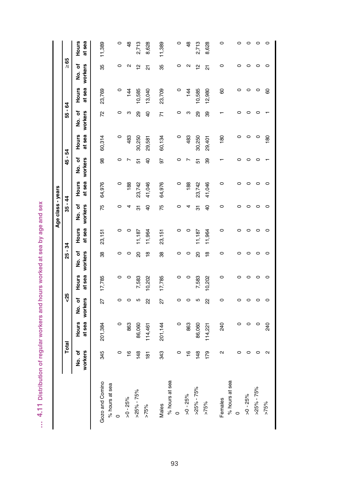| <b>Nes</b>                             |
|----------------------------------------|
| ī<br>í<br>į<br>į                       |
| ۱<br>ہ<br>ج<br>'n                      |
|                                        |
| 3<br>٥                                 |
| ಹ                                      |
| ï<br>Í                                 |
| Ï<br>Ě                                 |
| ä,<br>ī                                |
| ś                                      |
| i<br>ś<br>ć                            |
| <b>Signal</b><br>í<br>ï<br>í<br>I<br>į |
| š<br>I<br>Ï<br>è<br>į<br>ŋ<br>١        |
| ć<br>ć                                 |
| I<br>ï<br>I<br>١                       |
|                                        |
| t                                      |
| ١                                      |
| i                                      |
| i                                      |
| Ì                                      |

|                 |                   |                        |                       |                 |                   |                 | Age class - years |                 |                   |                 |                   |                 |                  |                 |
|-----------------|-------------------|------------------------|-----------------------|-----------------|-------------------|-----------------|-------------------|-----------------|-------------------|-----------------|-------------------|-----------------|------------------|-----------------|
|                 | Total             |                        | ಳೆ                    |                 | $25 - 34$         |                 | $35 - 44$         |                 | 45 - 54           |                 | 55 - 64           |                 | $\frac{29}{1}$   |                 |
|                 | workers<br>No. of | at sea<br><b>Hours</b> | workers<br>To.<br>No. | at sea<br>Hours | workers<br>No. of | at sea<br>Hours | workers<br>No. of | at sea<br>Hours | workers<br>No. of | at sea<br>Hours | No. of<br>workers | at sea<br>Hours | workers<br>No.of | at sea<br>Hours |
| Gozo and Comino | 345               | 201,384                | 27                    | 17,785          | 38                | 23,151          | 75                | 64,976          | 98                | 60,314          | 72                | 23,769          | 35               | 11,389          |
| % hours at sea  |                   |                        |                       |                 |                   |                 |                   |                 |                   |                 |                   |                 |                  |                 |
| $\circ$         | $\circ$           | $\circ$                | $\circ$               | $\circ$         | $\circ$           | $\circ$         | $\circ$           | $\circ$         | $\circ$           | $\circ$         | $\circ$           | $\circ$         | $\circ$          | $\circ$         |
| $>0 - 25\%$     | $\frac{6}{1}$     | 863                    | $\circ$               | $\circ$         | $\circ$           | 0               | 4                 | 188             |                   | 483             | S                 | $\frac{4}{4}$   | $\sim$           | 48              |
| $>25\% - 75\%$  | 148               | 86,060                 | 5                     | 7,583           | $\overline{a}$    | 11,187          | 51                | 23,742          | 5                 | 30,250          | 8                 | 10,585          | 얻                | 2,713           |
| $>75\%$         | $\overline{181}$  | 114,461                | 22                    | 10,202          | ٩Ř                | 11,964          | $\overline{6}$    | 41,046          | $\overline{6}$    | 29,581          | $\overline{4}$    | 13,040          | ត                | 8,628           |
| Males           | 343               | 201,144                | 27                    | 17,785          | 38                | 23,151          | 75                | 64,976          | 97                | 60,134          | Σ                 | 23,709          | 35               | 11,389          |
| % hours at sea  |                   |                        |                       |                 |                   |                 |                   |                 |                   |                 |                   |                 |                  |                 |
| $\circ$         | $\circ$           | $\circ$                |                       | 0               | $\circ$           | $\circ$         | $\circ$           | 0               |                   | $\circ$         | $\circ$           | $\circ$         | 0                | $\circ$         |
| $>0 - 25\%$     | $\frac{6}{5}$     | 863                    | $\circ$               | $\circ$         | $\circ$           |                 | 4                 | 188             |                   | 483             | S                 | 144             | $\sim$           | $\frac{8}{3}$   |
| $>25\% - 75\%$  | 148               | 86,060                 | 5                     | 7,583           | $\overline{a}$    | 11,187          | 51                | 23,742          | 5                 | 30,250          | 29                | 10,585          | 얻                | 2,713           |
| $>75\%$         | 179               | 114,221                | 22                    | 10,202          | $\frac{8}{1}$     | 11,964          | $\overline{6}$    | 41,046          | 39                | 29,401          | 39                | 12,980          | ត                | 8,628           |
| Females         | $\mathbf{\Omega}$ | 240                    | $\circ$               | 0               | O                 | 0               | 0                 | 0               |                   | 180             |                   | 8               | 0                | 0               |
| % hours at sea  |                   |                        |                       |                 |                   |                 |                   |                 |                   |                 |                   |                 |                  |                 |
| $\circ$         |                   | 0                      |                       | O               | ◠                 |                 | ◠                 |                 |                   | o               |                   | 0               | o                |                 |
| $>0 - 25\%$     |                   | 0                      |                       | $\circ$         | っ                 |                 | ⊂                 | 0               |                   | 0               |                   | $\circ$         | 0                |                 |
| $>25\% - 75\%$  |                   | $\circ$                | $\circ$               | $\circ$         | ○                 | C               | ⊂                 | $\circ$         |                   | $\circ$         |                   | $\circ$         | $\circ$          |                 |
| $>75\%$         | $\mathbf{\Omega}$ | 240                    | $\circ$               | $\circ$         | $\circ$           | $\circ$         | $\circ$           | $\circ$         |                   | 180             |                   | 8               | 0                |                 |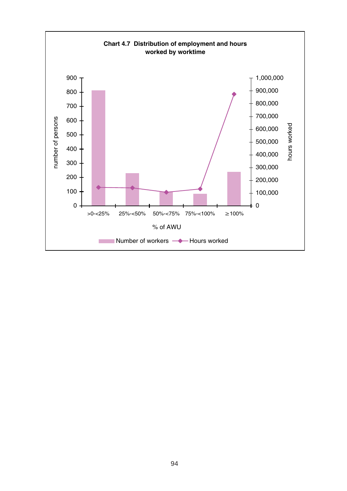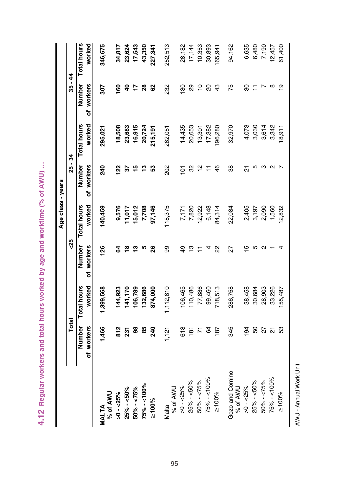|                             |                         |                    |               | Age class - years |                   |             |                         |                    |
|-----------------------------|-------------------------|--------------------|---------------|-------------------|-------------------|-------------|-------------------------|--------------------|
|                             | Total                   |                    | ಳೆ            |                   | 25 - 34           |             | 35 - 44                 |                    |
|                             | Number                  | <b>Total hours</b> | Number        | Total hours       | Number            | Total hours | Number                  | <b>Total hours</b> |
|                             | of workers              | worked             | workers<br>ቴ  | worked            | workers<br>৳      | worked      | workers<br>৳            | worked             |
| % of AWU<br><b>MALTA</b>    | 1,466                   | 1,399,568          | $\frac{8}{2}$ | 140,459           | 240               | 295,021     | 202                     | 346,675            |
| $>0 - 25%$                  | 812                     | 144,923            | रु            | 9,576             | $\frac{2}{3}$     | 18,508      | <u>ទ</u>                | 34,817             |
| $25\% - 50\%$               | 231                     | 141,170            | ≌             | 11,017            | 2                 | 23,683      | $\overline{\mathsf{a}}$ | 23,624             |
| $50\% - 575\%$              | 8                       | 106,789            | ∾             | 15,012            | 15                | 16,915      | 17                      | 17,543             |
| 75% - <100%                 | 85                      | 132,686            | ഥ             | 7,708             | $\frac{3}{2}$     | 20,724      | $\frac{8}{2}$           | 43,350             |
| $\geq 100\%$                | 240                     | 874,000            | ၛ             | 97,146            | ួ                 | 215,191     | 62                      | 227,341            |
| % of AWU<br>Malta           | ,121                    | 1,112,810          | ஜ             | 118,375           | 202               | 262,051     | 232                     | 252,513            |
| $>0 - 25%$                  | 618                     | 106,465            | ą             | 7,171             | $\overline{6}$    | 14,435      | 8                       | 28,182             |
| 25% - <50%                  | 181                     | 10,486             | ღ             | 7,820             | 32                | 20,653      | 29                      | 17,144             |
| $50\% - 55\%$               | 71                      | 77,886             |               | 12,922            | $\frac{1}{2}$     | 13,301      | $\overline{a}$          | 10,353             |
| 75% - <100%                 | 3                       | 99,460             |               | 6,148             | Ξ                 | 17,382      | 20                      | 30,893             |
| $\geq 100\%$                | 187                     | 718,513            | ଧ୍ୟ           | 84,314            | 46                | 196,280     | 43                      | 165,941            |
| Gozo and Comino<br>% of AWU | 345                     | 286,758            | 27            | 22,084            | 88                | 32,970      | 75                      | 94,162             |
| $>0 - 25%$                  | $\overline{9}$          | 38,458             | ഥ             | 2,405             | 21                | 4,073       | 30                      | 6,635              |
| $25\% - 50\%$               | 50                      | 30,684             |               | 3,197             | ю                 | 3,030       |                         | 6,480              |
| $50\% - 575\%$              | 27                      | 28,903             |               | 2,090             | ო                 | 3,614       | r                       | 7,190              |
| $75\% - 100\%$              | $\overline{\mathbf{S}}$ | 33,226             |               | 1,560             | $\mathbf{\Omega}$ | 3,342       | $^\infty$               | 12,457             |
| $\geq 100\%$                | S3                      | 55,487             |               | 12,832            |                   | 18,911      | లౖ                      | 61,400             |

4.12 Regular workers and total hours worked by age and worktime (% of AWU) ... **4.12 Regular workers and total hours worked by age and worktime (% of AWU) …**

AWU - Annual Work Unit AWU - Annual Work Unit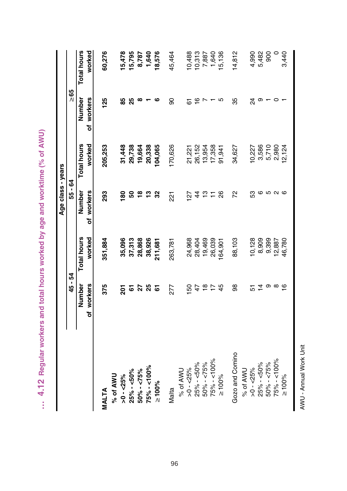|                 |                |             | Age class - years |             |                |                    |
|-----------------|----------------|-------------|-------------------|-------------|----------------|--------------------|
|                 | 45 - 54        |             | 55 - 64           |             | $\geq 65$      |                    |
|                 | Number         | Total hours | Number            | Total hours | Number         | <b>Total hours</b> |
|                 | of workers     | worked      | of workers        | worked      | of workers     | worked             |
| MALTA           | 375            | 351,884     | 293               | 205,253     | 125            | 60,276             |
| % of AWU        |                |             |                   |             |                |                    |
| $>0 - 25\%$     | 201            | 35,096      | 80                | 31,448      | 85             | 15,478             |
| 25% - <50%      |                | 37,313      | ន                 | 29,738      | 25             | 15,795             |
| $50\% - 575\%$  | <u>ត</u><br>27 | 28,868      | $\frac{8}{16}$    | 19,664      | ∞              | 8,787              |
| 75% - <100%     | 25             | 38,926      | 5                 | 20,338      |                | 1,640              |
| $\geq 100\%$    | 5              | 211,681     | 32                | 104,065     | ဖ              | 18,576             |
| Malta           | 277            | 263,781     | 221               | 170,626     | 90             | 45,464             |
| % of AWU        |                |             |                   |             |                |                    |
| $>0 - 25\%$     | 150            | 24,968      | $\overline{27}$   | 21,221      | 5              | 10,488             |
| 25% - <50%      | 47             | 28,404      | $\ddot{4}$        | 26,152      | $\overline{6}$ | 10,313             |
| $50\% - 575\%$  | $\frac{8}{1}$  | 19,469      | $\frac{1}{2}$     | 13,954      |                | 7,887              |
| 75% - <100%     | $\overline{1}$ | 26,039      | Ξ                 | 17,358      |                | 1,640              |
| $\geq 100\%$    | 45             | 164,901     | 88                | 91,941      | 5              | 15,136             |
| Gozo and Comino | 8              | 88,103      | 72                | 34,627      | 35             | 14,812             |
| % of AWU        |                |             |                   |             |                |                    |
| $>0 - 25\%$     | 5              | 10,128      | S3                | 10,227      | $\overline{2}$ | 4,990              |
| $25\% - 50\%$   | $\frac{4}{4}$  | 8,909       |                   | 3,586       | တ              | 5,482              |
| $50\% - 55\%$   | တ              | 9,399       |                   | 5,710       |                | 900                |
| 75% - <100%     | $\infty$       | 12,887      | <b>0000</b>       | 2,980       | $\circ$        | $\circ$            |
| $\geq 100\%$    | $\frac{6}{1}$  | 46,780      |                   | 12,124      |                | 3,440              |
|                 |                |             |                   |             |                |                    |

... 4.12 Regular workers and total hours worked by age and worktime (% of AWU) **… 4.12 Regular workers and total hours worked by age and worktime (% of AWU)**

AWU - Annual Work Unit

AWU - Annual Work Unit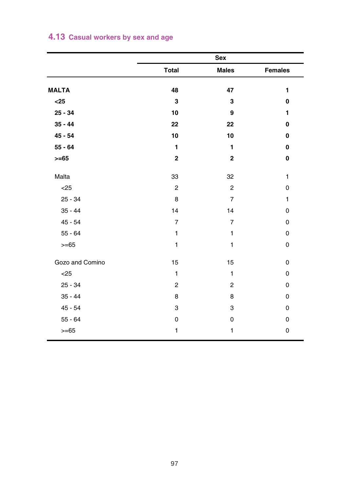|  |  | 4.13 Casual workers by sex and age |  |  |  |  |
|--|--|------------------------------------|--|--|--|--|
|--|--|------------------------------------|--|--|--|--|

|                 |                | Sex            |              |
|-----------------|----------------|----------------|--------------|
|                 | Total          | <b>Males</b>   | Females      |
| <b>MALTA</b>    | 48             | 47             | 1            |
| $25$            | 3              | 3              | 0            |
| $25 - 34$       | 10             | 9              | 1            |
| $35 - 44$       | 22             | 22             | 0            |
| $45 - 54$       | 10             | 10             | 0            |
| $55 - 64$       | 1              | 1              | 0            |
| $>= 65$         | $\mathbf 2$    | $\mathbf 2$    | 0            |
| Malta           | 33             | 32             | $\mathbf{1}$ |
| < 25            | $\overline{2}$ | $\overline{2}$ | 0            |
| $25 - 34$       | 8              | $\overline{7}$ | $\mathbf{1}$ |
| $35 - 44$       | 14             | 14             | 0            |
| $45 - 54$       | $\overline{7}$ | $\overline{7}$ | 0            |
| $55 - 64$       | $\mathbf{1}$   | 1              | 0            |
| $>= 65$         | $\mathbf{1}$   | $\mathbf{1}$   | 0            |
| Gozo and Comino | 15             | 15             | $\mathbf 0$  |
| < 25            | 1              | $\mathbf{1}$   | 0            |
| $25 - 34$       | $\overline{c}$ | $\overline{c}$ | 0            |
| $35 - 44$       | 8              | 8              | 0            |
| $45 - 54$       | 3              | 3              | 0            |
| $55 - 64$       | 0              | 0              | 0            |
| $>= 65$         | 1              | 1              | 0            |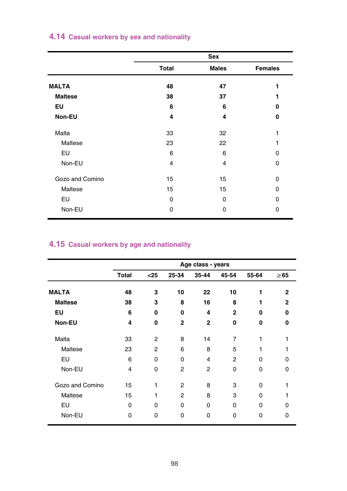|  |  |  |  |  |  | 4.14 Casual workers by sex and nationality |  |
|--|--|--|--|--|--|--------------------------------------------|--|
|--|--|--|--|--|--|--------------------------------------------|--|

|                 |              | Sex          |                |
|-----------------|--------------|--------------|----------------|
|                 | <b>Total</b> | <b>Males</b> | <b>Females</b> |
| <b>MALTA</b>    | 48           | 47           | 1              |
| <b>Maltese</b>  | 38           | 37           |                |
| EU              | 6            | 6            | o              |
| Non-EU          | 4            | 4            | 0              |
| Malta           | 33           | 32           | 1              |
| Maltese         | 23           | 22           | 1              |
| EU              | 6            | 6            | 0              |
| Non-EU          | 4            | 4            | 0              |
| Gozo and Comino | 15           | 15           | 0              |
| Maltese         | 15           | 15           | 0              |
| EU              | 0            | $\Omega$     | 0              |
| Non-EU          | O            | 0            | 0              |

# **4.15 Casual workers by age and nationality**

|                 |                |                |                | Age class - years |                |          |              |
|-----------------|----------------|----------------|----------------|-------------------|----------------|----------|--------------|
|                 | <b>Total</b>   | $25$           | 25-34          | 35-44             | 45-54          | 55-64    | $\geq 65$    |
| <b>MALTA</b>    | 48             | 3              | 10             | 22                | 10             | 1        | $\mathbf{2}$ |
| <b>Maltese</b>  | 38             | 3              | 8              | 16                | 8              | 1        | $\mathbf{2}$ |
| EU              | 6              | 0              | 0              | 4                 | $\mathbf{2}$   | O        | ŋ            |
| Non-EU          | 4              | 0              | $\mathbf{2}$   | $\mathbf{2}$      | 0              | 0        | 0            |
| Malta           | 33             | $\overline{2}$ | 8              | 14                | $\overline{7}$ | 1        |              |
| Maltese         | 23             | $\overline{2}$ | 6              | 8                 | 5              | 1        |              |
| EU              | 6              | $\Omega$       | $\Omega$       | 4                 | $\overline{2}$ | 0        | 0            |
| Non-EU          | $\overline{4}$ | 0              | $\overline{2}$ | $\overline{2}$    | 0              | 0        | O            |
| Gozo and Comino | 15             | 1              | $\overline{2}$ | 8                 | 3              | $\Omega$ |              |
| Maltese         | 15             | 1              | $\overline{2}$ | 8                 | 3              | 0        |              |
| EU              | $\Omega$       | $\Omega$       | $\Omega$       | $\Omega$          | 0              | 0        | $\Omega$     |
| Non-EU          | $\Omega$       | 0              | 0              | 0                 | 0              | 0        | $\Omega$     |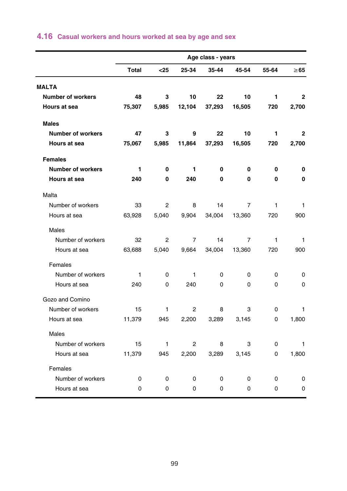|                          |              |          |              | Age class - years |                |          |              |
|--------------------------|--------------|----------|--------------|-------------------|----------------|----------|--------------|
|                          | <b>Total</b> | $25$     | 25-34        | 35-44             | 45-54          | 55-64    | $\geq 65$    |
| <b>MALTA</b>             |              |          |              |                   |                |          |              |
| <b>Number of workers</b> | 48           | 3        | 10           | 22                | 10             | 1        | $\mathbf{2}$ |
| Hours at sea             | 75,307       | 5,985    | 12,104       | 37,293            | 16,505         | 720      | 2,700        |
| <b>Males</b>             |              |          |              |                   |                |          |              |
| <b>Number of workers</b> | 47           | 3        | 9            | 22                | 10             | 1        | $\mathbf{2}$ |
| <b>Hours at sea</b>      | 75,067       | 5,985    | 11,864       | 37,293            | 16,505         | 720      | 2,700        |
| <b>Females</b>           |              |          |              |                   |                |          |              |
| <b>Number of workers</b> | 1            | 0        | 1            | 0                 | 0              | 0        | 0            |
| Hours at sea             | 240          | 0        | 240          | $\Omega$          | 0              | 0        | $\mathbf{0}$ |
| Malta                    |              |          |              |                   |                |          |              |
| Number of workers        | 33           | 2        | 8            | 14                | 7              | 1        | 1            |
| Hours at sea             | 63,928       | 5,040    | 9,904        | 34,004            | 13,360         | 720      | 900          |
| <b>Males</b>             |              |          |              |                   |                |          |              |
| Number of workers        | 32           | 2        | 7            | 14                | $\overline{7}$ | 1        | 1            |
| Hours at sea             | 63,688       | 5,040    | 9,664        | 34,004            | 13,360         | 720      | 900          |
| Females                  |              |          |              |                   |                |          |              |
| Number of workers        | $\mathbf{1}$ | $\Omega$ | $\mathbf{1}$ | $\Omega$          | $\Omega$       | $\Omega$ | 0            |
| Hours at sea             | 240          | 0        | 240          | $\Omega$          | 0              | $\Omega$ | 0            |
| Gozo and Comino          |              |          |              |                   |                |          |              |
| Number of workers        | 15           | 1        | 2            | 8                 | 3              | 0        | 1            |
| Hours at sea             | 11,379       | 945      | 2,200        | 3,289             | 3,145          | 0        | 1,800        |
| <b>Males</b>             |              |          |              |                   |                |          |              |
| Number of workers        | 15           | 1        | 2            | 8                 | 3              | 0        | 1            |
| Hours at sea             | 11,379       | 945      | 2,200        | 3,289             | 3,145          | 0        | 1,800        |
| Females                  |              |          |              |                   |                |          |              |
| Number of workers        | 0            | 0        | 0            | 0                 | 0              | 0        | 0            |
| Hours at sea             | 0            | 0        | 0            | 0                 | 0              | 0        | 0            |

# **4.16 Casual workers and hours worked at sea by age and sex**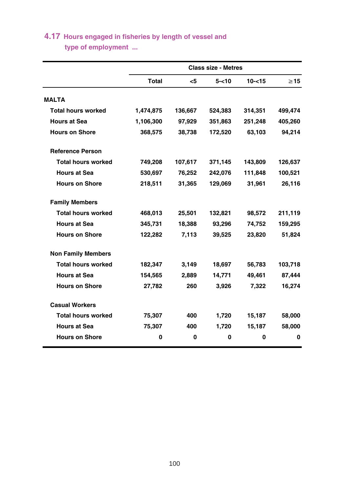# **4.17 Hours engaged in fisheries by length of vessel and**

 **type of employment ...**

|                           |           |         | <b>Class size - Metres</b> |           |           |
|---------------------------|-----------|---------|----------------------------|-----------|-----------|
|                           | Total     | <5      | $5 - 10$                   | $10 - 15$ | $\geq$ 15 |
| <b>MALTA</b>              |           |         |                            |           |           |
| <b>Total hours worked</b> | 1,474,875 | 136,667 | 524,383                    | 314,351   | 499,474   |
| <b>Hours at Sea</b>       | 1,106,300 | 97,929  | 351,863                    | 251,248   | 405,260   |
| <b>Hours on Shore</b>     | 368,575   | 38,738  | 172,520                    | 63,103    | 94,214    |
| <b>Reference Person</b>   |           |         |                            |           |           |
| <b>Total hours worked</b> | 749,208   | 107,617 | 371,145                    | 143,809   | 126,637   |
| <b>Hours at Sea</b>       | 530,697   | 76,252  | 242,076                    | 111,848   | 100,521   |
| <b>Hours on Shore</b>     | 218,511   | 31,365  | 129,069                    | 31,961    | 26,116    |
| <b>Family Members</b>     |           |         |                            |           |           |
| <b>Total hours worked</b> | 468,013   | 25,501  | 132,821                    | 98,572    | 211,119   |
| <b>Hours at Sea</b>       | 345,731   | 18,388  | 93,296                     | 74,752    | 159,295   |
| <b>Hours on Shore</b>     | 122.282   | 7,113   | 39,525                     | 23.820    | 51,824    |
| <b>Non Family Members</b> |           |         |                            |           |           |
| <b>Total hours worked</b> | 182,347   | 3,149   | 18,697                     | 56,783    | 103,718   |
| <b>Hours at Sea</b>       | 154,565   | 2,889   | 14,771                     | 49,461    | 87,444    |
| <b>Hours on Shore</b>     | 27,782    | 260     | 3,926                      | 7,322     | 16,274    |
| <b>Casual Workers</b>     |           |         |                            |           |           |
| <b>Total hours worked</b> | 75,307    | 400     | 1,720                      | 15,187    | 58,000    |
| <b>Hours at Sea</b>       | 75,307    | 400     | 1,720                      | 15,187    | 58,000    |
| <b>Hours on Shore</b>     | 0         | 0       | 0                          | 0         | 0         |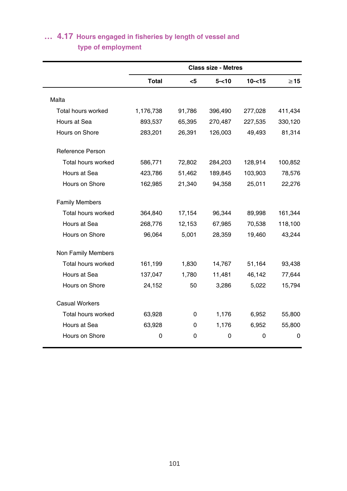|                       |              |             | <b>Class size - Metres</b> |           |             |
|-----------------------|--------------|-------------|----------------------------|-----------|-------------|
|                       | <b>Total</b> | $<$ 5       | $5 - 10$                   | $10 - 15$ | $\geq$ 15   |
| Malta                 |              |             |                            |           |             |
| Total hours worked    | 1,176,738    | 91,786      | 396,490                    | 277,028   | 411,434     |
| Hours at Sea          | 893,537      | 65,395      | 270,487                    | 227,535   | 330,120     |
| Hours on Shore        | 283,201      | 26,391      | 126,003                    | 49,493    | 81,314      |
| Reference Person      |              |             |                            |           |             |
| Total hours worked    | 586,771      | 72,802      | 284,203                    | 128,914   | 100,852     |
| Hours at Sea          | 423,786      | 51,462      | 189,845                    | 103,903   | 78,576      |
| Hours on Shore        | 162,985      | 21,340      | 94,358                     | 25,011    | 22,276      |
| <b>Family Members</b> |              |             |                            |           |             |
| Total hours worked    | 364,840      | 17,154      | 96,344                     | 89,998    | 161,344     |
| Hours at Sea          | 268,776      | 12,153      | 67,985                     | 70,538    | 118,100     |
| Hours on Shore        | 96,064       | 5,001       | 28,359                     | 19,460    | 43,244      |
| Non Family Members    |              |             |                            |           |             |
| Total hours worked    | 161,199      | 1,830       | 14,767                     | 51,164    | 93,438      |
| Hours at Sea          | 137,047      | 1,780       | 11,481                     | 46,142    | 77,644      |
| Hours on Shore        | 24,152       | 50          | 3,286                      | 5,022     | 15,794      |
| <b>Casual Workers</b> |              |             |                            |           |             |
| Total hours worked    | 63,928       | $\mathbf 0$ | 1,176                      | 6,952     | 55,800      |
| Hours at Sea          | 63,928       | 0           | 1,176                      | 6,952     | 55,800      |
| Hours on Shore        | 0            | 0           | 0                          | 0         | $\mathbf 0$ |

# **type of employment … 4.17 Hours engaged in fisheries by length of vessel and**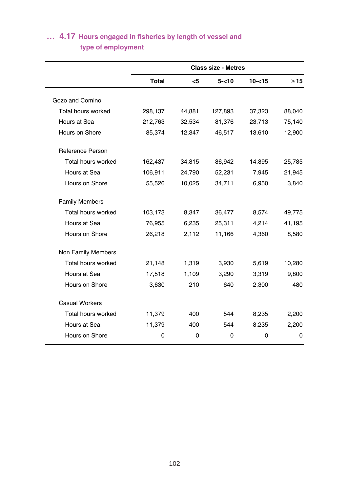# **type of employment … 4.17 Hours engaged in fisheries by length of vessel and**

|                       |              |        | <b>Class size - Metres</b> |           |           |
|-----------------------|--------------|--------|----------------------------|-----------|-----------|
|                       | <b>Total</b> | <5     | $5 - 10$                   | $10 - 15$ | $\geq$ 15 |
| Gozo and Comino       |              |        |                            |           |           |
| Total hours worked    | 298,137      | 44,881 | 127,893                    | 37,323    | 88,040    |
| Hours at Sea          | 212,763      | 32,534 | 81,376                     | 23,713    | 75,140    |
| Hours on Shore        | 85,374       | 12,347 | 46,517                     | 13,610    | 12,900    |
| Reference Person      |              |        |                            |           |           |
| Total hours worked    | 162,437      | 34,815 | 86,942                     | 14,895    | 25,785    |
| Hours at Sea          | 106,911      | 24,790 | 52,231                     | 7,945     | 21,945    |
| Hours on Shore        | 55,526       | 10,025 | 34,711                     | 6,950     | 3,840     |
| <b>Family Members</b> |              |        |                            |           |           |
| Total hours worked    | 103,173      | 8,347  | 36,477                     | 8,574     | 49,775    |
| Hours at Sea          | 76,955       | 6,235  | 25,311                     | 4,214     | 41,195    |
| Hours on Shore        | 26,218       | 2,112  | 11,166                     | 4,360     | 8,580     |
| Non Family Members    |              |        |                            |           |           |
| Total hours worked    | 21,148       | 1,319  | 3,930                      | 5,619     | 10,280    |
| Hours at Sea          | 17,518       | 1,109  | 3,290                      | 3,319     | 9,800     |
| Hours on Shore        | 3,630        | 210    | 640                        | 2,300     | 480       |
| <b>Casual Workers</b> |              |        |                            |           |           |
| Total hours worked    | 11,379       | 400    | 544                        | 8,235     | 2,200     |
| Hours at Sea          | 11,379       | 400    | 544                        | 8,235     | 2,200     |
| Hours on Shore        | 0            | 0      | $\mathbf 0$                | 0         | $\Omega$  |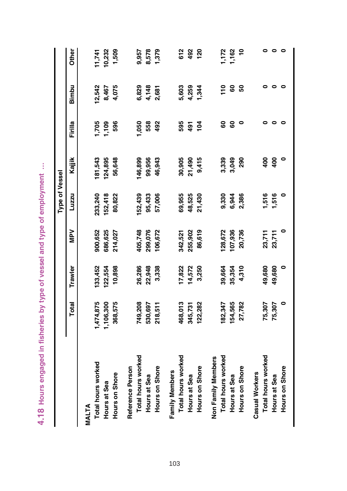|                    |           |         |         | Type of Vessel |               |                 |                |            |
|--------------------|-----------|---------|---------|----------------|---------------|-----------------|----------------|------------|
|                    | Total     | Trawler | Ney     | Luzzu          | Kajjik        | Firilla         | Bimbu          | Other      |
| MALTA              |           |         |         |                |               |                 |                |            |
| Total hours worked | ,474,875  | 33,452  | 900,652 | 233,240        | 181,543       | ,705            | 12,542         | 1,741      |
| Hours at Sea       | 1,106,300 | 122,554 | 686,625 | 52,418         | 124,895       | <b>POL'1</b>    | 8,467          | 10,232     |
| Hours on Shore     | 368,575   | 10,898  | 214,027 | 80,822         | 56,648        | 596             | 4,075          | 1,509      |
| Reference Person   |           |         |         |                |               |                 |                |            |
| Total hours worked | 749,208   | 26,286  | 105,748 | 52,439         | 46,899        | ,050            | 6,829          | 9,957      |
| Hours at Sea       | 530,697   | 22,948  | 299,076 | 95,433         | 99,956        | 558             | 4,148          | 8,578      |
| Hours on Shore     | 218,511   | 3,338   | 106,672 | 57,006         | 46,943        | 492             | 2,681          | 1,379      |
| Family Members     |           |         |         |                |               |                 |                |            |
| Total hours worked | 468,013   | 17,822  | 342,521 | 69,955         | 30,905        | 595             | 5,603          | 612        |
| Hours at Sea       | 345,731   | 14,572  | 255,902 | 48,525         | 21,490        | 491             | 4,259          | 492        |
| Hours on Shore     | 122,282   | 3,250   | 86,619  | 21,430         | 9,415         | $\frac{104}{5}$ | 1,344          | <u>ខ</u>   |
| Non Family Members |           |         |         |                |               |                 |                |            |
| Total hours worked | 182,347   | 39,664  | 128,672 | 9,330          | 3,339         | 8               | $\frac{1}{10}$ | I,172      |
| Hours at Sea       | 154,565   | 35,354  | 107,936 | 6,944          | 3,049         | 8               | <b>GO</b>      | 1,162      |
| Hours on Shore     | 27,782    | 4,310   | 20,736  | 2,386          | 290           | ۰               | <b>ვ</b>       | $\ddot{ }$ |
| Casual Workers     |           |         |         |                |               |                 |                |            |
| Total hours worked | 75,307    | 49,680  | 23,711  | 1,516          | $\frac{6}{3}$ |                 | 0              |            |
| Hours at Sea       | 75,307    | 49,680  | 23,711  | 1,516          | 400           | $\bullet$       | $\circ$        | $\bullet$  |
| Hours on Shore     | 0         | 0       | 0       |                | $\circ$       | 0               | $\bullet$      | $\circ$    |
|                    |           |         |         |                |               |                 |                |            |

4.18 Hours engaged in fisheries by type of vessel and type of employment ... **4.18 Hours engaged in fisheries by type of vessel and type of employment …**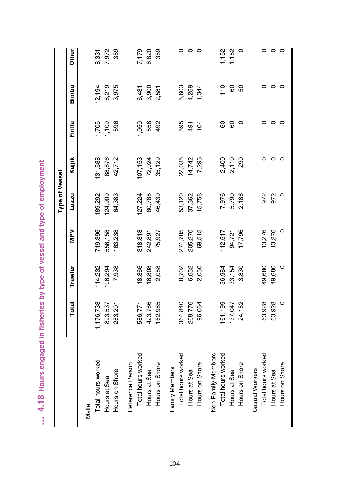|                    |           |         |         | <b>Type of Vessel</b> |                |         |         |         |
|--------------------|-----------|---------|---------|-----------------------|----------------|---------|---------|---------|
|                    | Total     | Trawler | Ney     | Luzzu                 | Kajjik         | Firilla | Bimbu   | Other   |
| Malta              |           |         |         |                       |                |         |         |         |
| Total hours worked | 1,176,738 | 114,232 | 719,396 | 189,292               | 31,588         | 1,705   | 12,194  | 8,331   |
| Hours at Sea       | 893,537   | 106,294 | 556,158 | 24,909                | 88,876         | 1,109   | 8,219   | 7,972   |
| Hours on Shore     | 283,201   | 7,938   | 63,238  | 64,383                | 42,712         | 596     | 3,975   | 359     |
| Reference Person   |           |         |         |                       |                |         |         |         |
| Total hours worked | 586,771   | 18,866  | 318,818 | 27,224                | 07,153         | 090     | 6,481   | 7,179   |
| Hours at Sea       | 423,786   | 16,808  | 242,891 | 80,785                | 72,024         | 558     | 3,900   | 6,820   |
| Hours on Shore     | 62,985    | 2,058   | 75,927  | 46,439                | 35,129         | 492     | 2,581   | 359     |
| Family Members     |           |         |         |                       |                |         |         |         |
| Total hours worked | 364,840   | 8,702   | 274,785 | 53,120                | 22,035         | 595     | 5,603   |         |
| Hours at Sea       | 268,776   | 6,652   | 205,270 | 37,362                | 14,742         | 491     | 4,259   | 0       |
| Hours on Shore     | 96,064    | 2,050   | 69,515  | 15,758                | 7,293          | 104     | 1,344   | $\circ$ |
| Non Family Members |           |         |         |                       |                |         |         |         |
| Total hours worked | 61,199    | 36,984  | 112,517 | 7,976                 |                | 8       | 110     | 1,152   |
| Hours at Sea       | 137,047   | 33,154  | 94,721  | 5,790                 | 2,400<br>2,110 | 8       | 60      | 1,152   |
| Hours on Shore     | 24,152    | 3,830   | 17,796  | 2,186                 | 290            | 0       | 50      | $\circ$ |
| Casual Workers     |           |         |         |                       |                |         |         |         |
| Total hours worked | 63,928    | 49,680  | 13,276  | 972                   |                |         |         |         |
| Hours at Sea       | 63,928    | 49,680  | 13,276  | 972                   |                | $\circ$ | $\circ$ | $\circ$ |
| Hours on Shore     | 0         | $\circ$ | $\circ$ | $\circ$               | 0              | $\circ$ | $\circ$ | $\circ$ |
|                    |           |         |         |                       |                |         |         |         |

... 4.18 Hours engaged in fisheries by type of vessel and type of employment **… 4.18 Hours engaged in fisheries by type of vessel and type of employment**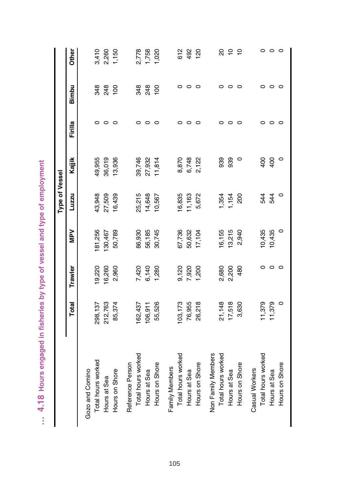|                    |         |         |         | <b>Type of Vessel</b> |         |         |         |                |
|--------------------|---------|---------|---------|-----------------------|---------|---------|---------|----------------|
|                    | Total   | Trawler | NPV     | Luzzu                 | Kajjik  | Firilla | Bimbu   | Other          |
| Gozo and Comino    |         |         |         |                       |         |         |         |                |
| Total hours worked | 298,137 | 19,220  | 81,256  | 43,948                | 49,955  | 0       | 348     | 3,410          |
| Hours at Sea       | 212,763 | 16,260  | 130,467 | 27,509                | 36,019  | $\circ$ | 248     | 2,260          |
| Hours on Shore     | 85,374  | 2,960   | 50,789  | 16,439                | 13,936  | $\circ$ | 100     | 1,150          |
| Reference Person   |         |         |         |                       |         |         |         |                |
| Total hours worked | 62,437  | 7,420   | 86,930  | 25,215                | 39,746  | o       | 348     | 2,778          |
| Hours at Sea       | 106,911 | 6,140   | 56,185  | 14,648                | 27,932  | $\circ$ | 248     | 1,758          |
| Hours on Shore     | 55,526  | 1,280   | 30,745  | 10,567                | 11,814  | o       | 100     | 1,020          |
| Family Members     |         |         |         |                       |         |         |         |                |
| Total hours worked | 103,173 | 9,120   | 67,736  | 16,835                | 8,870   | ○       |         | 612            |
| Hours at Sea       | 76,955  | 7,920   | 50,632  | 11,163                | 6,748   | $\circ$ | $\circ$ | 492            |
| Hours on Shore     | 26,218  | 200     | 17,104  | 5,672                 | 2,122   | 0       | 0       | 120            |
| Non Family Members |         |         |         |                       |         |         |         |                |
| Total hours worked | 21,148  | 2,680   | 16,155  | 1,354                 | 939     | 0       | 0       | g              |
| Hours at Sea       | 17,518  | 2,200   | 13,215  | 1,154                 | 939     | $\circ$ | 0       | $\frac{1}{2}$  |
| Hours on Shore     | 3,630   | 480     | 2,940   | 200                   | $\circ$ | 0       | O       | $\overline{C}$ |
| Casual Workers     |         |         |         |                       |         |         |         |                |
| Total hours worked | 11,379  |         | 10,435  | 544                   | 400     | 0       |         |                |
| Hours at Sea       | 11,379  | $\circ$ | 10,435  | 544                   | 400     | ○       | O       | $\circ$        |
| Hours on Shore     | $\circ$ | $\circ$ | $\circ$ | $\circ$               | $\circ$ | $\circ$ | $\circ$ | $\circ$        |
|                    |         |         |         |                       |         |         |         |                |

... 4.18 Hours engaged in fisheries by type of vessel and type of employment **… 4.18 Hours engaged in fisheries by type of vessel and type of employment**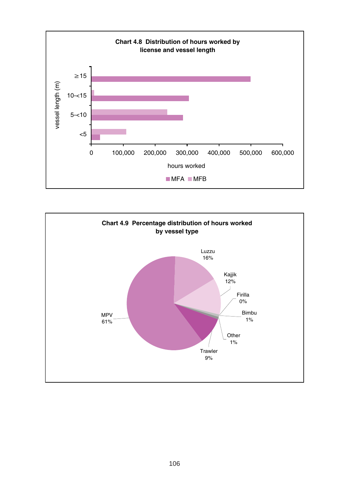

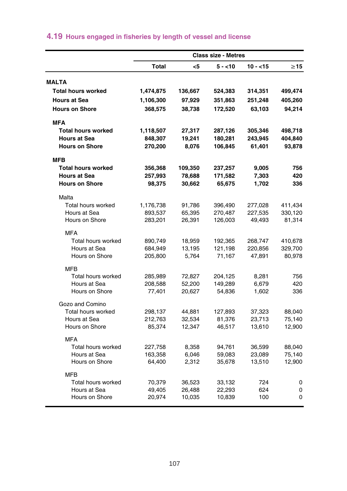|                           |           |         | <b>Class size - Metres</b> |           |           |
|---------------------------|-----------|---------|----------------------------|-----------|-----------|
|                           | Total     | <5      | $5 - 10$                   | $10 - 15$ | $\geq$ 15 |
| <b>MALTA</b>              |           |         |                            |           |           |
| Total hours worked        | 1,474,875 | 136,667 | 524,383                    | 314,351   | 499,474   |
| <b>Hours at Sea</b>       | 1,106,300 | 97,929  | 351,863                    | 251,248   | 405,260   |
| <b>Hours on Shore</b>     | 368,575   | 38,738  | 172,520                    | 63,103    | 94,214    |
| <b>MFA</b>                |           |         |                            |           |           |
| <b>Total hours worked</b> | 1,118,507 | 27,317  | 287,126                    | 305,346   | 498,718   |
| <b>Hours at Sea</b>       | 848,307   | 19,241  | 180,281                    | 243,945   | 404,840   |
| <b>Hours on Shore</b>     | 270,200   | 8,076   | 106,845                    | 61,401    | 93,878    |
| <b>MFB</b>                |           |         |                            |           |           |
| <b>Total hours worked</b> | 356,368   | 109,350 | 237,257                    | 9,005     | 756       |
| <b>Hours at Sea</b>       | 257,993   | 78,688  | 171,582                    | 7,303     | 420       |
| <b>Hours on Shore</b>     | 98,375    | 30,662  | 65,675                     | 1,702     | 336       |
| Malta                     |           |         |                            |           |           |
| Total hours worked        | 1,176,738 | 91,786  | 396,490                    | 277,028   | 411,434   |
| Hours at Sea              | 893,537   | 65,395  | 270,487                    | 227,535   | 330,120   |
| Hours on Shore            | 283,201   | 26,391  | 126,003                    | 49,493    | 81,314    |
| <b>MFA</b>                |           |         |                            |           |           |
| Total hours worked        | 890,749   | 18,959  | 192,365                    | 268,747   | 410,678   |
| Hours at Sea              | 684,949   | 13,195  | 121,198                    | 220,856   | 329,700   |
| Hours on Shore            | 205,800   | 5,764   | 71,167                     | 47,891    | 80,978    |
| <b>MFB</b>                |           |         |                            |           |           |
| Total hours worked        | 285,989   | 72,827  | 204,125                    | 8,281     | 756       |
| Hours at Sea              | 208,588   | 52,200  | 149,289                    | 6,679     | 420       |
| Hours on Shore            | 77,401    | 20,627  | 54,836                     | 1,602     | 336       |
| Gozo and Comino           |           |         |                            |           |           |
| Total hours worked        | 298,137   | 44,881  | 127,893                    | 37,323    | 88,040    |
| Hours at Sea              | 212,763   | 32,534  | 81,376                     | 23,713    | 75,140    |
| Hours on Shore            | 85,374    | 12,347  | 46,517                     | 13,610    | 12,900    |
| <b>MFA</b>                |           |         |                            |           |           |
| Total hours worked        | 227,758   | 8,358   | 94,761                     | 36,599    | 88,040    |
| Hours at Sea              | 163,358   | 6,046   | 59,083                     | 23,089    | 75,140    |
| Hours on Shore            | 64,400    | 2,312   | 35,678                     | 13,510    | 12,900    |
| <b>MFB</b>                |           |         |                            |           |           |
| Total hours worked        | 70,379    | 36,523  | 33,132                     | 724       | 0         |
| Hours at Sea              | 49,405    | 26,488  | 22,293                     | 624       | 0         |
| Hours on Shore            | 20,974    | 10,035  | 10,839                     | 100       | 0         |

#### **4.19 Hours engaged in fisheries by length of vessel and license**

Hours on Shore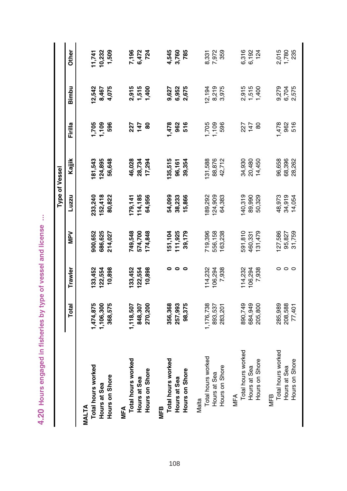| i               |
|-----------------|
| j               |
|                 |
|                 |
|                 |
|                 |
|                 |
| ï<br>i<br>١     |
|                 |
| <b>CONGRESS</b> |
|                 |
| j               |
|                 |

|                    |                    |         |                    |                            | <b>Type of Vessel</b>      |            |                         |                           |
|--------------------|--------------------|---------|--------------------|----------------------------|----------------------------|------------|-------------------------|---------------------------|
|                    | Total              | Trawler | NeN                | Luzzu                      | Kajjik                     | Firilla    | Bimbu                   | Other                     |
| MALTA              |                    |         |                    |                            |                            |            |                         |                           |
| Total hours worked | ,474,875           | 133,452 | 900,652            | 233,240                    | 81,543                     | ,705       | 2,542                   |                           |
| Hours at Sea       | 1,106,300          | 122,554 | 686,625            | 152,418                    | 124,895                    | 1,109      | 8,467                   |                           |
| Hours on Shore     | 368,575            | 10,898  | 214,027            | 80,822                     | 56,648                     | 596        | 4,075                   | 11,741<br>10,232<br>1,509 |
| <b>MFA</b>         |                    |         |                    |                            |                            |            |                         |                           |
| Total hours worked | ,118,507           | 133,452 | 749,548            | 79,141                     | 46,028                     | 227        |                         |                           |
| Hours at Sea       | 848,307            | 122,554 | 574,700            | 114,185                    | 28,734<br>17,294           | $747$ 80   | 2,915<br>1,515<br>1,400 | 7,196<br>6,472<br>724     |
| Hours on Shore     | 270,200            | 10,898  | 174,848            | 64,956                     |                            |            |                         |                           |
| MFB                |                    |         |                    |                            |                            |            |                         |                           |
| Total hours worked | 356,368            |         |                    | 54,099                     | 135,515                    | 478        |                         |                           |
| Hours at Sea       | 257,993            |         | 151,104<br>111,925 | 38,233                     | 96,161                     | 962        | 9,627<br>6,952<br>2,675 | 4,545<br>3,760            |
| Hours on Shore     | 98,375             | ۰       | 39,179             | 15,866                     | 39,354                     | 516        |                         | 785                       |
| Malta              |                    |         |                    |                            |                            |            |                         |                           |
| Total hours worked | 1,176,738          | 14,232  | 719,396            | 89,292                     | 31,588                     |            | 2,194                   |                           |
| Hours at Sea       | 893,537            | 106,294 | 556,158            | 124,909                    | 88,876<br>42,712           | 1,705      | 8,219<br>3,975          | 8,331<br>7,972<br>359     |
| Hours on Shore     | 283,201            | 7,938   | 163,238            | 64,383                     |                            | 596        |                         |                           |
| <b>MFA</b>         |                    |         |                    |                            |                            |            |                         |                           |
| Total hours worked |                    | 114,232 | 591,810            | 40,319                     | 34,930<br>20,480           |            |                         |                           |
| Hours at Sea       | 890,749<br>684,949 | 106,294 | 460,331            | 89,990                     |                            | 227<br>147 | 2,915<br>1,516<br>1,400 | 6,316<br>6,192<br>124     |
| Hours on Shore     | 205,800            | 7,938   | 131,479            | 50,329                     | 14,450                     | 8          |                         |                           |
| MFB                |                    |         |                    |                            |                            |            |                         |                           |
| Total hours worked | 285,989<br>208,588 |         | 127,586<br>95,827  |                            |                            | ,478       |                         |                           |
| Hours at Sea       |                    | $\circ$ |                    | 48,973<br>34,919<br>14,054 | 96,658<br>68,396<br>28,262 | 962<br>516 | 9,279<br>6,704<br>2,575 | 2,015<br>1,780<br>235     |
| Hours on Shore     | 77,401             | $\circ$ | 31,759             |                            |                            |            |                         |                           |
|                    |                    |         |                    |                            |                            |            |                         |                           |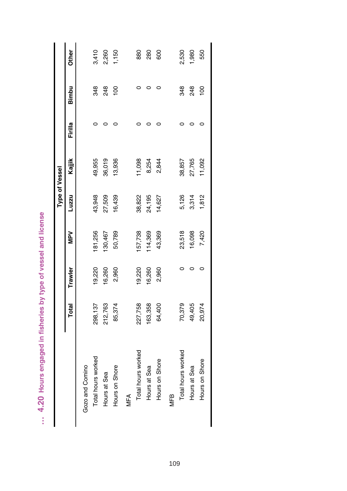| J<br>.<br>افغانا<br>١<br>$\mathbf{r}$<br>5 |
|--------------------------------------------|
| ļ<br>pe of vess                            |
| į<br>ï<br>i                                |
| $\frac{2}{3}$<br>l                         |
| ĺ<br><b>CONTRACTOR</b><br>ï                |
| ï<br>)<br>)<br>)<br>Ï<br>i                 |
| 4.20                                       |
| I                                          |

| 19,220<br>16,260<br>Trawler<br>212,763<br>Total<br>298,137 | Luzzu<br>NdW      | Kajjik |         |                            |                |
|------------------------------------------------------------|-------------------|--------|---------|----------------------------|----------------|
|                                                            |                   |        | Firilla | Bimbu                      | <b>Other</b>   |
|                                                            |                   |        |         |                            |                |
|                                                            | 43,948<br>181,256 | 49,955 |         | 348                        | 3,410          |
|                                                            | 27,509<br>130,467 | 36,019 |         | 248                        |                |
| 2,960<br>85,374                                            | 16,439<br>50,789  | 13,936 |         | $\frac{8}{2}$              | 2,260<br>1,150 |
|                                                            |                   |        |         |                            |                |
| 19,220<br>227,758                                          | 38,822<br>57,738  | 11,098 |         |                            | 880            |
| 16,260<br>163,358                                          | 24,195<br>114,369 | 8,254  |         |                            | 280            |
| 2,960<br>64,400                                            | 14,627<br>43,369  | 2,844  |         |                            | 600            |
|                                                            |                   |        |         |                            |                |
| 70,379                                                     | 23,518            | 5,126  |         | 348                        | 2,530          |
| 49,405                                                     | 16,098            | 3,314  |         | 248                        | 1,980          |
| 20,974                                                     | 7,420             | 1,812  |         | $\frac{0}{2}$              | 550            |
|                                                            |                   |        |         | 27,765<br>11,092<br>38,857 |                |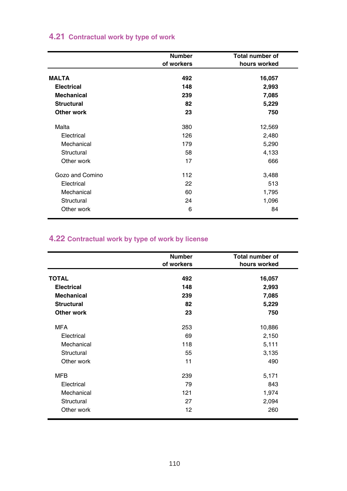# **4.21 Contractual work by type of work**

|                   | <b>Number</b><br>of workers | Total number of<br>hours worked |
|-------------------|-----------------------------|---------------------------------|
| <b>MALTA</b>      | 492                         | 16,057                          |
| <b>Electrical</b> | 148                         | 2,993                           |
| <b>Mechanical</b> | 239                         | 7,085                           |
| <b>Structural</b> | 82                          | 5,229                           |
| Other work        | 23                          | 750                             |
| Malta             | 380                         | 12,569                          |
| Electrical        | 126                         | 2,480                           |
| Mechanical        | 179                         | 5,290                           |
| Structural        | 58                          | 4,133                           |
| Other work        | 17                          | 666                             |
| Gozo and Comino   | 112                         | 3,488                           |
| Electrical        | 22                          | 513                             |
| Mechanical        | 60                          | 1,795                           |
| Structural        | 24                          | 1,096                           |
| Other work        | 6                           | 84                              |

# **4.22 Contractual work by type of work by license**

|                   | <b>Number</b> | <b>Total number of</b> |
|-------------------|---------------|------------------------|
|                   | of workers    | hours worked           |
| <b>TOTAL</b>      | 492           | 16,057                 |
| <b>Electrical</b> | 148           | 2,993                  |
| <b>Mechanical</b> | 239           | 7,085                  |
| <b>Structural</b> | 82            | 5,229                  |
| Other work        | 23            | 750                    |
| <b>MFA</b>        | 253           | 10,886                 |
| Electrical        | 69            | 2,150                  |
| Mechanical        | 118           | 5,111                  |
| Structural        | 55            | 3,135                  |
| Other work        | 11            | 490                    |
| <b>MFB</b>        | 239           | 5,171                  |
| Electrical        | 79            | 843                    |
| Mechanical        | 121           | 1,974                  |
| Structural        | 27            | 2,094                  |
| Other work        | 12            | 260                    |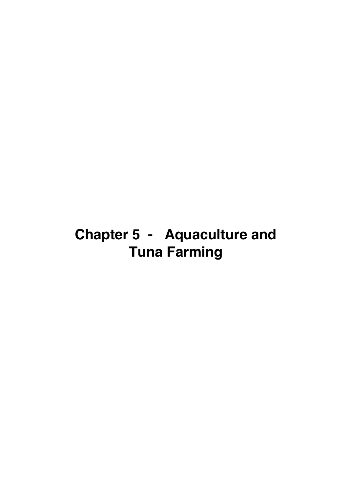# **Chapter 5 - Aquaculture and Tuna Farming**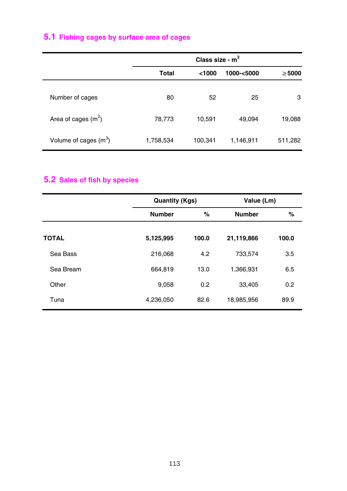# **5.1 Fishing cages by surface area of cages**

|                         |           | Class size - $m2$ |            |             |
|-------------------------|-----------|-------------------|------------|-------------|
|                         | Total     | $<$ 1000          | 1000-<5000 | $\geq 5000$ |
|                         |           |                   |            |             |
| Number of cages         | 80        | 52                | 25         | 3           |
| Area of cages $(m2)$    | 78,773    | 10,591            | 49,094     | 19,088      |
| Volume of cages $(m^3)$ | 1,758,534 | 100,341           | 1,146,911  | 511,282     |

# **5.2 Sales of fish by species**

|              | <b>Quantity (Kgs)</b> |       | Value (Lm)    |       |
|--------------|-----------------------|-------|---------------|-------|
|              | <b>Number</b>         | %     | <b>Number</b> | %     |
| <b>TOTAL</b> | 5,125,995             | 100.0 | 21,119,866    | 100.0 |
| Sea Bass     | 216,068               | 4.2   | 733,574       | 3.5   |
| Sea Bream    | 664,819               | 13.0  | 1,366,931     | 6.5   |
| Other        | 9,058                 | 0.2   | 33,405        | 0.2   |
| Tuna         | 4,236,050             | 82.6  | 18,985,956    | 89.9  |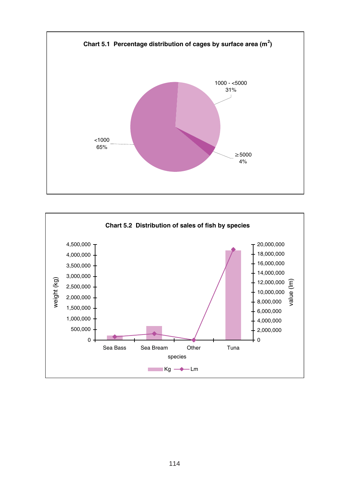

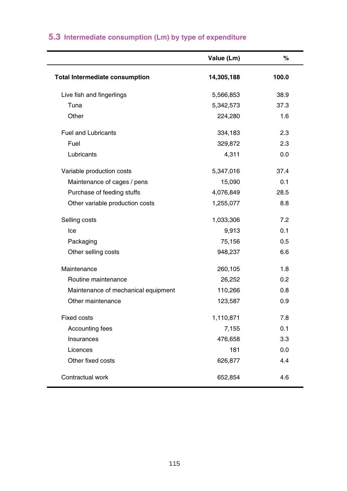|                                       | Value (Lm) | %     |
|---------------------------------------|------------|-------|
| <b>Total Intermediate consumption</b> | 14,305,188 | 100.0 |
| Live fish and fingerlings             | 5,566,853  | 38.9  |
| Tuna                                  | 5,342,573  | 37.3  |
| Other                                 | 224,280    | 1.6   |
| <b>Fuel and Lubricants</b>            | 334,183    | 2.3   |
| Fuel                                  | 329,872    | 2.3   |
| Lubricants                            | 4,311      | 0.0   |
| Variable production costs             | 5,347,016  | 37.4  |
| Maintenance of cages / pens           | 15,090     | 0.1   |
| Purchase of feeding stuffs            | 4,076,849  | 28.5  |
| Other variable production costs       | 1,255,077  | 8.8   |
| Selling costs                         | 1,033,306  | 7.2   |
| Ice                                   | 9,913      | 0.1   |
| Packaging                             | 75,156     | 0.5   |
| Other selling costs                   | 948,237    | 6.6   |
| Maintenance                           | 260,105    | 1.8   |
| Routine maintenance                   | 26,252     | 0.2   |
| Maintenance of mechanical equipment   | 110,266    | 0.8   |
| Other maintenance                     | 123,587    | 0.9   |
| <b>Fixed costs</b>                    | 1,110,871  | 7.8   |
| Accounting fees                       | 7,155      | 0.1   |
| Insurances                            | 476,658    | 3.3   |
| Licences                              | 181        | 0.0   |
| Other fixed costs                     | 626,877    | 4.4   |
| Contractual work                      | 652,854    | 4.6   |
|                                       |            |       |

# **5.3 Intermediate consumption (Lm) by type of expenditure**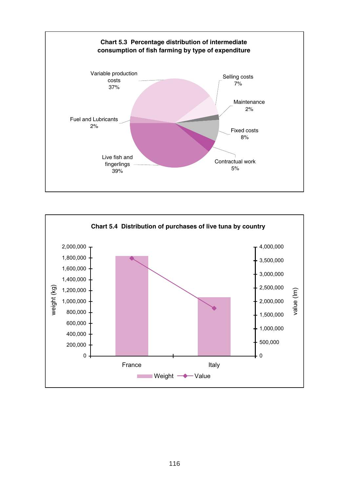

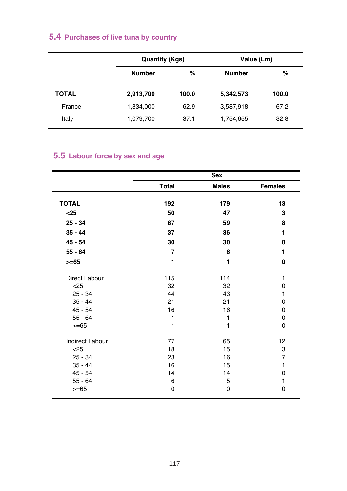# **5.4 Purchases of live tuna by country**

|              | <b>Quantity (Kgs)</b> |       | Value (Lm)    |       |
|--------------|-----------------------|-------|---------------|-------|
|              | <b>Number</b>         | %     | <b>Number</b> | %     |
| <b>TOTAL</b> | 2,913,700             | 100.0 | 5,342,573     | 100.0 |
| France       | 1,834,000             | 62.9  | 3,587,918     | 67.2  |
| Italy        | 1,079,700             | 37.1  | 1,754,655     | 32.8  |

# **5.5 Labour force by sex and age**

|                        |                | <b>Sex</b>   |                |
|------------------------|----------------|--------------|----------------|
|                        | Total          | <b>Males</b> | <b>Females</b> |
| <b>TOTAL</b>           | 192            | 179          | 13             |
| $25$                   | 50             | 47           | 3              |
|                        |                |              |                |
| $25 - 34$              | 67             | 59           | 8              |
| $35 - 44$              | 37             | 36           | 1              |
| $45 - 54$              | 30             | 30           | 0              |
| $55 - 64$              | $\overline{7}$ | 6            | 1              |
| $>= 65$                | 1              | 1            | 0              |
| <b>Direct Labour</b>   | 115            | 114          | 1              |
| $25$                   | 32             | 32           | 0              |
| $25 - 34$              | 44             | 43           | 1              |
| $35 - 44$              | 21             | 21           | 0              |
| $45 - 54$              | 16             | 16           | 0              |
| $55 - 64$              | 1              | 1            | 0              |
| $>= 65$                | 1              | 1            | 0              |
| <b>Indirect Labour</b> | 77             | 65           | 12             |
| $25$                   | 18             | 15           | 3              |
| $25 - 34$              | 23             | 16           | 7              |
| $35 - 44$              | 16             | 15           | $\mathbf{1}$   |
| $45 - 54$              | 14             | 14           | 0              |
| $55 - 64$              | 6              | 5            | 1              |
| $>= 65$                | 0              | 0            | 0              |
|                        |                |              |                |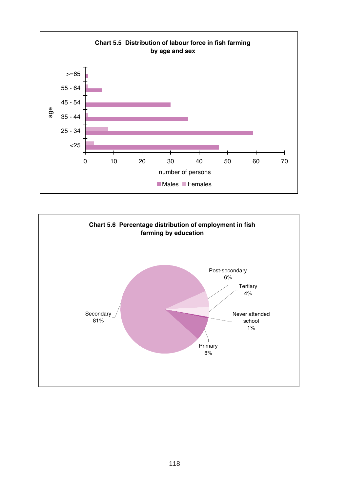

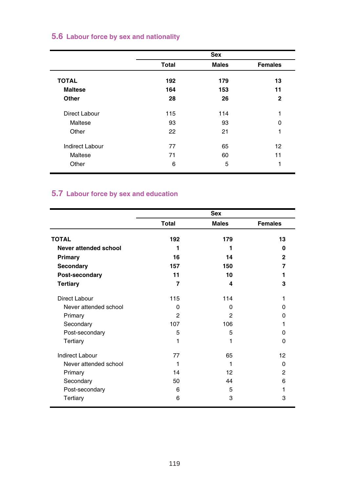#### **5.6 Labour force by sex and nationality**

|                 |              | Sex          |                |
|-----------------|--------------|--------------|----------------|
|                 | <b>Total</b> | <b>Males</b> | <b>Females</b> |
| <b>TOTAL</b>    | 192          | 179          | 13             |
| <b>Maltese</b>  | 164          | 153          | 11             |
| Other           | 28           | 26           | 2              |
| Direct Labour   | 115          | 114          | 1              |
| Maltese         | 93           | 93           | $\Omega$       |
| Other           | 22           | 21           | 1              |
| Indirect Labour | 77           | 65           | 12             |
| Maltese         | 71           | 60           | 11             |
| Other           | 6            | 5            | 1              |

# **5.7 Labour force by sex and education**

|                        | Sex            |                |                |  |  |
|------------------------|----------------|----------------|----------------|--|--|
|                        | Total          | <b>Males</b>   | <b>Females</b> |  |  |
| <b>TOTAL</b>           | 192            | 179            | 13             |  |  |
| Never attended school  | 1              | 1              | 0              |  |  |
| Primary                | 16             | 14             | $\overline{2}$ |  |  |
| Secondary              | 157            | 150            | 7              |  |  |
| Post-secondary         | 11             | 10             | 1              |  |  |
| <b>Tertiary</b>        | $\overline{7}$ | 4              | 3              |  |  |
| Direct Labour          | 115            | 114            | 1              |  |  |
| Never attended school  | $\Omega$       | $\Omega$       | O              |  |  |
| Primary                | $\mathfrak{p}$ | $\mathfrak{p}$ | O              |  |  |
| Secondary              | 107            | 106            |                |  |  |
| Post-secondary         | 5              | 5              | 0              |  |  |
| Tertiary               | 1              | 1              | $\Omega$       |  |  |
| <b>Indirect Labour</b> | 77             | 65             | 12             |  |  |
| Never attended school  | 1              | 1              | $\Omega$       |  |  |
| Primary                | 14             | 12             | 2              |  |  |
| Secondary              | 50             | 44             | 6              |  |  |
| Post-secondary         | 6              | 5              | 1              |  |  |
| Tertiary               | 6              | 3              | 3              |  |  |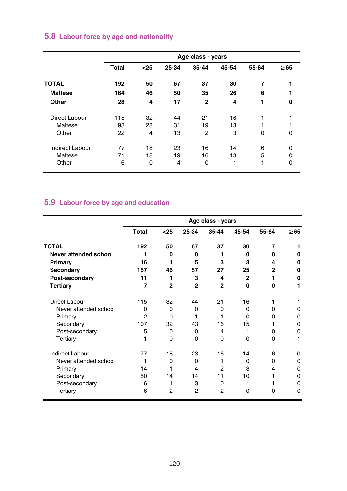|                 | Age class - years |             |       |              |       |          |           |  |
|-----------------|-------------------|-------------|-------|--------------|-------|----------|-----------|--|
|                 | <b>Total</b>      | $25$        | 25-34 | 35-44        | 45-54 | 55-64    | $\geq 65$ |  |
| <b>TOTAL</b>    | 192               | 50          | 67    | 37           | 30    | 7        |           |  |
| <b>Maltese</b>  | 164               | 46          | 50    | 35           | 26    | 6        |           |  |
| Other           | 28                | 4           | 17    | $\mathbf{2}$ | 4     | 1        | 0         |  |
| Direct Labour   | 115               | 32          | 44    | 21           | 16    |          |           |  |
| Maltese         | 93                | 28          | 31    | 19           | 13    |          |           |  |
| Other           | 22                | 4           | 13    | 2            | 3     | $\Omega$ | 0         |  |
| Indirect Labour | 77                | 18          | 23    | 16           | 14    | 6        | 0         |  |
| Maltese         | 71                | 18          | 19    | 16           | 13    | 5        | 0         |  |
| Other           | 6                 | $\mathbf 0$ | 4     | 0            | 1     | 1        | 0         |  |

# **5.8 Labour force by age and nationality**

# **5.9 Labour force by age and education**

|                        | Age class - years |                |                |                |                |          |           |
|------------------------|-------------------|----------------|----------------|----------------|----------------|----------|-----------|
|                        | Total             | $25$           | 25-34          | 35-44          | 45-54          | 55-64    | $\geq 65$ |
| <b>TOTAL</b>           | 192               | 50             | 67             | 37             | 30             | 7        |           |
| Never attended school  | 1                 | O              | O              |                | O              | O        | 0         |
| Primary                | 16                | 1              | 5              | 3              | 3              | 4        | O         |
| Secondary              | 157               | 46             | 57             | 27             | 25             | 2        | 0         |
| Post-secondary         | 11                | 1              | 3              | 4              | $\overline{2}$ | 1        | O         |
| <b>Tertiary</b>        | $\overline{7}$    | $\overline{2}$ | $\overline{2}$ | $\overline{2}$ | O              | Û        |           |
| Direct Labour          | 115               | 32             | 44             | 21             | 16             | 1        |           |
| Never attended school  | $\Omega$          | O              | 0              | 0              | O              | O        | 0         |
| Primary                | 2                 | O              | 1              |                | $\Omega$       | O        | 0         |
| Secondary              | 107               | 32             | 43             | 16             | 15             | 1        | 0         |
| Post-secondary         | 5                 | $\Omega$       | $\Omega$       | 4              | 1              | O        | 0         |
| Tertiary               |                   | $\Omega$       | $\Omega$       | $\Omega$       | $\Omega$       | $\Omega$ | 1         |
| <b>Indirect Labour</b> | 77                | 18             | 23             | 16             | 14             | 6        | 0         |
| Never attended school  | 1                 | 0              | $\Omega$       |                | $\Omega$       | 0        | 0         |
| Primary                | 14                | 1              | 4              | $\overline{2}$ | 3              | 4        | 0         |
| Secondary              | 50                | 14             | 14             | 11             | 10             | 1        | 0         |
| Post-secondary         | 6                 | 1              | 3              | 0              |                |          | O         |
| Tertiary               | 6                 | 2              | $\overline{2}$ | $\overline{2}$ | O              | O        | O         |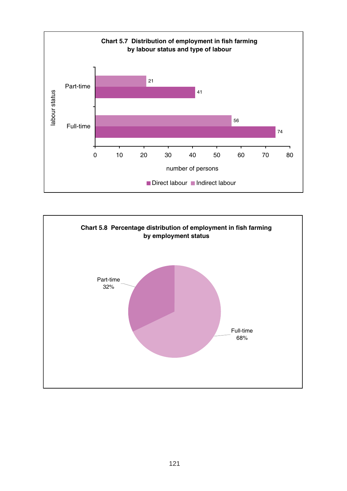

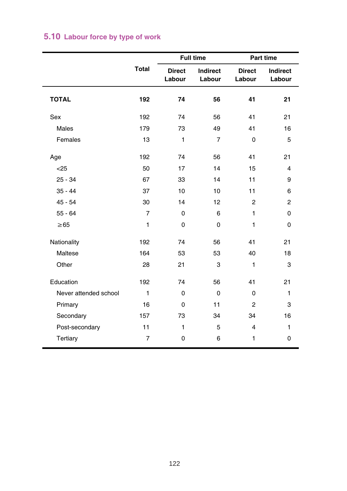|                       |                |                         | <b>Full time</b>   | Part time               |                    |  |  |
|-----------------------|----------------|-------------------------|--------------------|-------------------------|--------------------|--|--|
|                       | <b>Total</b>   | <b>Direct</b><br>Labour | Indirect<br>Labour | <b>Direct</b><br>Labour | Indirect<br>Labour |  |  |
| <b>TOTAL</b>          | 192            | 74                      | 56                 | 41                      | 21                 |  |  |
| Sex                   | 192            | 74                      | 56                 | 41                      | 21                 |  |  |
| Males                 | 179            | 73                      | 49                 | 41                      | 16                 |  |  |
| Females               | 13             | 1                       | $\overline{7}$     | $\mathbf 0$             | 5                  |  |  |
| Age                   | 192            | 74                      | 56                 | 41                      | 21                 |  |  |
| $25$                  | 50             | 17                      | 14                 | 15                      | 4                  |  |  |
| $25 - 34$             | 67             | 33                      | 14                 | 11                      | 9                  |  |  |
| $35 - 44$             | 37             | 10                      | 10                 | 11                      | 6                  |  |  |
| $45 - 54$             | 30             | 14                      | 12                 | $\overline{2}$          | 2                  |  |  |
| $55 - 64$             | $\overline{7}$ | $\Omega$                | 6                  | $\mathbf{1}$            | 0                  |  |  |
| $\geq 65$             | $\mathbf{1}$   | $\mathbf 0$             | $\mathbf 0$        | $\mathbf{1}$            | 0                  |  |  |
| Nationality           | 192            | 74                      | 56                 | 41                      | 21                 |  |  |
| Maltese               | 164            | 53                      | 53                 | 40                      | 18                 |  |  |
| Other                 | 28             | 21                      | 3                  | $\mathbf{1}$            | 3                  |  |  |
| Education             | 192            | 74                      | 56                 | 41                      | 21                 |  |  |
| Never attended school | $\mathbf{1}$   | $\Omega$                | $\Omega$           | 0                       | $\mathbf{1}$       |  |  |
| Primary               | 16             | $\mathbf 0$             | 11                 | $\overline{2}$          | 3                  |  |  |
| Secondary             | 157            | 73                      | 34                 | 34                      | 16                 |  |  |
| Post-secondary        | 11             | $\mathbf{1}$            | 5                  | $\overline{4}$          | 1                  |  |  |
| Tertiary              | $\overline{7}$ | $\mathbf 0$             | 6                  | $\mathbf{1}$            | 0                  |  |  |

# **5.10 Labour force by type of work**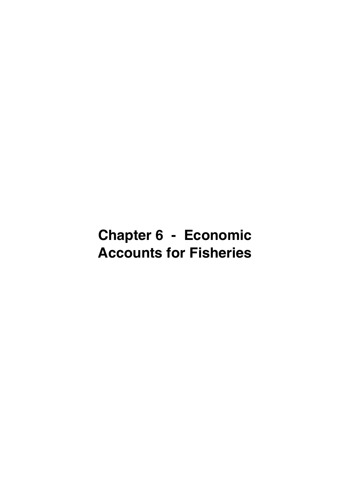# **Chapter 6 - Economic Accounts for Fisheries**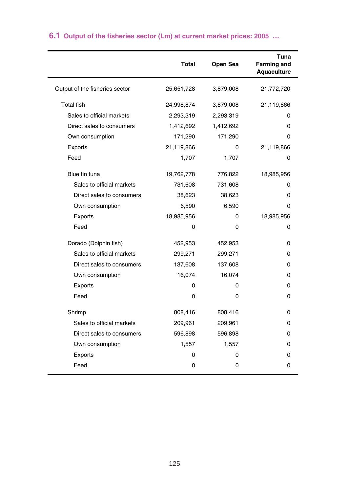|                                | <b>Total</b> | Open Sea  | Tuna<br><b>Farming and</b><br>Aquaculture |
|--------------------------------|--------------|-----------|-------------------------------------------|
| Output of the fisheries sector | 25,651,728   | 3,879,008 | 21,772,720                                |
| <b>Total fish</b>              | 24,998,874   | 3,879,008 | 21,119,866                                |
| Sales to official markets      | 2,293,319    | 2,293,319 | 0                                         |
| Direct sales to consumers      | 1,412,692    | 1,412,692 | 0                                         |
| Own consumption                | 171,290      | 171,290   | 0                                         |
| Exports                        | 21,119,866   | O         | 21,119,866                                |
| Feed                           | 1,707        | 1,707     | 0                                         |
| Blue fin tuna                  | 19,762,778   | 776,822   | 18,985,956                                |
| Sales to official markets      | 731,608      | 731,608   | 0                                         |
| Direct sales to consumers      | 38,623       | 38,623    | 0                                         |
| Own consumption                | 6,590        | 6,590     | 0                                         |
| Exports                        | 18,985,956   | 0         | 18,985,956                                |
| Feed                           | 0            | 0         | 0                                         |
| Dorado (Dolphin fish)          | 452,953      | 452,953   | 0                                         |
| Sales to official markets      | 299,271      | 299,271   | 0                                         |
| Direct sales to consumers      | 137,608      | 137,608   | 0                                         |
| Own consumption                | 16,074       | 16,074    | 0                                         |
| Exports                        | 0            | 0         | 0                                         |
| Feed                           | 0            | 0         | $\Omega$                                  |
| Shrimp                         | 808,416      | 808,416   | 0                                         |
| Sales to official markets      | 209,961      | 209,961   | 0                                         |
| Direct sales to consumers      | 596,898      | 596,898   | 0                                         |
| Own consumption                | 1,557        | 1,557     | 0                                         |
| Exports                        | 0            | 0         | 0                                         |
| Feed                           | 0            | 0         | $\Omega$                                  |

# **6.1 Output of the fisheries sector (Lm) at current market prices: 2005 …**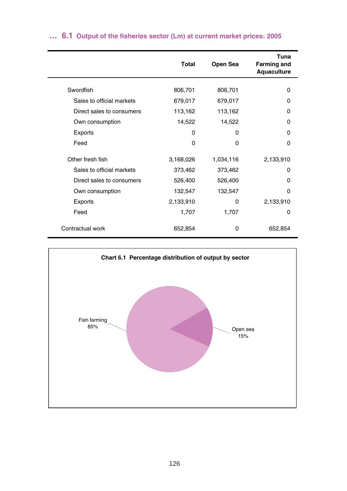|                           | Total     | Open Sea     | Tuna<br><b>Farming and</b><br>Aquaculture |
|---------------------------|-----------|--------------|-------------------------------------------|
| Swordfish                 |           |              |                                           |
|                           | 806,701   | 806,701      | 0                                         |
| Sales to official markets | 679,017   | 679,017      | 0                                         |
| Direct sales to consumers | 113,162   | 113,162      | O                                         |
| Own consumption           | 14,522    | 14,522       | O                                         |
| Exports                   | $\Omega$  | <sup>0</sup> | U                                         |
| Feed                      | $\Omega$  | 0            | O                                         |
| Other fresh fish          | 3,168,026 | 1,034,116    | 2,133,910                                 |
| Sales to official markets | 373,462   | 373,462      | 0                                         |
| Direct sales to consumers | 526,400   | 526,400      | O                                         |
| Own consumption           | 132,547   | 132,547      | O                                         |
| Exports                   | 2,133,910 | 0            | 2,133,910                                 |
| Feed                      | 1,707     | 1,707        | 0                                         |
| Contractual work          | 652,854   | 0            | 652,854                                   |

# **… 6.1 Output of the fisheries sector (Lm) at current market prices: 2005**

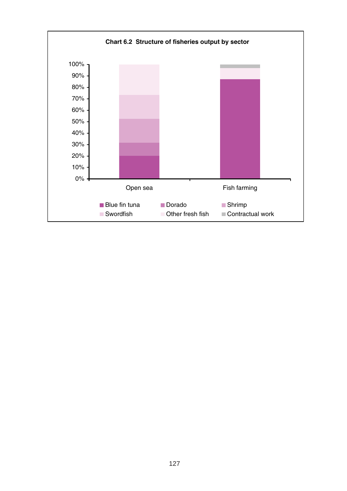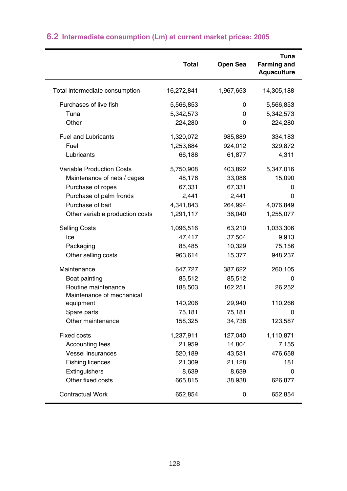|                                                  | <b>Total</b> | Open Sea  | Tuna<br><b>Farming and</b><br>Aquaculture |
|--------------------------------------------------|--------------|-----------|-------------------------------------------|
| Total intermediate consumption                   | 16,272,841   | 1,967,653 | 14,305,188                                |
| Purchases of live fish                           | 5,566,853    | 0         | 5,566,853                                 |
| Tuna                                             | 5,342,573    | 0         | 5,342,573                                 |
| Other                                            | 224,280      | 0         | 224,280                                   |
| <b>Fuel and Lubricants</b>                       | 1,320,072    | 985,889   | 334,183                                   |
| Fuel                                             | 1,253,884    | 924,012   | 329,872                                   |
| Lubricants                                       | 66,188       | 61,877    | 4,311                                     |
| <b>Variable Production Costs</b>                 | 5,750,908    | 403,892   | 5,347,016                                 |
| Maintenance of nets / cages                      | 48,176       | 33,086    | 15,090                                    |
| Purchase of ropes                                | 67,331       | 67,331    | 0                                         |
| Purchase of palm fronds                          | 2,441        | 2,441     | 0                                         |
| Purchase of bait                                 | 4,341,843    | 264,994   | 4,076,849                                 |
| Other variable production costs                  | 1,291,117    | 36,040    | 1,255,077                                 |
| <b>Selling Costs</b>                             | 1,096,516    | 63,210    | 1,033,306                                 |
| lce                                              | 47,417       | 37,504    | 9,913                                     |
| Packaging                                        | 85,485       | 10,329    | 75,156                                    |
| Other selling costs                              | 963,614      | 15,377    | 948,237                                   |
| Maintenance                                      | 647,727      | 387,622   | 260,105                                   |
| Boat painting                                    | 85,512       | 85,512    | 0                                         |
| Routine maintenance<br>Maintenance of mechanical | 188,503      | 162,251   | 26,252                                    |
| equipment                                        | 140,206      | 29,940    | 110,266                                   |
| Spare parts                                      | 75,181       | 75,181    | 0                                         |
| Other maintenance                                | 158,325      | 34,738    | 123,587                                   |
| <b>Fixed costs</b>                               | 1,237,911    | 127,040   | 1,110,871                                 |
| Accounting fees                                  | 21,959       | 14,804    | 7,155                                     |
| <b>Vessel insurances</b>                         | 520,189      | 43,531    | 476,658                                   |
| <b>Fishing licences</b>                          | 21,309       | 21,128    | 181                                       |
| Extinguishers                                    | 8,639        | 8,639     | $\Omega$                                  |
| Other fixed costs                                | 665,815      | 38,938    | 626,877                                   |
| <b>Contractual Work</b>                          | 652,854      | 0         | 652,854                                   |

# **6.2 Intermediate consumption (Lm) at current market prices: 2005**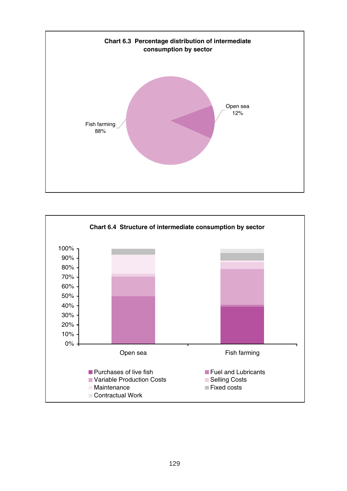

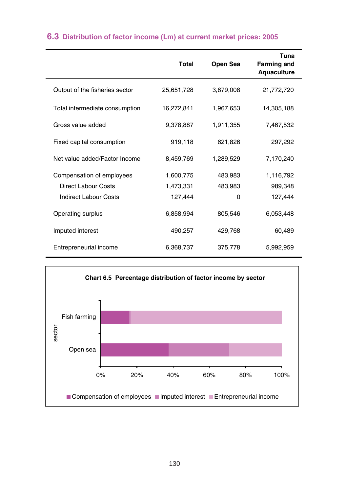|                                | <b>Total</b> | Open Sea  | Tuna<br><b>Farming and</b><br>Aquaculture |
|--------------------------------|--------------|-----------|-------------------------------------------|
| Output of the fisheries sector | 25,651,728   | 3,879,008 | 21,772,720                                |
| Total intermediate consumption | 16,272,841   | 1,967,653 | 14,305,188                                |
| Gross value added              | 9,378,887    | 1,911,355 | 7,467,532                                 |
| Fixed capital consumption      | 919,118      | 621,826   | 297,292                                   |
| Net value added/Factor Income  | 8.459.769    | 1,289,529 | 7,170,240                                 |
| Compensation of employees      | 1,600,775    | 483,983   | 1,116,792                                 |
| <b>Direct Labour Costs</b>     | 1,473,331    | 483,983   | 989,348                                   |
| <b>Indirect Labour Costs</b>   | 127,444      | 0         | 127,444                                   |
| Operating surplus              | 6,858,994    | 805,546   | 6,053,448                                 |
| Imputed interest               | 490,257      | 429,768   | 60,489                                    |
| Entrepreneurial income         | 6,368,737    | 375,778   | 5,992,959                                 |

# **6.3 Distribution of factor income (Lm) at current market prices: 2005**

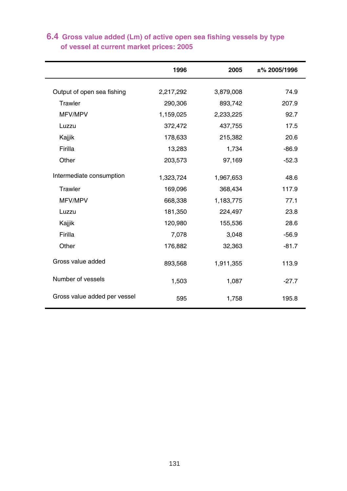|                              | 1996      | 2005      | $±\%$ 2005/1996 |
|------------------------------|-----------|-----------|-----------------|
| Output of open sea fishing   | 2,217,292 | 3,879,008 | 74.9            |
| Trawler                      | 290,306   | 893,742   | 207.9           |
|                              |           |           |                 |
| MFV/MPV                      | 1,159,025 | 2,233,225 | 92.7            |
| Luzzu                        | 372,472   | 437,755   | 17.5            |
| Kajjik                       | 178,633   | 215,382   | 20.6            |
| Firilla                      | 13,283    | 1,734     | $-86.9$         |
| Other                        | 203,573   | 97,169    | $-52.3$         |
| Intermediate consumption     | 1,323,724 | 1,967,653 | 48.6            |
| Trawler                      | 169,096   | 368,434   | 117.9           |
| MFV/MPV                      | 668,338   | 1,183,775 | 77.1            |
| Luzzu                        | 181,350   | 224,497   | 23.8            |
| Kajjik                       | 120,980   | 155,536   | 28.6            |
| Firilla                      | 7,078     | 3,048     | $-56.9$         |
| Other                        | 176,882   | 32,363    | $-81.7$         |
| Gross value added            | 893,568   | 1,911,355 | 113.9           |
| Number of vessels            | 1,503     | 1,087     | $-27.7$         |
| Gross value added per vessel | 595       | 1,758     | 195.8           |

### **of vessel at current market prices: 2005 6.4 Gross value added (Lm) of active open sea fishing vessels by type**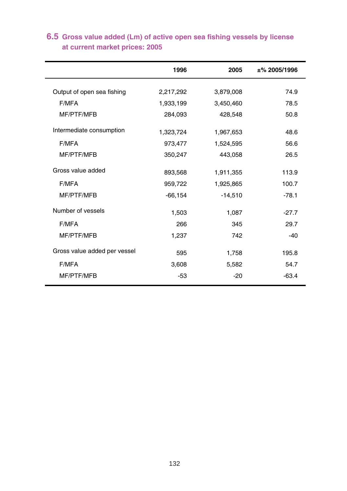|                              | 1996       | 2005      | ±%2005/1996 |
|------------------------------|------------|-----------|-------------|
| Output of open sea fishing   | 2,217,292  | 3,879,008 | 74.9        |
| F/MFA                        | 1,933,199  | 3,450,460 | 78.5        |
| MF/PTF/MFB                   | 284,093    | 428,548   | 50.8        |
| Intermediate consumption     | 1,323,724  | 1,967,653 | 48.6        |
| F/MFA                        | 973,477    | 1,524,595 | 56.6        |
| MF/PTF/MFB                   | 350,247    | 443,058   | 26.5        |
| Gross value added            | 893,568    | 1,911,355 | 113.9       |
| F/MFA                        | 959,722    | 1,925,865 | 100.7       |
| MF/PTF/MFB                   | $-66, 154$ | $-14,510$ | $-78.1$     |
| Number of vessels            | 1,503      | 1,087     | $-27.7$     |
| F/MFA                        | 266        | 345       | 29.7        |
| MF/PTF/MFB                   | 1,237      | 742       | $-40$       |
| Gross value added per vessel | 595        | 1,758     | 195.8       |
| F/MFA                        | 3,608      | 5,582     | 54.7        |
| MF/PTF/MFB                   | $-53$      | $-20$     | $-63.4$     |
|                              |            |           |             |

# **at current market prices: 2005 6.5 Gross value added (Lm) of active open sea fishing vessels by license**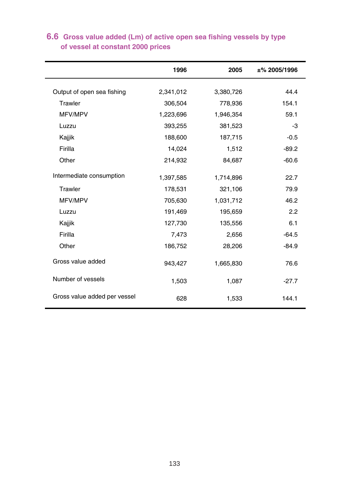|                              | 1996      | 2005      | $±\%$ 2005/1996 |
|------------------------------|-----------|-----------|-----------------|
| Output of open sea fishing   | 2,341,012 | 3,380,726 | 44.4            |
| Trawler                      | 306,504   | 778,936   | 154.1           |
|                              |           |           |                 |
| MFV/MPV                      | 1,223,696 | 1,946,354 | 59.1            |
| Luzzu                        | 393,255   | 381,523   | -3              |
| Kajjik                       | 188,600   | 187,715   | $-0.5$          |
| Firilla                      | 14,024    | 1,512     | $-89.2$         |
| Other                        | 214,932   | 84,687    | $-60.6$         |
| Intermediate consumption     | 1,397,585 | 1,714,896 | 22.7            |
| Trawler                      | 178,531   | 321,106   | 79.9            |
| MFV/MPV                      | 705,630   | 1,031,712 | 46.2            |
| Luzzu                        | 191,469   | 195,659   | 2.2             |
| Kajjik                       | 127,730   | 135,556   | 6.1             |
| Firilla                      | 7,473     | 2,656     | $-64.5$         |
| Other                        | 186,752   | 28,206    | $-84.9$         |
| Gross value added            | 943,427   | 1,665,830 | 76.6            |
| Number of vessels            | 1,503     | 1,087     | $-27.7$         |
| Gross value added per vessel | 628       | 1,533     | 144.1           |

### **of vessel at constant 2000 prices 6.6 Gross value added (Lm) of active open sea fishing vessels by type**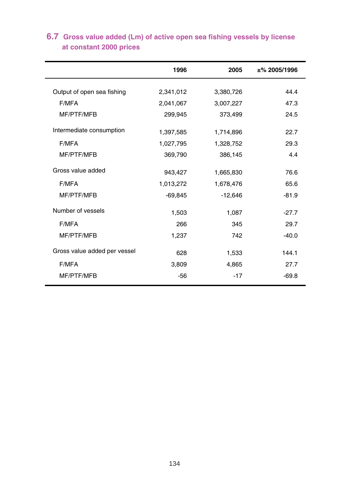|                              | 1996      | 2005      | $±\%$ 2005/1996 |
|------------------------------|-----------|-----------|-----------------|
| Output of open sea fishing   | 2,341,012 | 3,380,726 | 44.4            |
| F/MFA                        | 2,041,067 | 3,007,227 | 47.3            |
| MF/PTF/MFB                   | 299,945   | 373,499   | 24.5            |
| Intermediate consumption     | 1,397,585 | 1,714,896 | 22.7            |
| F/MFA                        | 1,027,795 | 1,328,752 | 29.3            |
| MF/PTF/MFB                   | 369,790   | 386,145   | 4.4             |
| Gross value added            | 943,427   | 1,665,830 | 76.6            |
| F/MFA                        | 1,013,272 | 1,678,476 | 65.6            |
| MF/PTF/MFB                   | $-69,845$ | $-12,646$ | $-81.9$         |
| Number of vessels            | 1,503     | 1,087     | $-27.7$         |
| F/MFA                        | 266       | 345       | 29.7            |
| MF/PTF/MFB                   | 1,237     | 742       | $-40.0$         |
| Gross value added per vessel | 628       | 1,533     | 144.1           |
| F/MFA                        | 3,809     | 4,865     | 27.7            |
| MF/PTF/MFB                   | $-56$     | $-17$     | $-69.8$         |
|                              |           |           |                 |

# **at constant 2000 prices 6.7 Gross value added (Lm) of active open sea fishing vessels by license**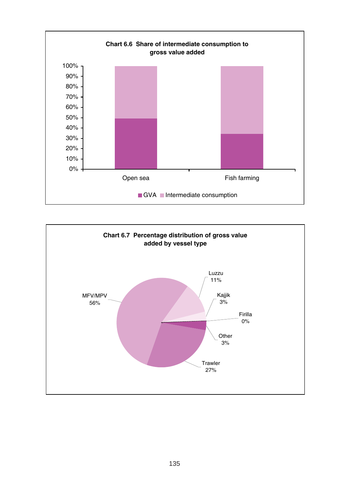

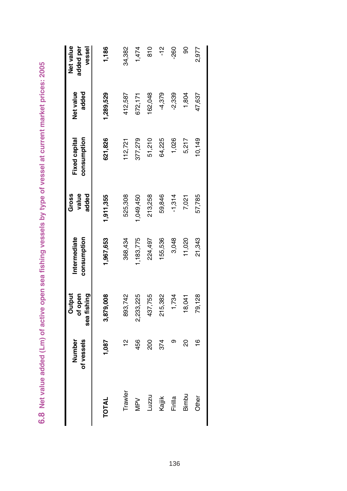|              | of vessels<br>Number | sea fishing<br>Output<br>of open | consumption<br>Intermediate | value<br>added<br>Gross | consumption<br>Fixed capital | added<br>Net value | Net value<br>added per<br>vessel |
|--------------|----------------------|----------------------------------|-----------------------------|-------------------------|------------------------------|--------------------|----------------------------------|
| <b>TOTAL</b> | 1,087                | 3,879,008                        | 1,967,653                   | 1,911,355               | 621,826                      | 1,289,529          | 1,186                            |
| Trawler      | $\frac{1}{2}$        | 893,742                          | 368,434                     | 525,308                 | 112,721                      | 112,587            | 34,382                           |
| MPV          | 456                  | 2,233,225                        | ,183,775                    | ,049,450                | 377,279                      | 672,171            | 1,474                            |
| Luzzu        | 200                  | 437,755                          | 224,497                     | 213,258                 | 51,210                       | 62,048             | 810                              |
| Kajjik       | 374                  | 215,382                          | 155,536                     | 59,846                  | 64,225                       | -4,379             | يم<br>T                          |
| Firilla      |                      | 1,734                            | 3,048                       | $-1,314$                | 1,026                        | $-2,339$           | -260                             |
| Bimbu        | 20                   | 18,041                           | 11,020                      | 7,021                   | 5,217                        | 1,804              | 8                                |
| Other        | $\frac{6}{1}$        | 79,128                           | 21,343                      | 57,785                  | 10,149                       | 47,637             | 2,977                            |

6.8 Net value added (Lm) of active open sea fishing vessels by type of vessel at current market prices: 2005 **6.8 Net value added (Lm) of active open sea fishing vessels by type of vessel at current market prices: 2005**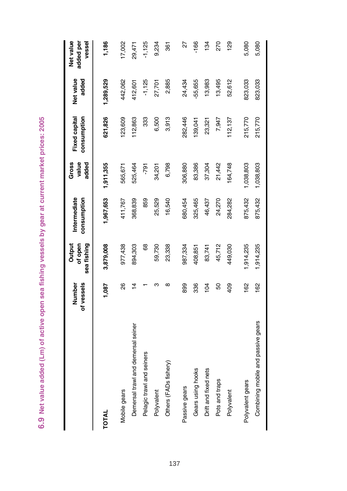| å                                                                                  |
|------------------------------------------------------------------------------------|
|                                                                                    |
|                                                                                    |
|                                                                                    |
|                                                                                    |
| <b>ADC6</b>                                                                        |
|                                                                                    |
|                                                                                    |
|                                                                                    |
|                                                                                    |
|                                                                                    |
|                                                                                    |
|                                                                                    |
|                                                                                    |
|                                                                                    |
|                                                                                    |
|                                                                                    |
|                                                                                    |
|                                                                                    |
|                                                                                    |
|                                                                                    |
|                                                                                    |
|                                                                                    |
|                                                                                    |
|                                                                                    |
| ive open sea fishing vessels by gear at current markey<br><b>Example No create</b> |
|                                                                                    |
|                                                                                    |
|                                                                                    |
|                                                                                    |
|                                                                                    |
|                                                                                    |
| י<br>נות                                                                           |
|                                                                                    |
|                                                                                    |
|                                                                                    |
|                                                                                    |
|                                                                                    |
|                                                                                    |
|                                                                                    |
|                                                                                    |
|                                                                                    |
|                                                                                    |
|                                                                                    |
|                                                                                    |
|                                                                                    |
|                                                                                    |
|                                                                                    |
|                                                                                    |
| of activ                                                                           |
|                                                                                    |
|                                                                                    |
|                                                                                    |
|                                                                                    |
|                                                                                    |
|                                                                                    |
|                                                                                    |
| addec                                                                              |
|                                                                                    |
|                                                                                    |
|                                                                                    |
|                                                                                    |
|                                                                                    |
|                                                                                    |
| ֧֧ׅ֧ׅ֧֧ׅ֧֧ׅ֧֧֧ׅ֧֧֧֚֚֚֚֚֚֚֚֚֚֚֚֚֚֚֚֚֚֚֚֚֚֚֝֡֓֝֓֝֬֜֓֝֬֜֓֝֬֝֬֜֝֬֝                     |
|                                                                                    |
|                                                                                    |
| <u>၀</u>                                                                           |
|                                                                                    |

|                                    | of vessels<br>Number | sea fishing<br>of open<br>Output | Intermediate<br>consumption | value<br>added<br>Gross | Fixed capital<br>consumption | Net value<br>added | Net value<br>added per<br>vessel |
|------------------------------------|----------------------|----------------------------------|-----------------------------|-------------------------|------------------------------|--------------------|----------------------------------|
| TOTAL                              | 1,087                | 3,879,008                        | 1,967,653                   | 1,911,355               | 621,826                      | 1,289,529          | 1,186                            |
| Mobile gears                       | 88                   | 977,438                          | 411,767                     | 565,671                 | 23,609                       | 442,062            | 17,002                           |
| Demersal trawl and demersal seiner | $\frac{1}{4}$        | 894,303                          | 368,839                     | 525,464                 | 112,863                      | 112,601            | 29,471                           |
| Pelagic trawl and seiners          |                      | 68                               | 859                         | -791                    | 333                          | $-1,125$           | $-1,125$                         |
| Polyvalent                         | ო                    | 59,730                           | 25,529                      | 34,201                  | 6,500                        | 27,701             | 9,234                            |
| Others (FADs fishery)              | $\infty$             | 23,338                           | 16,540                      | 6,798                   | 3,913                        | 2,885              | 361                              |
| Passive gears                      | 899                  | 987,334                          | 680,454                     | 306,880                 | 282,446                      | 24,434             | 27                               |
| Gears using hooks                  | 336                  | 408,851                          | 325,465                     | 83,386                  | 39,041                       | 55,655             | $-166$                           |
| Drift and fixed nets               | $\overline{6}$       | 83,741                           | 46,437                      | 37,304                  | 23,321                       | 13,983             | 134                              |
| Pots and traps                     | 8                    | 45,712                           | 24,270                      | 21,442                  | 7,947                        | 13,495             | 270                              |
| Polyvalent                         | 409                  | 449,030                          | 284,282                     | 64,748                  | 112,137                      | 52,612             | 129                              |
| Polyvalent gears                   | 162                  | ,914,235                         | 875,432                     | 1,038,803               | 215,770                      | 823,033            | 5,080                            |
| Combining mobile and passive gears | 162                  | 1,914,235                        | 875,432                     | 1,038,803               | 215,770                      | 823,033            | 5,080                            |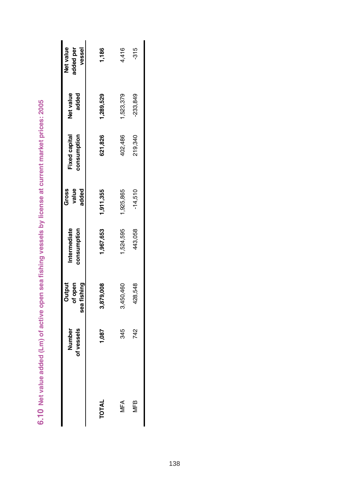| Net value<br>added per<br>vessel | 1,186        | 4,416     | $-315$     |
|----------------------------------|--------------|-----------|------------|
| Net value<br>added               | 1,289,529    | 1,523,379 | $-233,849$ |
| Fixed capital<br>consumption     | 621,826      | 102,486   | 219,340    |
| Gross<br>value<br>added          | 1,911,355    | 1,925,865 | $-14,510$  |
| Intermediate<br>consumption      | ,967,653     | 524,595   | 443,058    |
| sea fishing<br>Output<br>of open | 3,879,008    | 3,450,460 | 428,548    |
| Number<br>of vessels             | 1,087        | 345       | 742        |
|                                  | <b>TOTAL</b> | MFA       | MFB        |

6.10 Net value added (Lm) of active open sea fishing vessels by license at current market prices: 2005 **6.10 Net value added (Lm) of active open sea fishing vessels by license at current market prices: 2005**